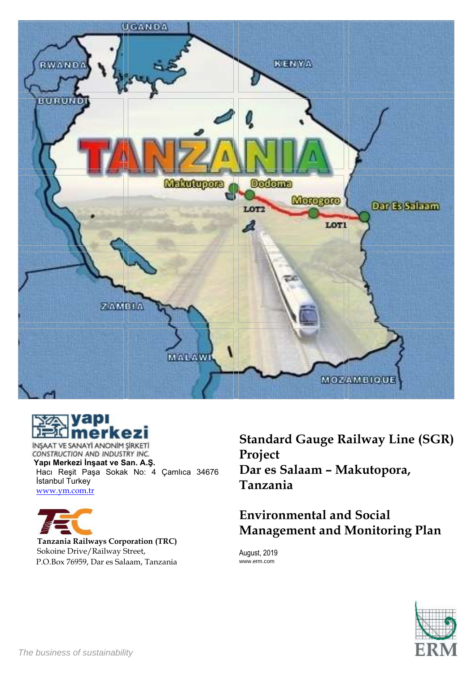



INSAAT VE SANAYI ANONIM SIRKETI CONSTRUCTION AND INDUSTRY INC. **Yapı Merkezi İnşaat ve San. A.Ş.** Hacı Reşit Paşa Sokak No: 4 Çamlıca 34676 İstanbul Turkey [www.ym.com.tr](http://www.ym.com.tr/)



**Tanzania Railways Corporation (TRC)** Sokoine Drive/Railway Street, P.O.Box 76959, Dar es Salaam, Tanzania **Standard Gauge Railway Line (SGR) Project Dar es Salaam – Makutopora, Tanzania** 

# **Environmental and Social Management and Monitoring Plan**

August, 2019 www.erm.com

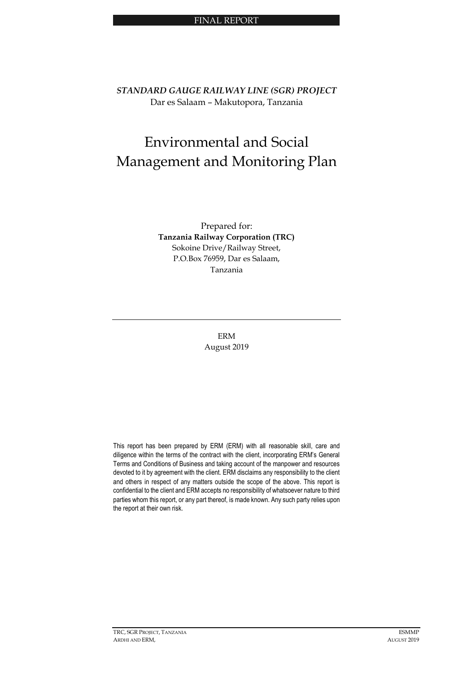#### FINAL REPORT

*STANDARD GAUGE RAILWAY LINE (SGR) PROJECT* Dar es Salaam – Makutopora, Tanzania

# Environmental and Social Management and Monitoring Plan

Prepared for: **Tanzania Railway Corporation (TRC)**  Sokoine Drive/Railway Street, P.O.Box 76959, Dar es Salaam, Tanzania

> ERM August 2019

This report has been prepared by ERM (ERM) with all reasonable skill, care and diligence within the terms of the contract with the client, incorporating ERM's General Terms and Conditions of Business and taking account of the manpower and resources devoted to it by agreement with the client. ERM disclaims any responsibility to the client and others in respect of any matters outside the scope of the above. This report is confidential to the client and ERM accepts no responsibility of whatsoever nature to third parties whom this report, or any part thereof, is made known. Any such party relies upon the report at their own risk.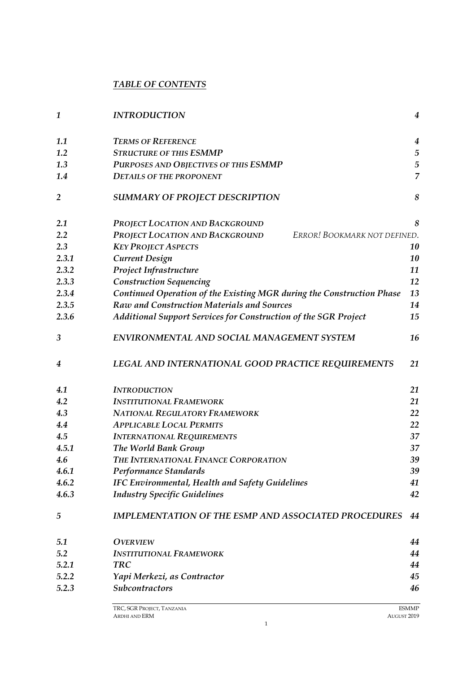# *TABLE OF CONTENTS*

| $\mathbf{1}$   | <b>INTRODUCTION</b>                                                   | $\overline{4}$   |
|----------------|-----------------------------------------------------------------------|------------------|
| 1.1            | <b>TERMS OF REFERENCE</b>                                             | $\boldsymbol{4}$ |
| 1.2            | <b>STRUCTURE OF THIS ESMMP</b>                                        | $\sqrt{5}$       |
| 1.3            | PURPOSES AND OBJECTIVES OF THIS ESMMP                                 | $\sqrt{5}$       |
| 1.4            | <b>DETAILS OF THE PROPONENT</b>                                       | $\overline{7}$   |
| $\overline{2}$ | <b>SUMMARY OF PROJECT DESCRIPTION</b>                                 | 8                |
| 2.1            | PROJECT LOCATION AND BACKGROUND                                       | 8                |
| 2.2            | PROJECT LOCATION AND BACKGROUND<br>ERROR! BOOKMARK NOT DEFINED.       |                  |
| 2.3            | <b>KEY PROJECT ASPECTS</b>                                            | 10               |
| 2.3.1          | <b>Current Design</b>                                                 | 10               |
| 2.3.2          | Project Infrastructure                                                | 11               |
| 2.3.3          | <b>Construction Sequencing</b>                                        | 12               |
| 2.3.4          | Continued Operation of the Existing MGR during the Construction Phase | 13               |
| 2.3.5          | Raw and Construction Materials and Sources                            | 14               |
| 2.3.6          | Additional Support Services for Construction of the SGR Project       | 15               |
| 3              | ENVIRONMENTAL AND SOCIAL MANAGEMENT SYSTEM                            | 16               |
| 4              | LEGAL AND INTERNATIONAL GOOD PRACTICE REQUIREMENTS                    | 21               |
| 4.1            | <b>INTRODUCTION</b>                                                   | 21               |
| 4.2            | <b>INSTITUTIONAL FRAMEWORK</b>                                        | 21               |
| 4.3            | NATIONAL REGULATORY FRAMEWORK                                         | 22               |
| 4.4            | <b>APPLICABLE LOCAL PERMITS</b>                                       | 22               |
| 4.5            | <b>INTERNATIONAL REQUIREMENTS</b>                                     | 37               |
| 4.5.1          | The World Bank Group                                                  | 37               |
| 4.6            | THE INTERNATIONAL FINANCE CORPORATION                                 | 39               |
| 4.6.1          | Performance Standards                                                 | 39               |
| 4.6.2          | <b>IFC Environmental, Health and Safety Guidelines</b>                | 41               |
| 4.6.3          | <b>Industry Specific Guidelines</b>                                   | 42               |
| 5              | <b>IMPLEMENTATION OF THE ESMP AND ASSOCIATED PROCEDURES</b>           | 44               |
| 5.1            | <b>OVERVIEW</b>                                                       | 44               |
| 5.2            | <b>INSTITUTIONAL FRAMEWORK</b>                                        | 44               |
| 5.2.1          | <b>TRC</b>                                                            | 44               |
| 5.2.2          | Yapi Merkezi, as Contractor                                           | 45               |
| 5.2.3          | <b>Subcontractors</b>                                                 | 46               |

1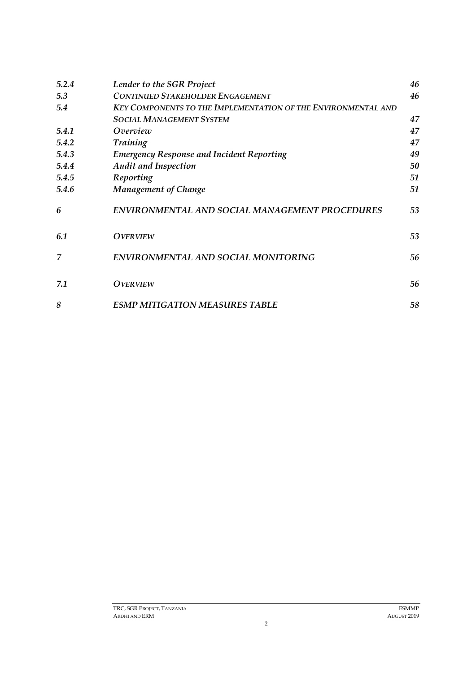| 5.2.4 | Lender to the SGR Project                                            | 46 |
|-------|----------------------------------------------------------------------|----|
| 5.3   | <b>CONTINUED STAKEHOLDER ENGAGEMENT</b>                              | 46 |
| 5.4   | <b>KEY COMPONENTS TO THE IMPLEMENTATION OF THE ENVIRONMENTAL AND</b> |    |
|       | <b>SOCIAL MANAGEMENT SYSTEM</b>                                      | 47 |
| 5.4.1 | Overview                                                             | 47 |
| 5.4.2 | <b>Training</b>                                                      | 47 |
| 5.4.3 | <b>Emergency Response and Incident Reporting</b>                     | 49 |
| 5.4.4 | <b>Audit and Inspection</b>                                          | 50 |
| 5.4.5 | Reporting                                                            | 51 |
| 5.4.6 | <b>Management of Change</b>                                          | 51 |
| 6     | <b>ENVIRONMENTAL AND SOCIAL MANAGEMENT PROCEDURES</b>                | 53 |
| 6.1   | <b>OVERVIEW</b>                                                      | 53 |
| 7     | ENVIRONMENTAL AND SOCIAL MONITORING                                  | 56 |
| 7.1   | <b>OVERVIEW</b>                                                      | 56 |
| 8     | <b>ESMP MITIGATION MEASURES TABLE</b>                                | 58 |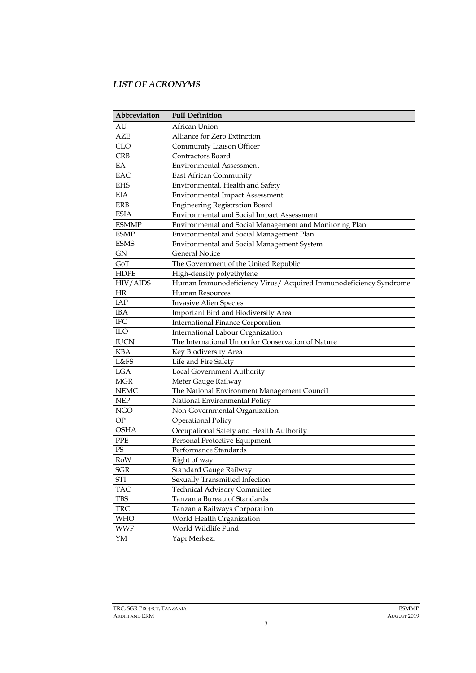# *LIST OF ACRONYMS*

| Abbreviation | <b>Full Definition</b>                                           |
|--------------|------------------------------------------------------------------|
| AU           | African Union                                                    |
| AZE          | Alliance for Zero Extinction                                     |
| <b>CLO</b>   | Community Liaison Officer                                        |
| <b>CRB</b>   | Contractors Board                                                |
| EA           | <b>Environmental Assessment</b>                                  |
| EAC          | East African Community                                           |
| <b>EHS</b>   | Environmental, Health and Safety                                 |
| <b>EIA</b>   | <b>Environmental Impact Assessment</b>                           |
| ERB          | <b>Engineering Registration Board</b>                            |
| <b>ESIA</b>  | <b>Environmental and Social Impact Assessment</b>                |
| <b>ESMMP</b> | Environmental and Social Management and Monitoring Plan          |
| <b>ESMP</b>  | Environmental and Social Management Plan                         |
| <b>ESMS</b>  | Environmental and Social Management System                       |
| <b>GN</b>    | <b>General Notice</b>                                            |
| GoT          | The Government of the United Republic                            |
| <b>HDPE</b>  | High-density polyethylene                                        |
| HIV/AIDS     | Human Immunodeficiency Virus/ Acquired Immunodeficiency Syndrome |
| HR           | <b>Human Resources</b>                                           |
| IAP          | <b>Invasive Alien Species</b>                                    |
| <b>IBA</b>   | Important Bird and Biodiversity Area                             |
| <b>IFC</b>   | <b>International Finance Corporation</b>                         |
| ILO          | International Labour Organization                                |
| <b>IUCN</b>  | The International Union for Conservation of Nature               |
| <b>KBA</b>   | Key Biodiversity Area                                            |
| L&FS         | Life and Fire Safety                                             |
| <b>LGA</b>   | Local Government Authority                                       |
| <b>MGR</b>   | Meter Gauge Railway                                              |
| <b>NEMC</b>  | The National Environment Management Council                      |
| <b>NEP</b>   | National Environmental Policy                                    |
| <b>NGO</b>   | Non-Governmental Organization                                    |
| OP           | <b>Operational Policy</b>                                        |
| <b>OSHA</b>  | Occupational Safety and Health Authority                         |
| <b>PPE</b>   | Personal Protective Equipment                                    |
| PS           | Performance Standards                                            |
| RoW          | Right of way                                                     |
| SGR          | Standard Gauge Railway                                           |
| STI          | Sexually Transmitted Infection                                   |
| <b>TAC</b>   | <b>Technical Advisory Committee</b>                              |
| <b>TBS</b>   | Tanzania Bureau of Standards                                     |
| <b>TRC</b>   | Tanzania Railways Corporation                                    |
| <b>WHO</b>   | World Health Organization                                        |
| <b>WWF</b>   | World Wildlife Fund                                              |
| YM           | Yapı Merkezi                                                     |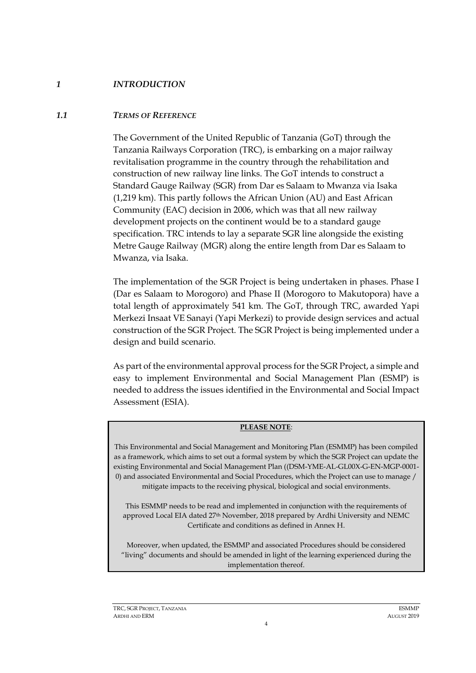# *1 INTRODUCTION*

### *1.1 TERMS OF REFERENCE*

<span id="page-5-1"></span><span id="page-5-0"></span>The Government of the United Republic of Tanzania (GoT) through the Tanzania Railways Corporation (TRC), is embarking on a major railway revitalisation programme in the country through the rehabilitation and construction of new railway line links. The GoT intends to construct a Standard Gauge Railway (SGR) from Dar es Salaam to Mwanza via Isaka (1,219 km). This partly follows the African Union (AU) and East African Community (EAC) decision in 2006, which was that all new railway development projects on the continent would be to a standard gauge specification. TRC intends to lay a separate SGR line alongside the existing Metre Gauge Railway (MGR) along the entire length from Dar es Salaam to Mwanza, via Isaka.

The implementation of the SGR Project is being undertaken in phases. Phase I (Dar es Salaam to Morogoro) and Phase II (Morogoro to Makutopora) have a total length of approximately 541 km. The GoT, through TRC, awarded Yapi Merkezi Insaat VE Sanayi (Yapi Merkezi) to provide design services and actual construction of the SGR Project. The SGR Project is being implemented under a design and build scenario.

As part of the environmental approval process for the SGR Project, a simple and easy to implement Environmental and Social Management Plan (ESMP) is needed to address the issues identified in the Environmental and Social Impact Assessment (ESIA).

#### **PLEASE NOTE**:

This Environmental and Social Management and Monitoring Plan (ESMMP) has been compiled as a framework, which aims to set out a formal system by which the SGR Project can update the existing Environmental and Social Management Plan ((DSM-YME-AL-GL00X-G-EN-MGP-0001- 0) and associated Environmental and Social Procedures, which the Project can use to manage / mitigate impacts to the receiving physical, biological and social environments.

This ESMMP needs to be read and implemented in conjunction with the requirements of approved Local EIA dated 27th November, 2018 prepared by Ardhi University and NEMC Certificate and conditions as defined in Annex H.

Moreover, when updated, the ESMMP and associated Procedures should be considered "living" documents and should be amended in light of the learning experienced during the implementation thereof.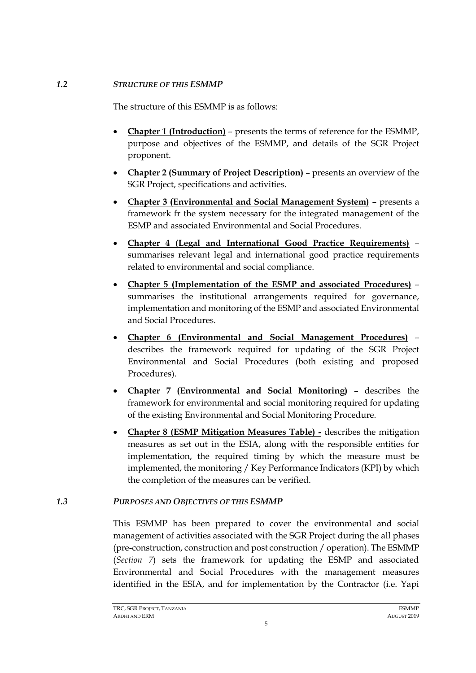#### *1.2 STRUCTURE OF THIS ESMMP*

<span id="page-6-0"></span>The structure of this ESMMP is as follows:

- **Chapter 1 (Introduction)** presents the terms of reference for the ESMMP, purpose and objectives of the ESMMP, and details of the SGR Project proponent.
- **Chapter 2 (Summary of Project Description)** presents an overview of the SGR Project, specifications and activities.
- **Chapter 3 (Environmental and Social Management System)** presents a framework fr the system necessary for the integrated management of the ESMP and associated Environmental and Social Procedures.
- **Chapter 4 (Legal and International Good Practice Requirements)** summarises relevant legal and international good practice requirements related to environmental and social compliance.
- **Chapter 5 (Implementation of the ESMP and associated Procedures)** summarises the institutional arrangements required for governance, implementation and monitoring of the ESMP and associated Environmental and Social Procedures.
- **Chapter 6 (Environmental and Social Management Procedures)** describes the framework required for updating of the SGR Project Environmental and Social Procedures (both existing and proposed Procedures).
- **Chapter 7 (Environmental and Social Monitoring)** describes the framework for environmental and social monitoring required for updating of the existing Environmental and Social Monitoring Procedure.
- **Chapter 8 (ESMP Mitigation Measures Table) -** describes the mitigation measures as set out in the ESIA, along with the responsible entities for implementation, the required timing by which the measure must be implemented, the monitoring / Key Performance Indicators (KPI) by which the completion of the measures can be verified.

# *1.3 PURPOSES AND OBJECTIVES OF THIS ESMMP*

<span id="page-6-1"></span>This ESMMP has been prepared to cover the environmental and social management of activities associated with the SGR Project during the all phases (pre-construction, construction and post construction / operation). The ESMMP (*Section 7*) sets the framework for updating the ESMP and associated Environmental and Social Procedures with the management measures identified in the ESIA, and for implementation by the Contractor (i.e. Yapi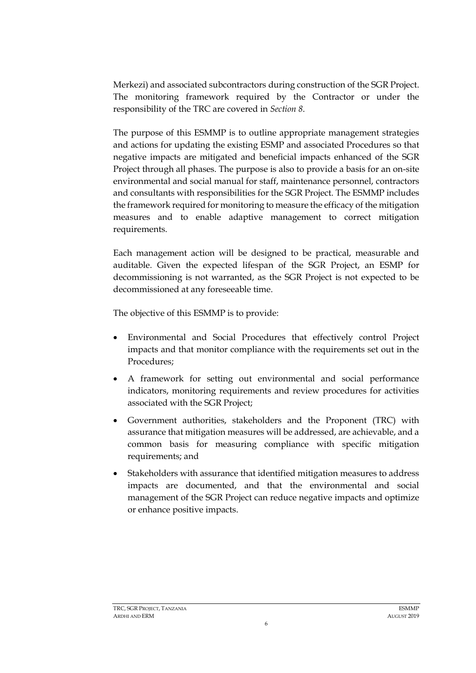Merkezi) and associated subcontractors during construction of the SGR Project. The monitoring framework required by the Contractor or under the responsibility of the TRC are covered in *Section 8*.

The purpose of this ESMMP is to outline appropriate management strategies and actions for updating the existing ESMP and associated Procedures so that negative impacts are mitigated and beneficial impacts enhanced of the SGR Project through all phases. The purpose is also to provide a basis for an on-site environmental and social manual for staff, maintenance personnel, contractors and consultants with responsibilities for the SGR Project. The ESMMP includes the framework required for monitoring to measure the efficacy of the mitigation measures and to enable adaptive management to correct mitigation requirements.

Each management action will be designed to be practical, measurable and auditable. Given the expected lifespan of the SGR Project, an ESMP for decommissioning is not warranted, as the SGR Project is not expected to be decommissioned at any foreseeable time.

The objective of this ESMMP is to provide:

- Environmental and Social Procedures that effectively control Project impacts and that monitor compliance with the requirements set out in the Procedures;
- A framework for setting out environmental and social performance indicators, monitoring requirements and review procedures for activities associated with the SGR Project;
- Government authorities, stakeholders and the Proponent (TRC) with assurance that mitigation measures will be addressed, are achievable, and a common basis for measuring compliance with specific mitigation requirements; and
- Stakeholders with assurance that identified mitigation measures to address impacts are documented, and that the environmental and social management of the SGR Project can reduce negative impacts and optimize or enhance positive impacts.

6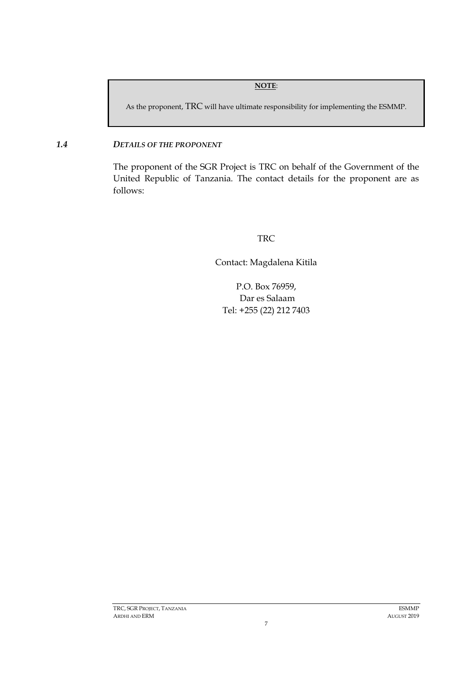#### **NOTE**:

As the proponent, TRC will have ultimate responsibility for implementing the ESMMP.

#### *1.4 DETAILS OF THE PROPONENT*

<span id="page-8-0"></span>The proponent of the SGR Project is TRC on behalf of the Government of the United Republic of Tanzania. The contact details for the proponent are as follows:

# TRC

Contact: Magdalena Kitila

P.O. Box 76959, Dar es Salaam Tel: +255 (22) 212 7403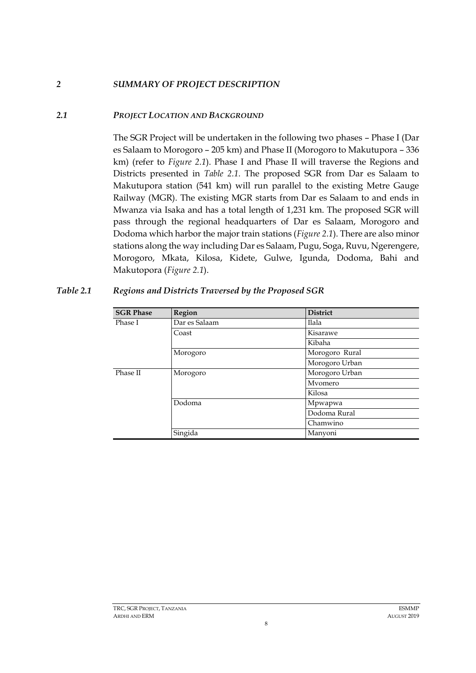# *2 SUMMARY OF PROJECT DESCRIPTION*

# *2.1 PROJECT LOCATION AND BACKGROUND*

<span id="page-9-1"></span><span id="page-9-0"></span>The SGR Project will be undertaken in the following two phases – Phase I (Dar es Salaam to Morogoro – 205 km) and Phase II (Morogoro to Makutupora – 336 km) (refer to *[Figure 2.1](#page-10-0)*). Phase I and Phase II will traverse the Regions and Districts presented in *Table 2.1*. The proposed SGR from Dar es Salaam to Makutupora station (541 km) will run parallel to the existing Metre Gauge Railway (MGR). The existing MGR starts from Dar es Salaam to and ends in Mwanza via Isaka and has a total length of 1,231 km. The proposed SGR will pass through the regional headquarters of Dar es Salaam, Morogoro and Dodoma which harbor the major train stations (*[Figure 2.1](#page-10-0)*). There are also minor stations along the way including Dar es Salaam, Pugu, Soga, Ruvu, Ngerengere, Morogoro, Mkata, Kilosa, Kidete, Gulwe, Igunda, Dodoma, Bahi and Makutopora (*[Figure 2.1](#page-10-0)*).

| <b>SGR Phase</b> | Region        | <b>District</b> |
|------------------|---------------|-----------------|
| Phase I          | Dar es Salaam | Ilala           |
|                  | Coast         | Kisarawe        |
|                  |               | Kibaha          |
|                  | Morogoro      | Morogoro Rural  |
|                  |               | Morogoro Urban  |
| Phase II         | Morogoro      | Morogoro Urban  |
|                  |               | Mvomero         |
|                  |               | Kilosa          |
|                  | Dodoma        | Mpwapwa         |
|                  |               | Dodoma Rural    |
|                  |               | Chamwino        |
|                  | Singida       | Manyoni         |

8

#### <span id="page-9-2"></span>*Table 2.1 Regions and Districts Traversed by the Proposed SGR*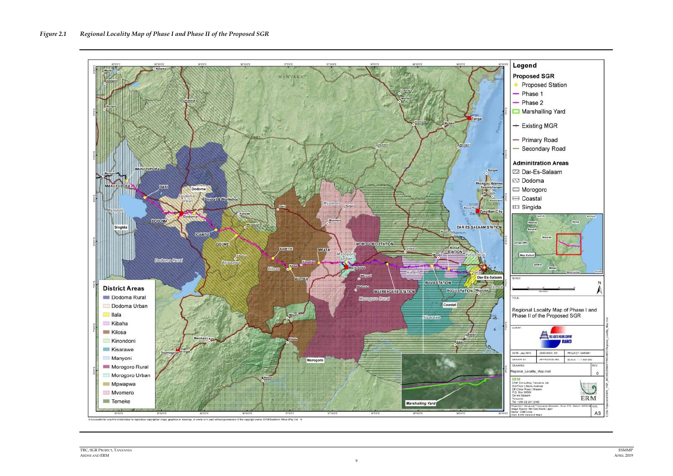<span id="page-10-0"></span>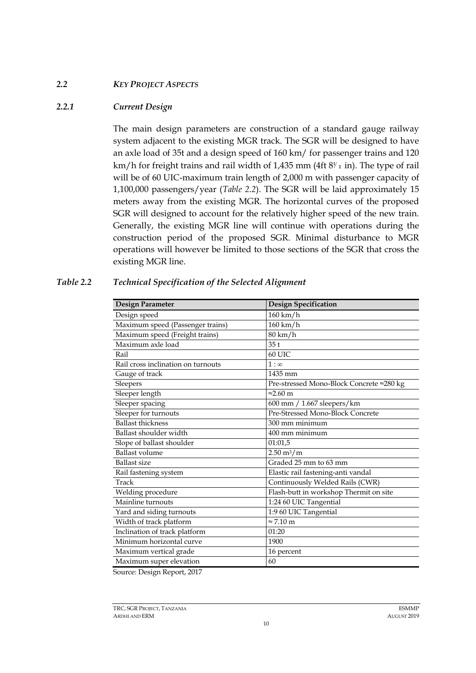#### *2.2 KEY PROJECT ASPECTS*

#### *2.2.1 Current Design*

<span id="page-11-1"></span><span id="page-11-0"></span>The main design parameters are construction of a standard gauge railway system adjacent to the existing MGR track. The SGR will be designed to have an axle load of 35t and a design speed of 160 km/ for passenger trains and 120 km/h for freight trains and rail width of 1,435 mm (4ft 8<sup>y</sup> z in). The type of rail will be of 60 UIC-maximum train length of 2,000 m with passenger capacity of 1,100,000 passengers/year (*[Table 2.2](#page-11-2)*). The SGR will be laid approximately 15 meters away from the existing MGR. The horizontal curves of the proposed SGR will designed to account for the relatively higher speed of the new train. Generally, the existing MGR line will continue with operations during the construction period of the proposed SGR. Minimal disturbance to MGR operations will however be limited to those sections of the SGR that cross the existing MGR line.

| Design Parameter                   | <b>Design Specification</b>              |
|------------------------------------|------------------------------------------|
| Design speed                       | $160 \text{ km/h}$                       |
| Maximum speed (Passenger trains)   | $160 \text{ km/h}$                       |
| Maximum speed (Freight trains)     | 80 km/h                                  |
| Maximum axle load                  | 35t                                      |
| Rail                               | 60 UIC                                   |
| Rail cross inclination on turnouts | $1:\infty$                               |
| Gauge of track                     | 1435 mm                                  |
| Sleepers                           | Pre-stressed Mono-Block Concrete ≈280 kg |
| Sleeper length                     | $\approx$ 2.60 m                         |
| Sleeper spacing                    | 600 mm / 1.667 sleepers/km               |
| Sleeper for turnouts               | Pre-Stressed Mono-Block Concrete         |
| <b>Ballast thickness</b>           | 300 mm minimum                           |
| Ballast shoulder width             | 400 mm minimum                           |
| Slope of ballast shoulder          | 01:01,5                                  |
| <b>Ballast volume</b>              | $2.50 \text{ m}^3/\text{m}$              |
| <b>Ballast size</b>                | Graded 25 mm to 63 mm                    |
| Rail fastening system              | Elastic rail fastening-anti vandal       |
| Track                              | Continuously Welded Rails (CWR)          |
| Welding procedure                  | Flash-butt in workshop Thermit on site   |
| Mainline turnouts                  | 1:24 60 UIC Tangential                   |
| Yard and siding turnouts           | 1:9 60 UIC Tangential                    |
| Width of track platform            | $\approx$ 7.10 m                         |
| Inclination of track platform      | 01:20                                    |
| Minimum horizontal curve           | 1900                                     |
| Maximum vertical grade             | 16 percent                               |
| Maximum super elevation            | 60                                       |

#### <span id="page-11-2"></span>*Table 2.2 Technical Specification of the Selected Alignment*

Source: Design Report, 2017

TRC, SGR PROJECT, TANZANIA ESMMP ARDHI AND ERM AUGUST 2019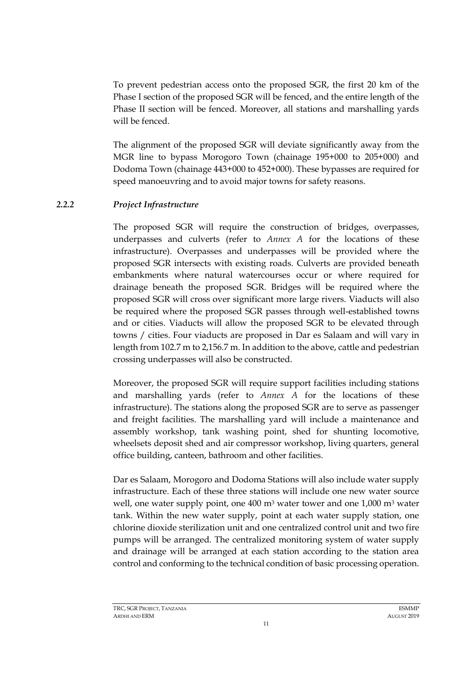To prevent pedestrian access onto the proposed SGR, the first 20 km of the Phase I section of the proposed SGR will be fenced, and the entire length of the Phase II section will be fenced. Moreover, all stations and marshalling yards will be fenced.

The alignment of the proposed SGR will deviate significantly away from the MGR line to bypass Morogoro Town (chainage 195+000 to 205+000) and Dodoma Town (chainage 443+000 to 452+000). These bypasses are required for speed manoeuvring and to avoid major towns for safety reasons.

# *2.2.2 Project Infrastructure*

<span id="page-12-0"></span>The proposed SGR will require the construction of bridges, overpasses, underpasses and culverts (refer to *Annex A* for the locations of these infrastructure). Overpasses and underpasses will be provided where the proposed SGR intersects with existing roads. Culverts are provided beneath embankments where natural watercourses occur or where required for drainage beneath the proposed SGR. Bridges will be required where the proposed SGR will cross over significant more large rivers. Viaducts will also be required where the proposed SGR passes through well-established towns and or cities. Viaducts will allow the proposed SGR to be elevated through towns / cities. Four viaducts are proposed in Dar es Salaam and will vary in length from 102.7 m to 2,156.7 m. In addition to the above, cattle and pedestrian crossing underpasses will also be constructed.

Moreover, the proposed SGR will require support facilities including stations and marshalling yards (refer to *Annex A* for the locations of these infrastructure). The stations along the proposed SGR are to serve as passenger and freight facilities. The marshalling yard will include a maintenance and assembly workshop, tank washing point, shed for shunting locomotive, wheelsets deposit shed and air compressor workshop, living quarters, general office building, canteen, bathroom and other facilities.

Dar es Salaam, Morogoro and Dodoma Stations will also include water supply infrastructure. Each of these three stations will include one new water source well, one water supply point, one 400 m<sup>3</sup> water tower and one 1,000 m<sup>3</sup> water tank. Within the new water supply, point at each water supply station, one chlorine dioxide sterilization unit and one centralized control unit and two fire pumps will be arranged. The centralized monitoring system of water supply and drainage will be arranged at each station according to the station area control and conforming to the technical condition of basic processing operation.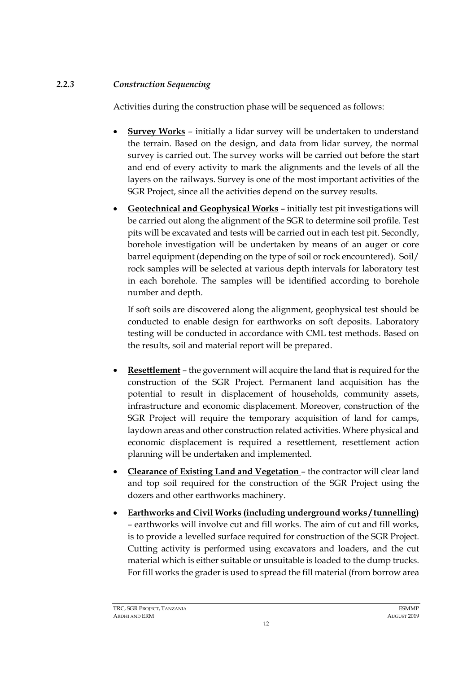# *2.2.3 Construction Sequencing*

<span id="page-13-0"></span>Activities during the construction phase will be sequenced as follows:

- **Survey Works** initially a lidar survey will be undertaken to understand the terrain. Based on the design, and data from lidar survey, the normal survey is carried out. The survey works will be carried out before the start and end of every activity to mark the alignments and the levels of all the layers on the railways. Survey is one of the most important activities of the SGR Project, since all the activities depend on the survey results.
- **Geotechnical and Geophysical Works** initially test pit investigations will be carried out along the alignment of the SGR to determine soil profile. Test pits will be excavated and tests will be carried out in each test pit. Secondly, borehole investigation will be undertaken by means of an auger or core barrel equipment (depending on the type of soil or rock encountered). Soil/ rock samples will be selected at various depth intervals for laboratory test in each borehole. The samples will be identified according to borehole number and depth.

If soft soils are discovered along the alignment, geophysical test should be conducted to enable design for earthworks on soft deposits. Laboratory testing will be conducted in accordance with CML test methods. Based on the results, soil and material report will be prepared.

- **Resettlement** the government will acquire the land that is required for the construction of the SGR Project. Permanent land acquisition has the potential to result in displacement of households, community assets, infrastructure and economic displacement. Moreover, construction of the SGR Project will require the temporary acquisition of land for camps, laydown areas and other construction related activities. Where physical and economic displacement is required a resettlement, resettlement action planning will be undertaken and implemented.
- **Clearance of Existing Land and Vegetation**  the contractor will clear land and top soil required for the construction of the SGR Project using the dozers and other earthworks machinery.
- **Earthworks and Civil Works (including underground works / tunnelling)** – earthworks will involve cut and fill works. The aim of cut and fill works, is to provide a levelled surface required for construction of the SGR Project. Cutting activity is performed using excavators and loaders, and the cut material which is either suitable or unsuitable is loaded to the dump trucks. For fill works the grader is used to spread the fill material (from borrow area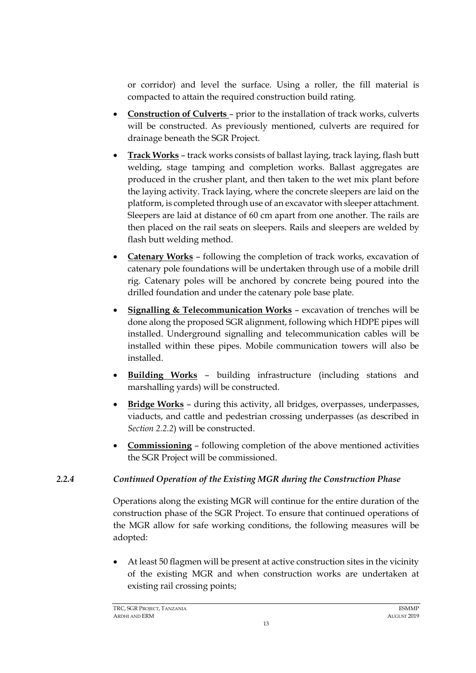or corridor) and level the surface. Using a roller, the fill material is compacted to attain the required construction build rating.

- **Construction of Culverts**  prior to the installation of track works, culverts will be constructed. As previously mentioned, culverts are required for drainage beneath the SGR Project.
- **Track Works** track works consists of ballast laying, track laying, flash butt welding, stage tamping and completion works. Ballast aggregates are produced in the crusher plant, and then taken to the wet mix plant before the laying activity. Track laying, where the concrete sleepers are laid on the platform, is completed through use of an excavator with sleeper attachment. Sleepers are laid at distance of 60 cm apart from one another. The rails are then placed on the rail seats on sleepers. Rails and sleepers are welded by flash butt welding method.
- **Catenary Works** following the completion of track works, excavation of catenary pole foundations will be undertaken through use of a mobile drill rig. Catenary poles will be anchored by concrete being poured into the drilled foundation and under the catenary pole base plate.
- **Signalling & Telecommunication Works** excavation of trenches will be done along the proposed SGR alignment, following which HDPE pipes will installed. Underground signalling and telecommunication cables will be installed within these pipes. Mobile communication towers will also be installed.
- **Building Works** building infrastructure (including stations and marshalling yards) will be constructed.
- **Bridge Works** during this activity, all bridges, overpasses, underpasses, viaducts, and cattle and pedestrian crossing underpasses (as described in *Section [2.2.2](#page-12-0)*) will be constructed.
- **Commissioning** following completion of the above mentioned activities the SGR Project will be commissioned.

# *2.2.4 Continued Operation of the Existing MGR during the Construction Phase*

<span id="page-14-0"></span>Operations along the existing MGR will continue for the entire duration of the construction phase of the SGR Project. To ensure that continued operations of the MGR allow for safe working conditions, the following measures will be adopted:

• At least 50 flagmen will be present at active construction sites in the vicinity of the existing MGR and when construction works are undertaken at existing rail crossing points;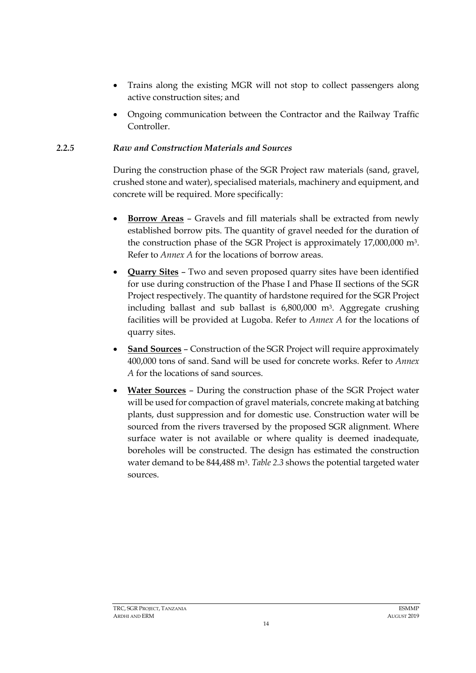- Trains along the existing MGR will not stop to collect passengers along active construction sites; and
- Ongoing communication between the Contractor and the Railway Traffic Controller.

# *2.2.5 Raw and Construction Materials and Sources*

<span id="page-15-0"></span>During the construction phase of the SGR Project raw materials (sand, gravel, crushed stone and water), specialised materials, machinery and equipment, and concrete will be required. More specifically:

- **Borrow Areas** Gravels and fill materials shall be extracted from newly established borrow pits. The quantity of gravel needed for the duration of the construction phase of the SGR Project is approximately 17,000,000 m3. Refer to *Annex A* for the locations of borrow areas.
- **Quarry Sites** Two and seven proposed quarry sites have been identified for use during construction of the Phase I and Phase II sections of the SGR Project respectively. The quantity of hardstone required for the SGR Project including ballast and sub ballast is 6,800,000 m3. Aggregate crushing facilities will be provided at Lugoba. Refer to *Annex A* for the locations of quarry sites.
- **Sand Sources** Construction of the SGR Project will require approximately 400,000 tons of sand. Sand will be used for concrete works. Refer to *Annex A* for the locations of sand sources.
- **Water Sources** During the construction phase of the SGR Project water will be used for compaction of gravel materials, concrete making at batching plants, dust suppression and for domestic use. Construction water will be sourced from the rivers traversed by the proposed SGR alignment. Where surface water is not available or where quality is deemed inadequate, boreholes will be constructed. The design has estimated the construction water demand to be 844,488 m3. *[Table 2.3](#page-16-1)* shows the potential targeted water sources.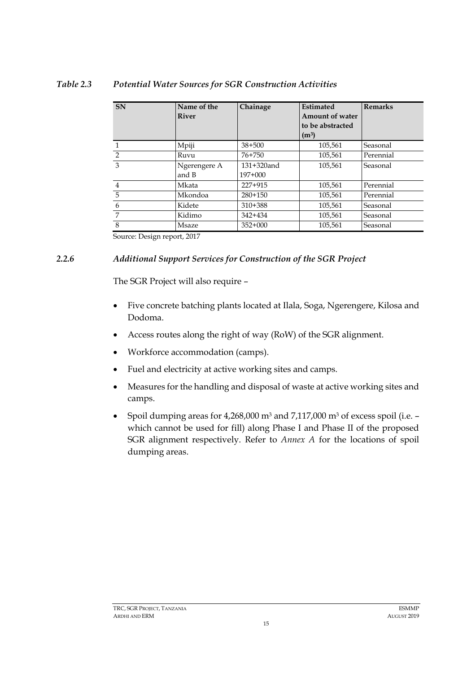#### **SN Name of the River Chainage Estimated Amount of water to be abstracted (m3) Remarks**  1 Mpiji 38+500 105,561 Seasonal 2 Ruvu 76+750 105,561 Perennial 3 Ngerengere A and B 131+320and 197+000<br>227+915 105,561 Seasonal 4 105,561 | Mkata | 227+915 | 105,561 | Perennial 5 Mkondoa 280+150 105,561 Perennial 6 Kidete 310+388 105,561 Seasonal 7 Kidimo 342+434 105,561 Seasonal 8 105,561 | Msaze | 352+000 | 105,561 | Seasonal

# <span id="page-16-1"></span>*Table 2.3 Potential Water Sources for SGR Construction Activities*

Source: Design report, 2017

# *2.2.6 Additional Support Services for Construction of the SGR Project*

<span id="page-16-0"></span>The SGR Project will also require –

- Five concrete batching plants located at Ilala, Soga, Ngerengere, Kilosa and Dodoma.
- Access routes along the right of way (RoW) of the SGR alignment.
- Workforce accommodation (camps).
- Fuel and electricity at active working sites and camps.
- Measures for the handling and disposal of waste at active working sites and camps.
- Spoil dumping areas for 4,268,000 m<sup>3</sup> and 7,117,000 m<sup>3</sup> of excess spoil (i.e. which cannot be used for fill) along Phase I and Phase II of the proposed SGR alignment respectively. Refer to *Annex A* for the locations of spoil dumping areas.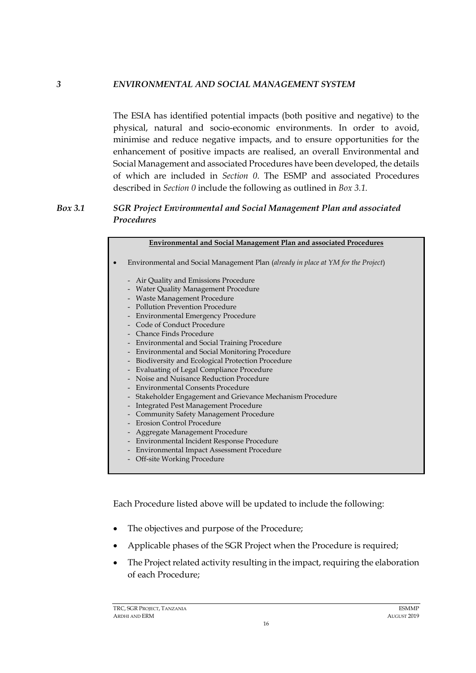### *3 ENVIRONMENTAL AND SOCIAL MANAGEMENT SYSTEM*

<span id="page-17-0"></span>The ESIA has identified potential impacts (both positive and negative) to the physical, natural and socio-economic environments. In order to avoid, minimise and reduce negative impacts, and to ensure opportunities for the enhancement of positive impacts are realised, an overall Environmental and Social Management and associated Procedures have been developed, the details of which are included in *Section [0](#page-52-2)*. The ESMP and associated Procedures described in *Section [0](#page-52-2)* include the following as outlined in *Box 3.1.*

# *Box 3.1 SGR Project Environmental and Social Management Plan and associated Procedures*

| <b>Environmental and Social Management Plan and associated Procedures</b>                                                                                                                                                                                                                                                                                                                                                                                                                                                                                                                                                                                                                                                                                                                                                                                                                                                                                                                                                                                                                  |
|--------------------------------------------------------------------------------------------------------------------------------------------------------------------------------------------------------------------------------------------------------------------------------------------------------------------------------------------------------------------------------------------------------------------------------------------------------------------------------------------------------------------------------------------------------------------------------------------------------------------------------------------------------------------------------------------------------------------------------------------------------------------------------------------------------------------------------------------------------------------------------------------------------------------------------------------------------------------------------------------------------------------------------------------------------------------------------------------|
| Environmental and Social Management Plan (already in place at YM for the Project)                                                                                                                                                                                                                                                                                                                                                                                                                                                                                                                                                                                                                                                                                                                                                                                                                                                                                                                                                                                                          |
| Air Quality and Emissions Procedure<br>$\overline{\phantom{m}}$<br>Water Quality Management Procedure<br>Waste Management Procedure<br><b>Pollution Prevention Procedure</b><br><b>Environmental Emergency Procedure</b><br>$\overline{a}$<br>Code of Conduct Procedure<br>Chance Finds Procedure<br><b>Environmental and Social Training Procedure</b><br>$\overline{\phantom{0}}$<br><b>Environmental and Social Monitoring Procedure</b><br>$\overline{\phantom{m}}$<br>Biodiversity and Ecological Protection Procedure<br>$\overline{a}$<br><b>Evaluating of Legal Compliance Procedure</b><br>$\overline{a}$<br>Noise and Nuisance Reduction Procedure<br>Environmental Consents Procedure<br>Stakeholder Engagement and Grievance Mechanism Procedure<br>-<br><b>Integrated Pest Management Procedure</b><br>-<br><b>Community Safety Management Procedure</b><br><b>Erosion Control Procedure</b><br>Aggregate Management Procedure<br>Environmental Incident Response Procedure<br>$\overline{a}$<br>Environmental Impact Assessment Procedure<br>-<br>Off-site Working Procedure |
|                                                                                                                                                                                                                                                                                                                                                                                                                                                                                                                                                                                                                                                                                                                                                                                                                                                                                                                                                                                                                                                                                            |

Each Procedure listed above will be updated to include the following:

- The objectives and purpose of the Procedure;
- Applicable phases of the SGR Project when the Procedure is required;
- The Project related activity resulting in the impact, requiring the elaboration of each Procedure;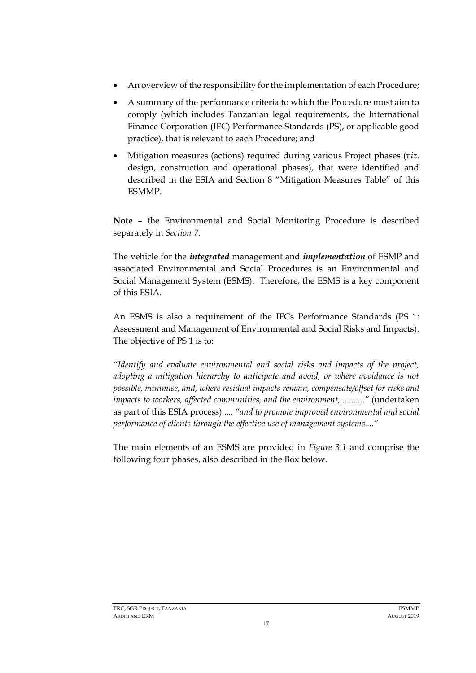- An overview of the responsibility for the implementation of each Procedure;
- A summary of the performance criteria to which the Procedure must aim to comply (which includes Tanzanian legal requirements, the International Finance Corporation (IFC) Performance Standards (PS), or applicable good practice), that is relevant to each Procedure; and
- Mitigation measures (actions) required during various Project phases (*viz.* design, construction and operational phases), that were identified and described in the ESIA and Section 8 "Mitigation Measures Table" of this ESMMP.

**Note** – the Environmental and Social Monitoring Procedure is described separately in *Section [7](#page-57-0)*.

The vehicle for the *integrated* management and *implementation* of ESMP and associated Environmental and Social Procedures is an Environmental and Social Management System (ESMS). Therefore, the ESMS is a key component of this ESIA.

An ESMS is also a requirement of the IFCs Performance Standards (PS 1: Assessment and Management of Environmental and Social Risks and Impacts). The objective of PS 1 is to:

*"Identify and evaluate environmental and social risks and impacts of the project, adopting a mitigation hierarchy to anticipate and avoid, or where avoidance is not possible, minimise, and, where residual impacts remain, compensate/offset for risks and impacts to workers, affected communities, and the environment, .........."* (undertaken as part of this ESIA process)*..... "and to promote improved environmental and social performance of clients through the effective use of management systems...."*

The main elements of an ESMS are provided in *[Figure 3.1](#page-19-0)* and comprise the following four phases, also described in the Box below.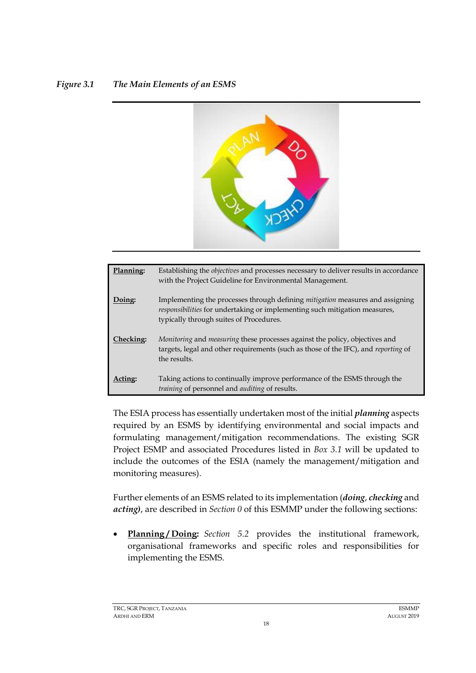# <span id="page-19-0"></span>*Figure 3.1 The Main Elements of an ESMS*



| Planning: | Establishing the <i>objectives</i> and processes necessary to deliver results in accordance<br>with the Project Guideline for Environmental Management.                                                       |
|-----------|---------------------------------------------------------------------------------------------------------------------------------------------------------------------------------------------------------------|
| Doing:    | Implementing the processes through defining <i>mitigation</i> measures and assigning<br>responsibilities for undertaking or implementing such mitigation measures,<br>typically through suites of Procedures. |
| Checking: | Monitoring and measuring these processes against the policy, objectives and<br>targets, legal and other requirements (such as those of the IFC), and reporting of<br>the results.                             |
|           | Taking actions to continually improve performance of the ESMS through the<br>training of personnel and <i>auditing</i> of results.                                                                            |

The ESIA process has essentially undertaken most of the initial *planning* aspects required by an ESMS by identifying environmental and social impacts and formulating management/mitigation recommendations. The existing SGR Project ESMP and associated Procedures listed in *Box 3.1* will be updated to include the outcomes of the ESIA (namely the management/mitigation and monitoring measures).

Further elements of an ESMS related to its implementation (*doing*, *checking* and *acting)*, are described in *Section [0](#page-31-0)* of this ESMMP under the following sections:

• **Planning / Doing:** *Section [5.2](#page-45-2)* provides the institutional framework, organisational frameworks and specific roles and responsibilities for implementing the ESMS.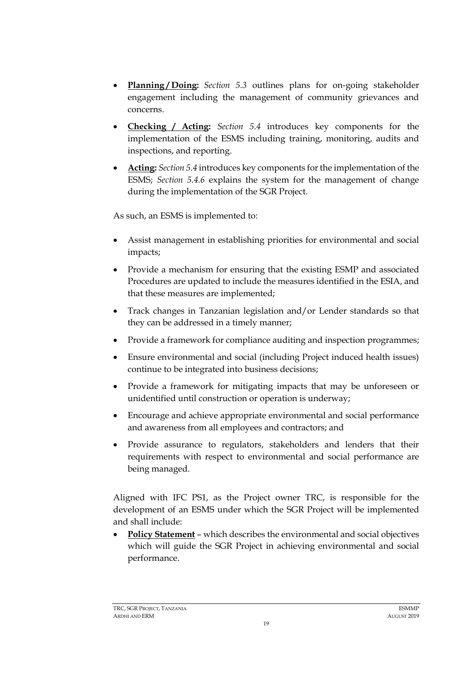- **Planning / Doing:** *Section [5.3](#page-47-2)* outlines plans for on-going stakeholder engagement including the management of community grievances and concerns.
- **Checking / Acting:** *Section [5.4](#page-48-0)* introduces key components for the implementation of the ESMS including training, monitoring, audits and inspections, and reporting.
- **Acting:** *Section [5.4](#page-48-0)* introduces key components for the implementation of the ESMS; *Section [5.4.6](#page-52-1)* explains the system for the management of change during the implementation of the SGR Project.

As such, an ESMS is implemented to:

- Assist management in establishing priorities for environmental and social impacts;
- Provide a mechanism for ensuring that the existing ESMP and associated Procedures are updated to include the measures identified in the ESIA, and that these measures are implemented;
- Track changes in Tanzanian legislation and/or Lender standards so that they can be addressed in a timely manner;
- Provide a framework for compliance auditing and inspection programmes;
- Ensure environmental and social (including Project induced health issues) continue to be integrated into business decisions;
- Provide a framework for mitigating impacts that may be unforeseen or unidentified until construction or operation is underway;
- Encourage and achieve appropriate environmental and social performance and awareness from all employees and contractors; and
- Provide assurance to regulators, stakeholders and lenders that their requirements with respect to environmental and social performance are being managed.

Aligned with IFC PS1, as the Project owner TRC, is responsible for the development of an ESMS under which the SGR Project will be implemented and shall include:

• **Policy Statement** – which describes the environmental and social objectives which will guide the SGR Project in achieving environmental and social performance.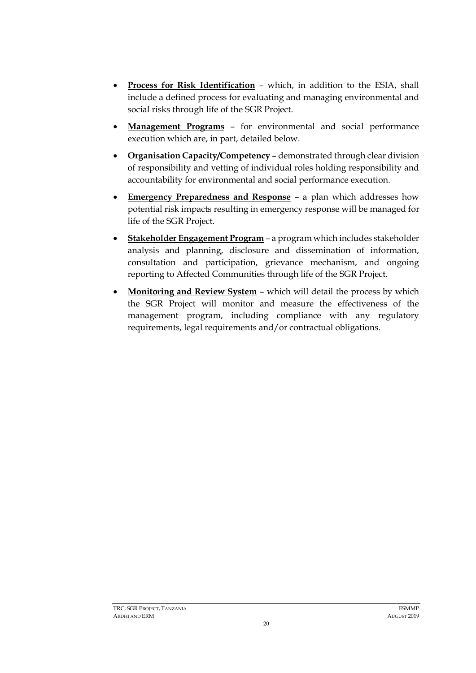- **Process for Risk Identification** which, in addition to the ESIA, shall include a defined process for evaluating and managing environmental and social risks through life of the SGR Project.
- **Management Programs** for environmental and social performance execution which are, in part, detailed below.
- **Organisation Capacity/Competency** demonstrated through clear division of responsibility and vetting of individual roles holding responsibility and accountability for environmental and social performance execution.
- **Emergency Preparedness and Response** a plan which addresses how potential risk impacts resulting in emergency response will be managed for life of the SGR Project.
- **Stakeholder Engagement Program** a program which includes stakeholder analysis and planning, disclosure and dissemination of information, consultation and participation, grievance mechanism, and ongoing reporting to Affected Communities through life of the SGR Project.
- **Monitoring and Review System** which will detail the process by which the SGR Project will monitor and measure the effectiveness of the management program, including compliance with any regulatory requirements, legal requirements and/or contractual obligations.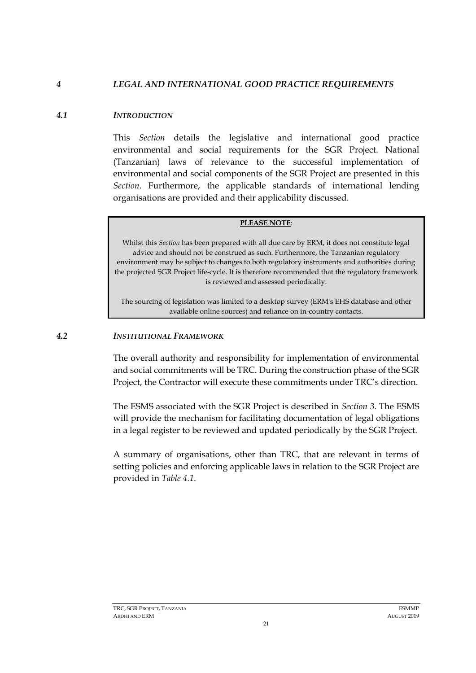#### *4 LEGAL AND INTERNATIONAL GOOD PRACTICE REQUIREMENTS*

#### *4.1 INTRODUCTION*

<span id="page-22-1"></span><span id="page-22-0"></span>This *Section* details the legislative and international good practice environmental and social requirements for the SGR Project. National (Tanzanian) laws of relevance to the successful implementation of environmental and social components of the SGR Project are presented in this *Section*. Furthermore, the applicable standards of international lending organisations are provided and their applicability discussed.

#### **PLEASE NOTE**:

Whilst this *Section* has been prepared with all due care by ERM, it does not constitute legal advice and should not be construed as such. Furthermore, the Tanzanian regulatory environment may be subject to changes to both regulatory instruments and authorities during the projected SGR Project life-cycle. It is therefore recommended that the regulatory framework is reviewed and assessed periodically.

The sourcing of legislation was limited to a desktop survey (ERM's EHS database and other available online sources) and reliance on in-country contacts.

#### *4.2 INSTITUTIONAL FRAMEWORK*

<span id="page-22-2"></span>The overall authority and responsibility for implementation of environmental and social commitments will be TRC. During the construction phase of the SGR Project, the Contractor will execute these commitments under TRC's direction.

The ESMS associated with the SGR Project is described in *Section [3](#page-17-0)*. The ESMS will provide the mechanism for facilitating documentation of legal obligations in a legal register to be reviewed and updated periodically by the SGR Project.

A summary of organisations, other than TRC, that are relevant in terms of setting policies and enforcing applicable laws in relation to the SGR Project are provided in *[Table 4.1](#page-23-2)*.

21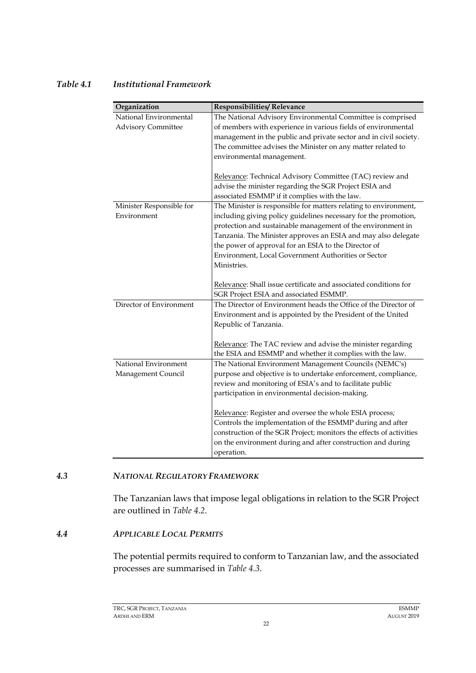#### <span id="page-23-2"></span>*Table 4.1 Institutional Framework*

| Organization              | <b>Responsibilities/ Relevance</b>                                  |
|---------------------------|---------------------------------------------------------------------|
| National Environmental    | The National Advisory Environmental Committee is comprised          |
| <b>Advisory Committee</b> | of members with experience in various fields of environmental       |
|                           | management in the public and private sector and in civil society.   |
|                           | The committee advises the Minister on any matter related to         |
|                           | environmental management.                                           |
|                           | Relevance: Technical Advisory Committee (TAC) review and            |
|                           | advise the minister regarding the SGR Project ESIA and              |
|                           | associated ESMMP if it complies with the law.                       |
| Minister Responsible for  | The Minister is responsible for matters relating to environment,    |
| Environment               | including giving policy guidelines necessary for the promotion,     |
|                           | protection and sustainable management of the environment in         |
|                           | Tanzania. The Minister approves an ESIA and may also delegate       |
|                           | the power of approval for an ESIA to the Director of                |
|                           | Environment, Local Government Authorities or Sector                 |
|                           | Ministries.                                                         |
|                           |                                                                     |
|                           | Relevance: Shall issue certificate and associated conditions for    |
|                           | SGR Project ESIA and associated ESMMP.                              |
| Director of Environment   | The Director of Environment heads the Office of the Director of     |
|                           | Environment and is appointed by the President of the United         |
|                           | Republic of Tanzania.                                               |
|                           | Relevance: The TAC review and advise the minister regarding         |
|                           | the ESIA and ESMMP and whether it complies with the law.            |
| National Environment      | The National Environment Management Councils (NEMC's)               |
| Management Council        | purpose and objective is to undertake enforcement, compliance,      |
|                           | review and monitoring of ESIA's and to facilitate public            |
|                           | participation in environmental decision-making.                     |
|                           |                                                                     |
|                           | Relevance: Register and oversee the whole ESIA process;             |
|                           | Controls the implementation of the ESMMP during and after           |
|                           | construction of the SGR Project; monitors the effects of activities |
|                           | on the environment during and after construction and during         |
|                           | operation.                                                          |

#### *4.3 NATIONAL REGULATORY FRAMEWORK*

<span id="page-23-0"></span>The Tanzanian laws that impose legal obligations in relation to the SGR Project are outlined in *[Table 4.2](#page-24-0)*.

#### *4.4 APPLICABLE LOCAL PERMITS*

<span id="page-23-1"></span>The potential permits required to conform to Tanzanian law, and the associated processes are summarised in *[Table 4.3](#page-31-0)*.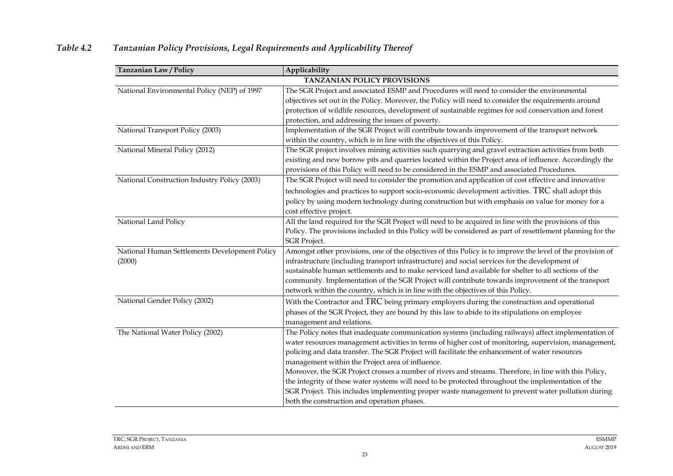<span id="page-24-0"></span>

| Tanzanian Law / Policy                                  | Applicability                                                                                                                                                                                                                                                                                                                                                                                                                                                                                                                                                                                                                                                                                                                            |
|---------------------------------------------------------|------------------------------------------------------------------------------------------------------------------------------------------------------------------------------------------------------------------------------------------------------------------------------------------------------------------------------------------------------------------------------------------------------------------------------------------------------------------------------------------------------------------------------------------------------------------------------------------------------------------------------------------------------------------------------------------------------------------------------------------|
|                                                         | TANZANIAN POLICY PROVISIONS                                                                                                                                                                                                                                                                                                                                                                                                                                                                                                                                                                                                                                                                                                              |
| National Environmental Policy (NEP) of 1997             | The SGR Project and associated ESMP and Procedures will need to consider the environmental<br>objectives set out in the Policy. Moreover, the Policy will need to consider the requirements around<br>protection of wildlife resources, development of sustainable regimes for soil conservation and forest<br>protection, and addressing the issues of poverty.                                                                                                                                                                                                                                                                                                                                                                         |
| National Transport Policy (2003)                        | Implementation of the SGR Project will contribute towards improvement of the transport network<br>within the country, which is in line with the objectives of this Policy.                                                                                                                                                                                                                                                                                                                                                                                                                                                                                                                                                               |
| National Mineral Policy (2012)                          | The SGR project involves mining activities such quarrying and gravel extraction activities from both<br>existing and new borrow pits and quarries located within the Project area of influence. Accordingly the<br>provisions of this Policy will need to be considered in the ESMP and associated Procedures.                                                                                                                                                                                                                                                                                                                                                                                                                           |
| National Construction Industry Policy (2003)            | The SGR Project will need to consider the promotion and application of cost effective and innovative<br>technologies and practices to support socio-economic development activities. TRC shall adopt this<br>policy by using modern technology during construction but with emphasis on value for money for a<br>cost effective project.                                                                                                                                                                                                                                                                                                                                                                                                 |
| National Land Policy                                    | All the land required for the SGR Project will need to be acquired in line with the provisions of this<br>Policy. The provisions included in this Policy will be considered as part of resettlement planning for the<br><b>SGR</b> Project.                                                                                                                                                                                                                                                                                                                                                                                                                                                                                              |
| National Human Settlements Development Policy<br>(2000) | Amongst other provisions, one of the objectives of this Policy is to improve the level of the provision of<br>infrastructure (including transport infrastructure) and social services for the development of<br>sustainable human settlements and to make serviced land available for shelter to all sections of the<br>community. Implementation of the SGR Project will contribute towards improvement of the transport<br>network within the country, which is in line with the objectives of this Policy.                                                                                                                                                                                                                            |
| National Gender Policy (2002)                           | With the Contractor and TRC being primary employers during the construction and operational<br>phases of the SGR Project, they are bound by this law to abide to its stipulations on employee<br>management and relations.                                                                                                                                                                                                                                                                                                                                                                                                                                                                                                               |
| The National Water Policy (2002)                        | The Policy notes that inadequate communication systems (including railways) affect implementation of<br>water resources management activities in terms of higher cost of monitoring, supervision, management,<br>policing and data transfer. The SGR Project will facilitate the enhancement of water resources<br>management within the Project area of influence.<br>Moreover, the SGR Project crosses a number of rivers and streams. Therefore, in line with this Policy,<br>the integrity of these water systems will need to be protected throughout the implementation of the<br>SGR Project. This includes implementing proper waste management to prevent water pollution during<br>both the construction and operation phases. |

# *Table 4.2 Tanzanian Policy Provisions, Legal Requirements and Applicability Thereof*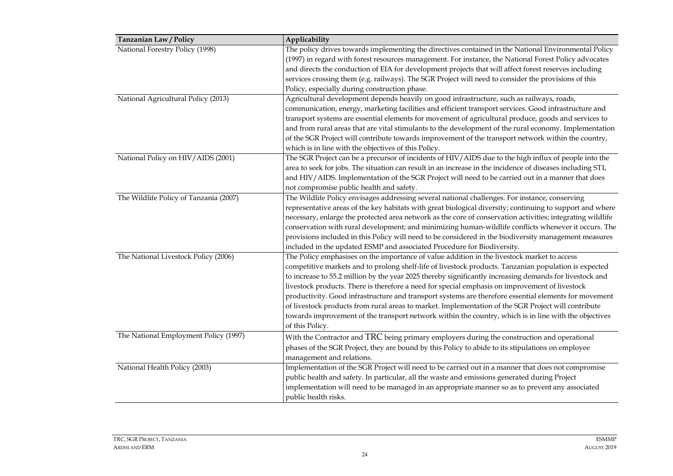| Tanzanian Law / Policy                 | Applicability                                                                                              |
|----------------------------------------|------------------------------------------------------------------------------------------------------------|
| National Forestry Policy (1998)        | The policy drives towards implementing the directives contained in the National Environmental Policy       |
|                                        | (1997) in regard with forest resources management. For instance, the National Forest Policy advocates      |
|                                        | and directs the conduction of EIA for development projects that will affect forest reserves including      |
|                                        | services crossing them (e.g. railways). The SGR Project will need to consider the provisions of this       |
|                                        | Policy, especially during construction phase.                                                              |
| National Agricultural Policy (2013)    | Agricultural development depends heavily on good infrastructure, such as railways, roads,                  |
|                                        | communication, energy, marketing facilities and efficient transport services. Good infrastructure and      |
|                                        | transport systems are essential elements for movement of agricultural produce, goods and services to       |
|                                        | and from rural areas that are vital stimulants to the development of the rural economy. Implementation     |
|                                        | of the SGR Project will contribute towards improvement of the transport network within the country,        |
|                                        | which is in line with the objectives of this Policy.                                                       |
| National Policy on HIV/AIDS (2001)     | The SGR Project can be a precursor of incidents of HIV/AIDS due to the high influx of people into the      |
|                                        | area to seek for jobs. The situation can result in an increase in the incidence of diseases including STI, |
|                                        | and HIV/AIDS. Implementation of the SGR Project will need to be carried out in a manner that does          |
|                                        | not compromise public health and safety.                                                                   |
| The Wildlife Policy of Tanzania (2007) | The Wildlife Policy envisages addressing several national challenges. For instance, conserving             |
|                                        | representative areas of the key habitats with great biological diversity; continuing to support and where  |
|                                        | necessary, enlarge the protected area network as the core of conservation activities; integrating wildlife |
|                                        | conservation with rural development; and minimizing human-wildlife conflicts whenever it occurs. The       |
|                                        | provisions included in this Policy will need to be considered in the biodiversity management measures      |
|                                        | included in the updated ESMP and associated Procedure for Biodiversity.                                    |
| The National Livestock Policy (2006)   | The Policy emphasises on the importance of value addition in the livestock market to access                |
|                                        | competitive markets and to prolong shelf-life of livestock products. Tanzanian population is expected      |
|                                        | to increase to 55.2 million by the year 2025 thereby significantly increasing demands for livestock and    |
|                                        | livestock products. There is therefore a need for special emphasis on improvement of livestock             |
|                                        | productivity. Good infrastructure and transport systems are therefore essential elements for movement      |
|                                        | of livestock products from rural areas to market. Implementation of the SGR Project will contribute        |
|                                        | towards improvement of the transport network within the country, which is in line with the objectives      |
|                                        | of this Policy.                                                                                            |
| The National Employment Policy (1997)  | With the Contractor and TRC being primary employers during the construction and operational                |
|                                        | phases of the SGR Project, they are bound by this Policy to abide to its stipulations on employee          |
|                                        | management and relations.                                                                                  |
| National Health Policy (2003)          | Implementation of the SGR Project will need to be carried out in a manner that does not compromise         |
|                                        | public health and safety. In particular, all the waste and emissions generated during Project              |
|                                        | implementation will need to be managed in an appropriate manner so as to prevent any associated            |
|                                        | public health risks.                                                                                       |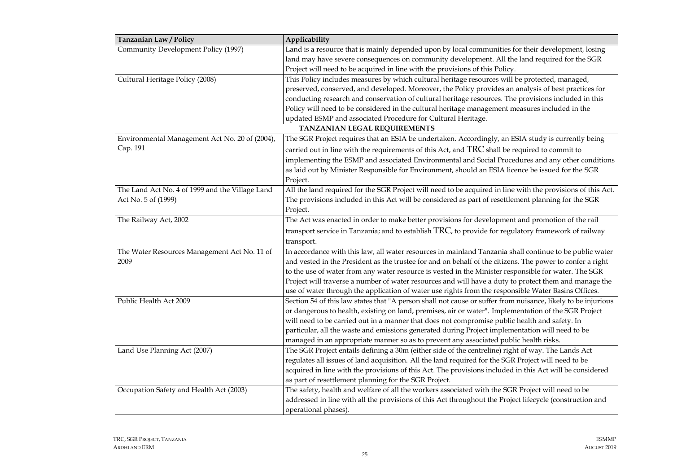| Applicability                                                                                                |
|--------------------------------------------------------------------------------------------------------------|
| Land is a resource that is mainly depended upon by local communities for their development, losing           |
| land may have severe consequences on community development. All the land required for the SGR                |
| Project will need to be acquired in line with the provisions of this Policy.                                 |
| This Policy includes measures by which cultural heritage resources will be protected, managed,               |
| preserved, conserved, and developed. Moreover, the Policy provides an analysis of best practices for         |
| conducting research and conservation of cultural heritage resources. The provisions included in this         |
| Policy will need to be considered in the cultural heritage management measures included in the               |
| updated ESMP and associated Procedure for Cultural Heritage.                                                 |
| TANZANIAN LEGAL REQUIREMENTS                                                                                 |
| The SGR Project requires that an ESIA be undertaken. Accordingly, an ESIA study is currently being           |
| carried out in line with the requirements of this Act, and TRC shall be required to commit to                |
| implementing the ESMP and associated Environmental and Social Procedures and any other conditions            |
| as laid out by Minister Responsible for Environment, should an ESIA licence be issued for the SGR            |
| Project.                                                                                                     |
| All the land required for the SGR Project will need to be acquired in line with the provisions of this Act.  |
| The provisions included in this Act will be considered as part of resettlement planning for the SGR          |
| Project.                                                                                                     |
| The Act was enacted in order to make better provisions for development and promotion of the rail             |
| transport service in Tanzania; and to establish TRC, to provide for regulatory framework of railway          |
| transport.                                                                                                   |
| In accordance with this law, all water resources in mainland Tanzania shall continue to be public water      |
| and vested in the President as the trustee for and on behalf of the citizens. The power to confer a right    |
| to the use of water from any water resource is vested in the Minister responsible for water. The SGR         |
| Project will traverse a number of water resources and will have a duty to protect them and manage the        |
| use of water through the application of water use rights from the responsible Water Basins Offices.          |
| Section 54 of this law states that "A person shall not cause or suffer from nuisance, likely to be injurious |
| or dangerous to health, existing on land, premises, air or water". Implementation of the SGR Project         |
| will need to be carried out in a manner that does not compromise public health and safety. In                |
| particular, all the waste and emissions generated during Project implementation will need to be              |
| managed in an appropriate manner so as to prevent any associated public health risks.                        |
| The SGR Project entails defining a 30m (either side of the centreline) right of way. The Lands Act           |
| regulates all issues of land acquisition. All the land required for the SGR Project will need to be          |
| acquired in line with the provisions of this Act. The provisions included in this Act will be considered     |
| as part of resettlement planning for the SGR Project.                                                        |
| The safety, health and welfare of all the workers associated with the SGR Project will need to be            |
| addressed in line with all the provisions of this Act throughout the Project lifecycle (construction and     |
| operational phases).                                                                                         |
|                                                                                                              |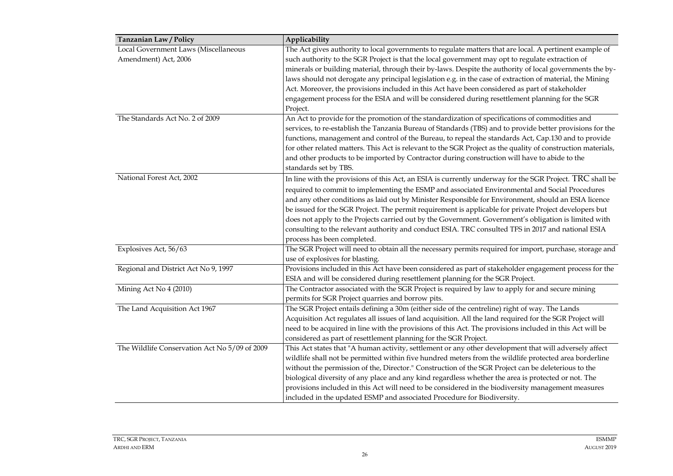| <b>Tanzanian Law / Policy</b>                 | Applicability                                                                                                |
|-----------------------------------------------|--------------------------------------------------------------------------------------------------------------|
| Local Government Laws (Miscellaneous          | The Act gives authority to local governments to regulate matters that are local. A pertinent example of      |
| Amendment) Act, 2006                          | such authority to the SGR Project is that the local government may opt to regulate extraction of             |
|                                               | minerals or building material, through their by-laws. Despite the authority of local governments the by-     |
|                                               | laws should not derogate any principal legislation e.g. in the case of extraction of material, the Mining    |
|                                               | Act. Moreover, the provisions included in this Act have been considered as part of stakeholder               |
|                                               | engagement process for the ESIA and will be considered during resettlement planning for the SGR              |
|                                               | Project.                                                                                                     |
| The Standards Act No. 2 of 2009               | An Act to provide for the promotion of the standardization of specifications of commodities and              |
|                                               | services, to re-establish the Tanzania Bureau of Standards (TBS) and to provide better provisions for the    |
|                                               | functions, management and control of the Bureau, to repeal the standards Act, Cap.130 and to provide         |
|                                               | for other related matters. This Act is relevant to the SGR Project as the quality of construction materials, |
|                                               | and other products to be imported by Contractor during construction will have to abide to the                |
|                                               | standards set by TBS.                                                                                        |
| National Forest Act, 2002                     | In line with the provisions of this Act, an ESIA is currently underway for the SGR Project. TRC shall be     |
|                                               | required to commit to implementing the ESMP and associated Environmental and Social Procedures               |
|                                               | and any other conditions as laid out by Minister Responsible for Environment, should an ESIA licence         |
|                                               | be issued for the SGR Project. The permit requirement is applicable for private Project developers but       |
|                                               | does not apply to the Projects carried out by the Government. Government's obligation is limited with        |
|                                               | consulting to the relevant authority and conduct ESIA. TRC consulted TFS in 2017 and national ESIA           |
|                                               | process has been completed.                                                                                  |
| Explosives Act, 56/63                         | The SGR Project will need to obtain all the necessary permits required for import, purchase, storage and     |
|                                               | use of explosives for blasting.                                                                              |
| Regional and District Act No 9, 1997          | Provisions included in this Act have been considered as part of stakeholder engagement process for the       |
|                                               | ESIA and will be considered during resettlement planning for the SGR Project.                                |
| Mining Act No 4 (2010)                        | The Contractor associated with the SGR Project is required by law to apply for and secure mining             |
|                                               | permits for SGR Project quarries and borrow pits.                                                            |
| The Land Acquisition Act 1967                 | The SGR Project entails defining a 30m (either side of the centreline) right of way. The Lands               |
|                                               | Acquisition Act regulates all issues of land acquisition. All the land required for the SGR Project will     |
|                                               | need to be acquired in line with the provisions of this Act. The provisions included in this Act will be     |
|                                               | considered as part of resettlement planning for the SGR Project.                                             |
| The Wildlife Conservation Act No 5/09 of 2009 | This Act states that "A human activity, settlement or any other development that will adversely affect       |
|                                               | wildlife shall not be permitted within five hundred meters from the wildlife protected area borderline       |
|                                               | without the permission of the, Director." Construction of the SGR Project can be deleterious to the          |
|                                               | biological diversity of any place and any kind regardless whether the area is protected or not. The          |
|                                               | provisions included in this Act will need to be considered in the biodiversity management measures           |
|                                               | included in the updated ESMP and associated Procedure for Biodiversity.                                      |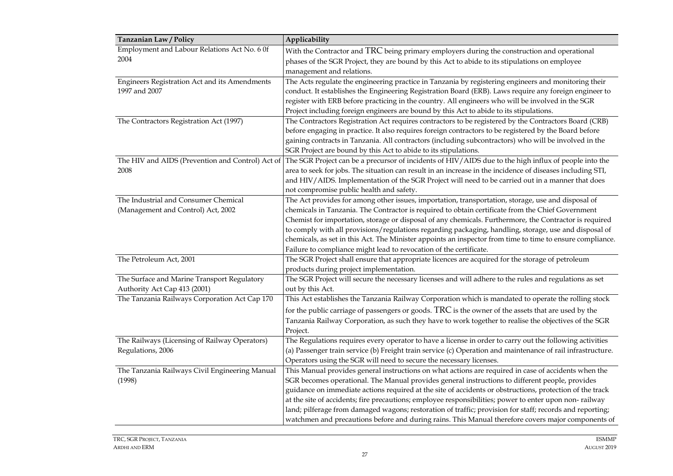| Tanzanian Law / Policy                         | Applicability                                                                                                                                          |  |  |  |  |
|------------------------------------------------|--------------------------------------------------------------------------------------------------------------------------------------------------------|--|--|--|--|
| Employment and Labour Relations Act No. 6 0f   | With the Contractor and TRC being primary employers during the construction and operational                                                            |  |  |  |  |
| 2004                                           | phases of the SGR Project, they are bound by this Act to abide to its stipulations on employee                                                         |  |  |  |  |
|                                                | management and relations.                                                                                                                              |  |  |  |  |
| Engineers Registration Act and its Amendments  | The Acts regulate the engineering practice in Tanzania by registering engineers and monitoring their                                                   |  |  |  |  |
| 1997 and 2007                                  | conduct. It establishes the Engineering Registration Board (ERB). Laws require any foreign engineer to                                                 |  |  |  |  |
|                                                | register with ERB before practicing in the country. All engineers who will be involved in the SGR                                                      |  |  |  |  |
|                                                | Project including foreign engineers are bound by this Act to abide to its stipulations.                                                                |  |  |  |  |
| The Contractors Registration Act (1997)        | The Contractors Registration Act requires contractors to be registered by the Contractors Board (CRB)                                                  |  |  |  |  |
|                                                | before engaging in practice. It also requires foreign contractors to be registered by the Board before                                                 |  |  |  |  |
|                                                | gaining contracts in Tanzania. All contractors (including subcontractors) who will be involved in the                                                  |  |  |  |  |
|                                                | SGR Project are bound by this Act to abide to its stipulations.                                                                                        |  |  |  |  |
|                                                | The HIV and AIDS (Prevention and Control) Act of The SGR Project can be a precursor of incidents of HIV/AIDS due to the high influx of people into the |  |  |  |  |
| 2008                                           | area to seek for jobs. The situation can result in an increase in the incidence of diseases including STI,                                             |  |  |  |  |
|                                                | and HIV/AIDS. Implementation of the SGR Project will need to be carried out in a manner that does                                                      |  |  |  |  |
|                                                | not compromise public health and safety.                                                                                                               |  |  |  |  |
| The Industrial and Consumer Chemical           | The Act provides for among other issues, importation, transportation, storage, use and disposal of                                                     |  |  |  |  |
| (Management and Control) Act, 2002             | chemicals in Tanzania. The Contractor is required to obtain certificate from the Chief Government                                                      |  |  |  |  |
|                                                | Chemist for importation, storage or disposal of any chemicals. Furthermore, the Contractor is required                                                 |  |  |  |  |
|                                                | to comply with all provisions/regulations regarding packaging, handling, storage, use and disposal of                                                  |  |  |  |  |
|                                                | chemicals, as set in this Act. The Minister appoints an inspector from time to time to ensure compliance.                                              |  |  |  |  |
|                                                | Failure to compliance might lead to revocation of the certificate.                                                                                     |  |  |  |  |
| The Petroleum Act, 2001                        | The SGR Project shall ensure that appropriate licences are acquired for the storage of petroleum                                                       |  |  |  |  |
|                                                | products during project implementation.                                                                                                                |  |  |  |  |
| The Surface and Marine Transport Regulatory    | The SGR Project will secure the necessary licenses and will adhere to the rules and regulations as set                                                 |  |  |  |  |
| Authority Act Cap 413 (2001)                   | out by this Act.                                                                                                                                       |  |  |  |  |
| The Tanzania Railways Corporation Act Cap 170  | This Act establishes the Tanzania Railway Corporation which is mandated to operate the rolling stock                                                   |  |  |  |  |
|                                                | for the public carriage of passengers or goods. TRC is the owner of the assets that are used by the                                                    |  |  |  |  |
|                                                | Tanzania Railway Corporation, as such they have to work together to realise the objectives of the SGR                                                  |  |  |  |  |
|                                                | Project.                                                                                                                                               |  |  |  |  |
| The Railways (Licensing of Railway Operators)  | The Regulations requires every operator to have a license in order to carry out the following activities                                               |  |  |  |  |
| Regulations, 2006                              | (a) Passenger train service (b) Freight train service (c) Operation and maintenance of rail infrastructure.                                            |  |  |  |  |
|                                                | Operators using the SGR will need to secure the necessary licenses.                                                                                    |  |  |  |  |
| The Tanzania Railways Civil Engineering Manual | This Manual provides general instructions on what actions are required in case of accidents when the                                                   |  |  |  |  |
| (1998)                                         | SGR becomes operational. The Manual provides general instructions to different people, provides                                                        |  |  |  |  |
|                                                | guidance on immediate actions required at the site of accidents or obstructions, protection of the track                                               |  |  |  |  |
|                                                | at the site of accidents; fire precautions; employee responsibilities; power to enter upon non-railway                                                 |  |  |  |  |
|                                                | land; pilferage from damaged wagons; restoration of traffic; provision for staff; records and reporting;                                               |  |  |  |  |
|                                                | watchmen and precautions before and during rains. This Manual therefore covers major components of                                                     |  |  |  |  |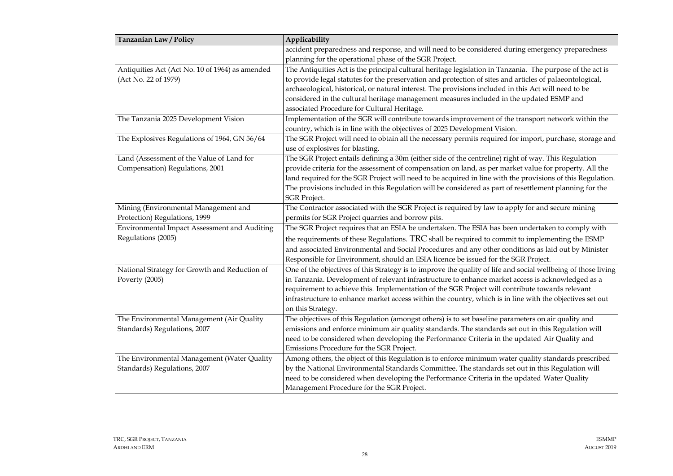| Tanzanian Law / Policy                          | Applicability                                                                                                 |  |  |  |  |
|-------------------------------------------------|---------------------------------------------------------------------------------------------------------------|--|--|--|--|
|                                                 | accident preparedness and response, and will need to be considered during emergency preparedness              |  |  |  |  |
|                                                 | planning for the operational phase of the SGR Project.                                                        |  |  |  |  |
| Antiquities Act (Act No. 10 of 1964) as amended | The Antiquities Act is the principal cultural heritage legislation in Tanzania. The purpose of the act is     |  |  |  |  |
| (Act No. 22 of 1979)                            | to provide legal statutes for the preservation and protection of sites and articles of palaeontological,      |  |  |  |  |
|                                                 | archaeological, historical, or natural interest. The provisions included in this Act will need to be          |  |  |  |  |
|                                                 | considered in the cultural heritage management measures included in the updated ESMP and                      |  |  |  |  |
|                                                 | associated Procedure for Cultural Heritage.                                                                   |  |  |  |  |
| The Tanzania 2025 Development Vision            | Implementation of the SGR will contribute towards improvement of the transport network within the             |  |  |  |  |
|                                                 | country, which is in line with the objectives of 2025 Development Vision.                                     |  |  |  |  |
| The Explosives Regulations of 1964, GN 56/64    | The SGR Project will need to obtain all the necessary permits required for import, purchase, storage and      |  |  |  |  |
|                                                 | use of explosives for blasting.                                                                               |  |  |  |  |
| Land (Assessment of the Value of Land for       | The SGR Project entails defining a 30m (either side of the centreline) right of way. This Regulation          |  |  |  |  |
| Compensation) Regulations, 2001                 | provide criteria for the assessment of compensation on land, as per market value for property. All the        |  |  |  |  |
|                                                 | land required for the SGR Project will need to be acquired in line with the provisions of this Regulation.    |  |  |  |  |
|                                                 | The provisions included in this Regulation will be considered as part of resettlement planning for the        |  |  |  |  |
|                                                 | <b>SGR</b> Project.                                                                                           |  |  |  |  |
| Mining (Environmental Management and            | The Contractor associated with the SGR Project is required by law to apply for and secure mining              |  |  |  |  |
| Protection) Regulations, 1999                   | permits for SGR Project quarries and borrow pits.                                                             |  |  |  |  |
| Environmental Impact Assessment and Auditing    | The SGR Project requires that an ESIA be undertaken. The ESIA has been undertaken to comply with              |  |  |  |  |
| Regulations (2005)                              | the requirements of these Regulations. TRC shall be required to commit to implementing the ESMP               |  |  |  |  |
|                                                 | and associated Environmental and Social Procedures and any other conditions as laid out by Minister           |  |  |  |  |
|                                                 | Responsible for Environment, should an ESIA licence be issued for the SGR Project.                            |  |  |  |  |
| National Strategy for Growth and Reduction of   | One of the objectives of this Strategy is to improve the quality of life and social wellbeing of those living |  |  |  |  |
| Poverty (2005)                                  | in Tanzania. Development of relevant infrastructure to enhance market access is acknowledged as a             |  |  |  |  |
|                                                 | requirement to achieve this. Implementation of the SGR Project will contribute towards relevant               |  |  |  |  |
|                                                 | infrastructure to enhance market access within the country, which is in line with the objectives set out      |  |  |  |  |
|                                                 | on this Strategy.                                                                                             |  |  |  |  |
| The Environmental Management (Air Quality       | The objectives of this Regulation (amongst others) is to set baseline parameters on air quality and           |  |  |  |  |
| Standards) Regulations, 2007                    | emissions and enforce minimum air quality standards. The standards set out in this Regulation will            |  |  |  |  |
|                                                 | need to be considered when developing the Performance Criteria in the updated Air Quality and                 |  |  |  |  |
|                                                 | Emissions Procedure for the SGR Project.                                                                      |  |  |  |  |
| The Environmental Management (Water Quality     | Among others, the object of this Regulation is to enforce minimum water quality standards prescribed          |  |  |  |  |
| Standards) Regulations, 2007                    | by the National Environmental Standards Committee. The standards set out in this Regulation will              |  |  |  |  |
|                                                 | need to be considered when developing the Performance Criteria in the updated Water Quality                   |  |  |  |  |
|                                                 | Management Procedure for the SGR Project.                                                                     |  |  |  |  |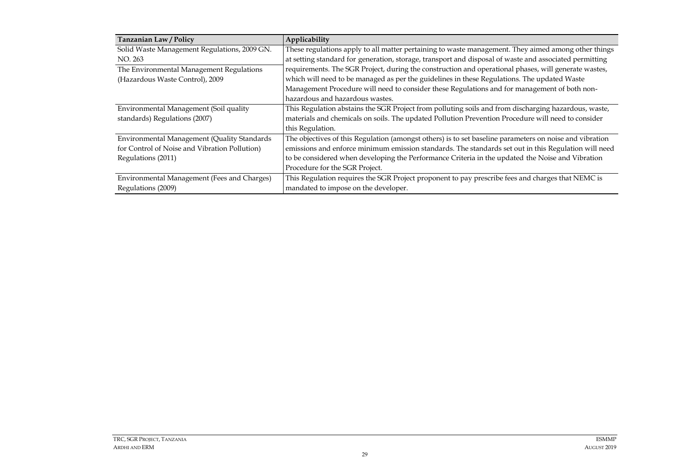| Tanzanian Law / Policy                        | Applicability                                                                                           |
|-----------------------------------------------|---------------------------------------------------------------------------------------------------------|
| Solid Waste Management Regulations, 2009 GN.  | These regulations apply to all matter pertaining to waste management. They aimed among other things     |
| NO. 263                                       | at setting standard for generation, storage, transport and disposal of waste and associated permitting  |
| The Environmental Management Regulations      | requirements. The SGR Project, during the construction and operational phases, will generate wastes,    |
| (Hazardous Waste Control), 2009               | which will need to be managed as per the guidelines in these Regulations. The updated Waste             |
|                                               | Management Procedure will need to consider these Regulations and for management of both non-            |
|                                               | hazardous and hazardous wastes.                                                                         |
| Environmental Management (Soil quality        | This Regulation abstains the SGR Project from polluting soils and from discharging hazardous, waste,    |
| standards) Regulations (2007)                 | materials and chemicals on soils. The updated Pollution Prevention Procedure will need to consider      |
|                                               | this Regulation.                                                                                        |
| Environmental Management (Quality Standards   | The objectives of this Regulation (amongst others) is to set baseline parameters on noise and vibration |
| for Control of Noise and Vibration Pollution) | emissions and enforce minimum emission standards. The standards set out in this Regulation will need    |
| Regulations (2011)                            | to be considered when developing the Performance Criteria in the updated the Noise and Vibration        |
|                                               | Procedure for the SGR Project.                                                                          |
| Environmental Management (Fees and Charges)   | This Regulation requires the SGR Project proponent to pay prescribe fees and charges that NEMC is       |
| Regulations (2009)                            | mandated to impose on the developer.                                                                    |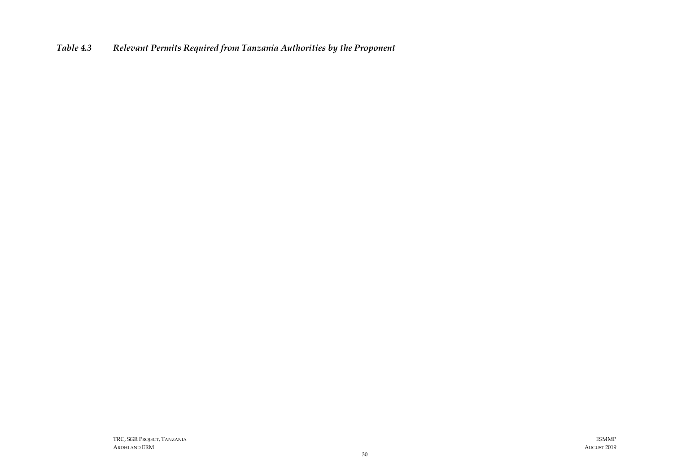<span id="page-31-0"></span>*Table 4.3 Relevant Permits Required from Tanzania Authorities by the Proponent*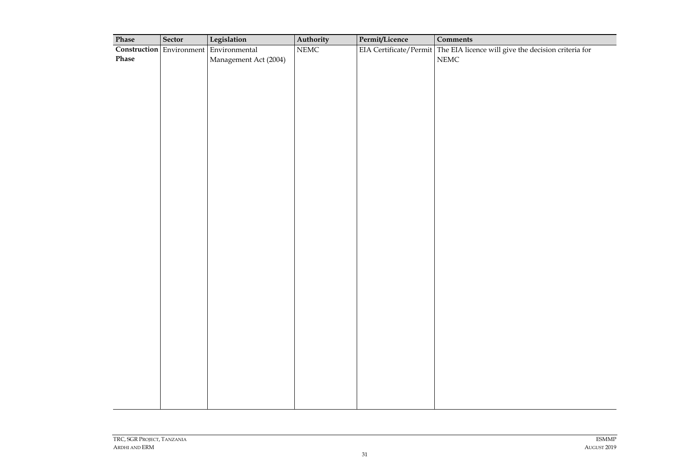| Phase            | Sector                          | Legislation           | Authority                | Permit/Licence         | <b>Comments</b>                                     |
|------------------|---------------------------------|-----------------------|--------------------------|------------------------|-----------------------------------------------------|
|                  | <b>Construction</b> Environment | Environmental         | $\overline{\text{NEMC}}$ | EIA Certificate/Permit | The EIA licence will give the decision criteria for |
| $\mathbf{Phase}$ |                                 | Management Act (2004) |                          |                        | $NEMC$                                              |
|                  |                                 |                       |                          |                        |                                                     |
|                  |                                 |                       |                          |                        |                                                     |
|                  |                                 |                       |                          |                        |                                                     |
|                  |                                 |                       |                          |                        |                                                     |
|                  |                                 |                       |                          |                        |                                                     |
|                  |                                 |                       |                          |                        |                                                     |
|                  |                                 |                       |                          |                        |                                                     |
|                  |                                 |                       |                          |                        |                                                     |
|                  |                                 |                       |                          |                        |                                                     |
|                  |                                 |                       |                          |                        |                                                     |
|                  |                                 |                       |                          |                        |                                                     |
|                  |                                 |                       |                          |                        |                                                     |
|                  |                                 |                       |                          |                        |                                                     |
|                  |                                 |                       |                          |                        |                                                     |
|                  |                                 |                       |                          |                        |                                                     |
|                  |                                 |                       |                          |                        |                                                     |
|                  |                                 |                       |                          |                        |                                                     |
|                  |                                 |                       |                          |                        |                                                     |
|                  |                                 |                       |                          |                        |                                                     |
|                  |                                 |                       |                          |                        |                                                     |
|                  |                                 |                       |                          |                        |                                                     |
|                  |                                 |                       |                          |                        |                                                     |
|                  |                                 |                       |                          |                        |                                                     |
|                  |                                 |                       |                          |                        |                                                     |
|                  |                                 |                       |                          |                        |                                                     |
|                  |                                 |                       |                          |                        |                                                     |
|                  |                                 |                       |                          |                        |                                                     |
|                  |                                 |                       |                          |                        |                                                     |
|                  |                                 |                       |                          |                        |                                                     |
|                  |                                 |                       |                          |                        |                                                     |
|                  |                                 |                       |                          |                        |                                                     |
|                  |                                 |                       |                          |                        |                                                     |
|                  |                                 |                       |                          |                        |                                                     |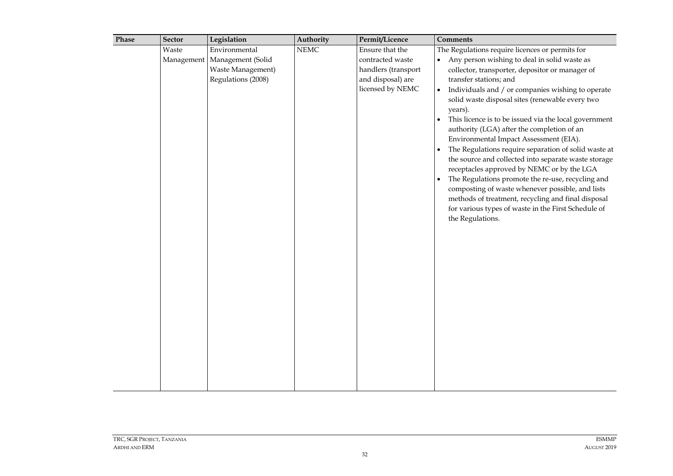| Waste |                                |                       |                                       | <b>Comments</b>                                                                                                                                                                                                                                                                                                                                                                                                                                                                                                                                                                                                                                                                                                                           |
|-------|--------------------------------|-----------------------|---------------------------------------|-------------------------------------------------------------------------------------------------------------------------------------------------------------------------------------------------------------------------------------------------------------------------------------------------------------------------------------------------------------------------------------------------------------------------------------------------------------------------------------------------------------------------------------------------------------------------------------------------------------------------------------------------------------------------------------------------------------------------------------------|
|       | Environmental                  | $\operatorname{NEMC}$ | Ensure that the                       | The Regulations require licences or permits for                                                                                                                                                                                                                                                                                                                                                                                                                                                                                                                                                                                                                                                                                           |
|       | Management   Management (Solid |                       | contracted waste                      | • Any person wishing to deal in solid waste as                                                                                                                                                                                                                                                                                                                                                                                                                                                                                                                                                                                                                                                                                            |
|       | Waste Management)              |                       | handlers (transport                   | collector, transporter, depositor or manager of                                                                                                                                                                                                                                                                                                                                                                                                                                                                                                                                                                                                                                                                                           |
|       |                                |                       |                                       |                                                                                                                                                                                                                                                                                                                                                                                                                                                                                                                                                                                                                                                                                                                                           |
|       | Regulations (2008)             |                       | and disposal) are<br>licensed by NEMC | transfer stations; and<br>Individuals and / or companies wishing to operate<br>$\bullet$<br>solid waste disposal sites (renewable every two<br>years).<br>This licence is to be issued via the local government<br>authority (LGA) after the completion of an<br>Environmental Impact Assessment (EIA).<br>The Regulations require separation of solid waste at<br>$\bullet$<br>the source and collected into separate waste storage<br>receptacles approved by NEMC or by the LGA<br>The Regulations promote the re-use, recycling and<br>$\bullet$<br>composting of waste whenever possible, and lists<br>methods of treatment, recycling and final disposal<br>for various types of waste in the First Schedule of<br>the Regulations. |
|       |                                |                       |                                       |                                                                                                                                                                                                                                                                                                                                                                                                                                                                                                                                                                                                                                                                                                                                           |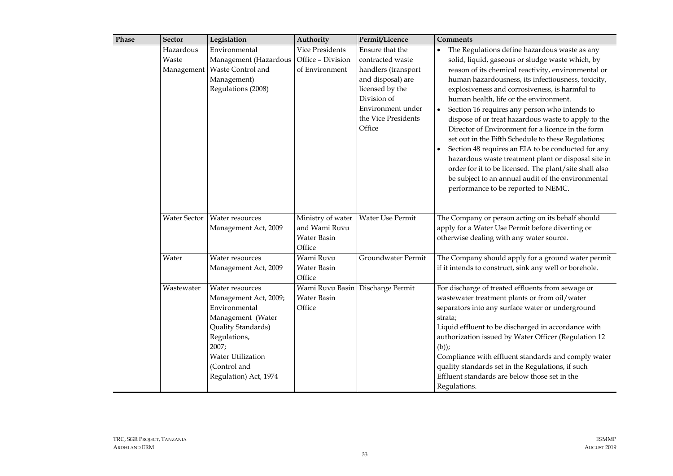| Phase | <b>Sector</b>                    | Legislation                                                                                                                                                                                        | Authority                                                   | Permit/Licence                                                                                                                                                          | Comments                                                                                                                                                                                                                                                                                                                                                                                                                                                                                                                                                                                                                                                                                                                                                                                                        |
|-------|----------------------------------|----------------------------------------------------------------------------------------------------------------------------------------------------------------------------------------------------|-------------------------------------------------------------|-------------------------------------------------------------------------------------------------------------------------------------------------------------------------|-----------------------------------------------------------------------------------------------------------------------------------------------------------------------------------------------------------------------------------------------------------------------------------------------------------------------------------------------------------------------------------------------------------------------------------------------------------------------------------------------------------------------------------------------------------------------------------------------------------------------------------------------------------------------------------------------------------------------------------------------------------------------------------------------------------------|
|       | Hazardous<br>Waste<br>Management | Environmental<br>Management (Hazardous<br>Waste Control and<br>Management)<br>Regulations (2008)                                                                                                   | Vice Presidents<br>Office - Division<br>of Environment      | Ensure that the<br>contracted waste<br>handlers (transport<br>and disposal) are<br>licensed by the<br>Division of<br>Environment under<br>the Vice Presidents<br>Office | The Regulations define hazardous waste as any<br>solid, liquid, gaseous or sludge waste which, by<br>reason of its chemical reactivity, environmental or<br>human hazardousness, its infectiousness, toxicity,<br>explosiveness and corrosiveness, is harmful to<br>human health, life or the environment.<br>Section 16 requires any person who intends to<br>$\bullet$<br>dispose of or treat hazardous waste to apply to the<br>Director of Environment for a licence in the form<br>set out in the Fifth Schedule to these Regulations;<br>Section 48 requires an EIA to be conducted for any<br>hazardous waste treatment plant or disposal site in<br>order for it to be licensed. The plant/site shall also<br>be subject to an annual audit of the environmental<br>performance to be reported to NEMC. |
|       | Water Sector                     | Water resources<br>Management Act, 2009                                                                                                                                                            | Ministry of water<br>and Wami Ruvu<br>Water Basin<br>Office | Water Use Permit                                                                                                                                                        | The Company or person acting on its behalf should<br>apply for a Water Use Permit before diverting or<br>otherwise dealing with any water source.                                                                                                                                                                                                                                                                                                                                                                                                                                                                                                                                                                                                                                                               |
|       | Water                            | Water resources<br>Management Act, 2009                                                                                                                                                            | Wami Ruvu<br>Water Basin<br>Office                          | Groundwater Permit                                                                                                                                                      | The Company should apply for a ground water permit<br>if it intends to construct, sink any well or borehole.                                                                                                                                                                                                                                                                                                                                                                                                                                                                                                                                                                                                                                                                                                    |
|       | Wastewater                       | Water resources<br>Management Act, 2009;<br>Environmental<br>Management (Water<br>Quality Standards)<br>Regulations,<br>2007;<br><b>Water Utilization</b><br>(Control and<br>Regulation) Act, 1974 | Wami Ruvu Basin<br>Water Basin<br>Office                    | Discharge Permit                                                                                                                                                        | For discharge of treated effluents from sewage or<br>wastewater treatment plants or from oil/water<br>separators into any surface water or underground<br>strata;<br>Liquid effluent to be discharged in accordance with<br>authorization issued by Water Officer (Regulation 12<br>$(b))$ ;<br>Compliance with effluent standards and comply water<br>quality standards set in the Regulations, if such<br>Effluent standards are below those set in the<br>Regulations.                                                                                                                                                                                                                                                                                                                                       |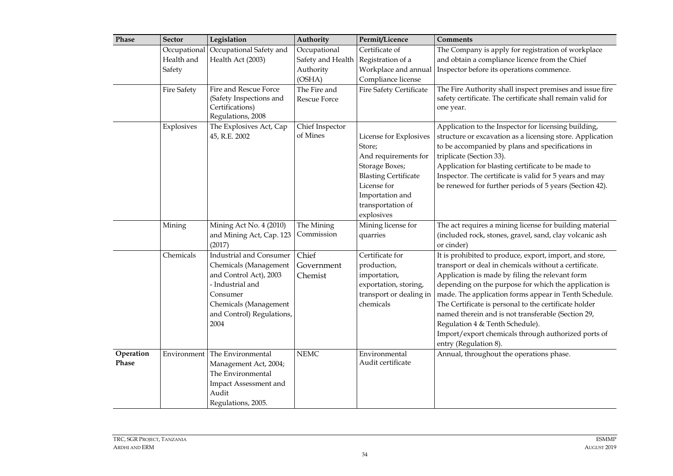| Phase              | <b>Sector</b>      | Legislation                                                                                                                                                                     | Authority                      | Permit/Licence                                                                                                                                                                 | <b>Comments</b>                                                                                                                                                                                                                                                                                                                                                                                                                                                                                                         |
|--------------------|--------------------|---------------------------------------------------------------------------------------------------------------------------------------------------------------------------------|--------------------------------|--------------------------------------------------------------------------------------------------------------------------------------------------------------------------------|-------------------------------------------------------------------------------------------------------------------------------------------------------------------------------------------------------------------------------------------------------------------------------------------------------------------------------------------------------------------------------------------------------------------------------------------------------------------------------------------------------------------------|
|                    | Occupational       | Occupational Safety and                                                                                                                                                         | Occupational                   | Certificate of                                                                                                                                                                 | The Company is apply for registration of workplace                                                                                                                                                                                                                                                                                                                                                                                                                                                                      |
|                    | Health and         | Health Act (2003)                                                                                                                                                               | Safety and Health              | Registration of a                                                                                                                                                              | and obtain a compliance licence from the Chief                                                                                                                                                                                                                                                                                                                                                                                                                                                                          |
|                    | Safety             |                                                                                                                                                                                 | Authority                      | Workplace and annual                                                                                                                                                           | Inspector before its operations commence.                                                                                                                                                                                                                                                                                                                                                                                                                                                                               |
|                    |                    |                                                                                                                                                                                 | (OSHA)                         | Compliance license                                                                                                                                                             |                                                                                                                                                                                                                                                                                                                                                                                                                                                                                                                         |
|                    | <b>Fire Safety</b> | Fire and Rescue Force<br>(Safety Inspections and<br>Certifications)<br>Regulations, 2008                                                                                        | The Fire and<br>Rescue Force   | <b>Fire Safety Certificate</b>                                                                                                                                                 | The Fire Authority shall inspect premises and issue fire<br>safety certificate. The certificate shall remain valid for<br>one year.                                                                                                                                                                                                                                                                                                                                                                                     |
|                    | Explosives         | The Explosives Act, Cap<br>45, R.E. 2002                                                                                                                                        | Chief Inspector<br>of Mines    | License for Explosives<br>Store;<br>And requirements for<br>Storage Boxes;<br><b>Blasting Certificate</b><br>License for<br>Importation and<br>transportation of<br>explosives | Application to the Inspector for licensing building,<br>structure or excavation as a licensing store. Application<br>to be accompanied by plans and specifications in<br>triplicate (Section 33).<br>Application for blasting certificate to be made to<br>Inspector. The certificate is valid for 5 years and may<br>be renewed for further periods of 5 years (Section 42).                                                                                                                                           |
|                    | Mining             | Mining Act No. 4 (2010)<br>and Mining Act, Cap. 123<br>(2017)                                                                                                                   | The Mining<br>Commission       | Mining license for<br>quarries                                                                                                                                                 | The act requires a mining license for building material<br>(included rock, stones, gravel, sand, clay volcanic ash<br>or cinder)                                                                                                                                                                                                                                                                                                                                                                                        |
|                    | Chemicals          | <b>Industrial and Consumer</b><br>Chemicals (Management<br>and Control Act), 2003<br>- Industrial and<br>Consumer<br>Chemicals (Management<br>and Control) Regulations,<br>2004 | Chief<br>Government<br>Chemist | Certificate for<br>production,<br>importation,<br>exportation, storing,<br>transport or dealing in<br>chemicals                                                                | It is prohibited to produce, export, import, and store,<br>transport or deal in chemicals without a certificate.<br>Application is made by filing the relevant form<br>depending on the purpose for which the application is<br>made. The application forms appear in Tenth Schedule.<br>The Certificate is personal to the certificate holder<br>named therein and is not transferable (Section 29,<br>Regulation 4 & Tenth Schedule).<br>Import/export chemicals through authorized ports of<br>entry (Regulation 8). |
| Operation<br>Phase | Environment        | The Environmental<br>Management Act, 2004;<br>The Environmental<br>Impact Assessment and<br>Audit<br>Regulations, 2005.                                                         | <b>NEMC</b>                    | Environmental<br>Audit certificate                                                                                                                                             | Annual, throughout the operations phase.                                                                                                                                                                                                                                                                                                                                                                                                                                                                                |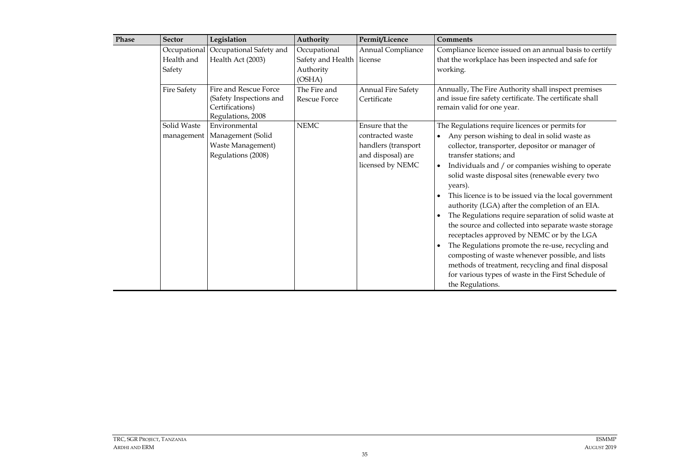| Phase | <b>Sector</b>             | Legislation                                                                              | Authority                                              | Permit/Licence                                                                                      | <b>Comments</b>                                                                                                                                                                                                                                                                                                                                                                                                                                                                                                                                                                                                                                                                                                                                                                                                                  |
|-------|---------------------------|------------------------------------------------------------------------------------------|--------------------------------------------------------|-----------------------------------------------------------------------------------------------------|----------------------------------------------------------------------------------------------------------------------------------------------------------------------------------------------------------------------------------------------------------------------------------------------------------------------------------------------------------------------------------------------------------------------------------------------------------------------------------------------------------------------------------------------------------------------------------------------------------------------------------------------------------------------------------------------------------------------------------------------------------------------------------------------------------------------------------|
|       | Health and<br>Safety      | Occupational Occupational Safety and<br>Health Act (2003)                                | Occupational<br>Safety and Health license<br>Authority | Annual Compliance                                                                                   | Compliance licence issued on an annual basis to certify<br>that the workplace has been inspected and safe for<br>working.                                                                                                                                                                                                                                                                                                                                                                                                                                                                                                                                                                                                                                                                                                        |
|       | <b>Fire Safety</b>        | Fire and Rescue Force<br>(Safety Inspections and<br>Certifications)<br>Regulations, 2008 | (OSHA)<br>The Fire and<br>Rescue Force                 | Annual Fire Safety<br>Certificate                                                                   | Annually, The Fire Authority shall inspect premises<br>and issue fire safety certificate. The certificate shall<br>remain valid for one year.                                                                                                                                                                                                                                                                                                                                                                                                                                                                                                                                                                                                                                                                                    |
|       | Solid Waste<br>management | Environmental<br>Management (Solid<br>Waste Management)<br>Regulations (2008)            | $\operatorname{NEMC}$                                  | Ensure that the<br>contracted waste<br>handlers (transport<br>and disposal) are<br>licensed by NEMC | The Regulations require licences or permits for<br>Any person wishing to deal in solid waste as<br>collector, transporter, depositor or manager of<br>transfer stations; and<br>Individuals and / or companies wishing to operate<br>$\bullet$<br>solid waste disposal sites (renewable every two<br>years).<br>This licence is to be issued via the local government<br>authority (LGA) after the completion of an EIA.<br>The Regulations require separation of solid waste at<br>the source and collected into separate waste storage<br>receptacles approved by NEMC or by the LGA<br>The Regulations promote the re-use, recycling and<br>composting of waste whenever possible, and lists<br>methods of treatment, recycling and final disposal<br>for various types of waste in the First Schedule of<br>the Regulations. |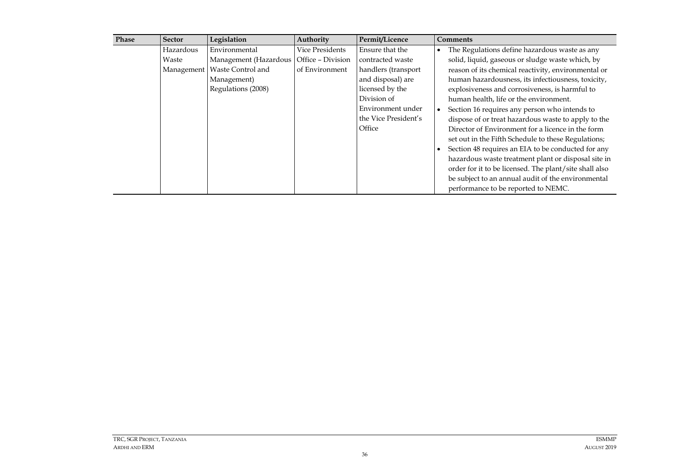| Phase | <b>Sector</b> | Legislation                               | Authority       | Permit/Licence       |           | <b>Comments</b>                                        |
|-------|---------------|-------------------------------------------|-----------------|----------------------|-----------|--------------------------------------------------------|
|       | Hazardous     | Environmental                             | Vice Presidents | Ensure that the      | $\bullet$ | The Regulations define hazardous waste as any          |
|       | Waste         | Management (Hazardous   Office - Division |                 | contracted waste     |           | solid, liquid, gaseous or sludge waste which, by       |
|       | Management    | Waste Control and                         | of Environment  | handlers (transport  |           | reason of its chemical reactivity, environmental or    |
|       |               | Management)                               |                 | and disposal) are    |           | human hazardousness, its infectiousness, toxicity,     |
|       |               | Regulations (2008)                        |                 | licensed by the      |           | explosiveness and corrosiveness, is harmful to         |
|       |               |                                           |                 | Division of          |           | human health, life or the environment.                 |
|       |               |                                           |                 | Environment under    |           | Section 16 requires any person who intends to          |
|       |               |                                           |                 | the Vice President's |           | dispose of or treat hazardous waste to apply to the    |
|       |               |                                           |                 | Office               |           | Director of Environment for a licence in the form      |
|       |               |                                           |                 |                      |           | set out in the Fifth Schedule to these Regulations;    |
|       |               |                                           |                 |                      |           | Section 48 requires an EIA to be conducted for any     |
|       |               |                                           |                 |                      |           | hazardous waste treatment plant or disposal site in    |
|       |               |                                           |                 |                      |           | order for it to be licensed. The plant/site shall also |
|       |               |                                           |                 |                      |           | be subject to an annual audit of the environmental     |
|       |               |                                           |                 |                      |           | performance to be reported to NEMC.                    |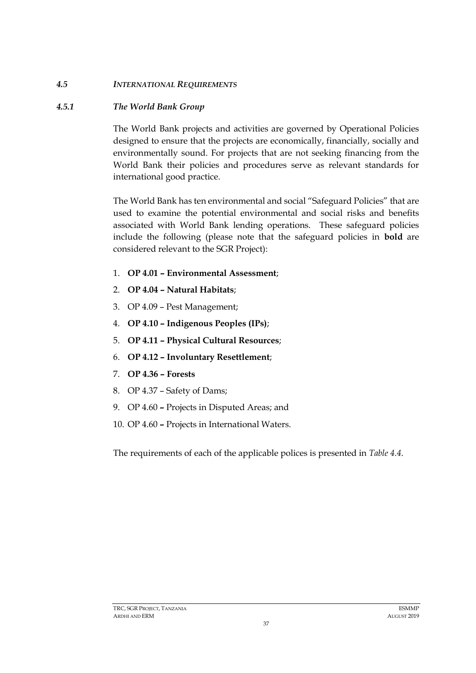## *4.5 INTERNATIONAL REQUIREMENTS*

### *4.5.1 The World Bank Group*

The World Bank projects and activities are governed by Operational Policies designed to ensure that the projects are economically, financially, socially and environmentally sound. For projects that are not seeking financing from the World Bank their policies and procedures serve as relevant standards for international good practice.

The World Bank has ten environmental and social "Safeguard Policies" that are used to examine the potential environmental and social risks and benefits associated with World Bank lending operations. These safeguard policies include the following (please note that the safeguard policies in **bold** are considered relevant to the SGR Project):

- 1. **OP 4.01 – Environmental Assessment**;
- 2. **OP 4.04 – Natural Habitats**;
- 3. OP 4.09 Pest Management;
- 4. **OP 4.10 – Indigenous Peoples (IPs)**;
- 5. **OP 4.11 – Physical Cultural Resources**;
- 6. **OP 4.12 – Involuntary Resettlement**;
- 7. **OP 4.36 – Forests**
- 8. OP 4.37 Safety of Dams;
- 9. OP 4.60 **–** Projects in Disputed Areas; and
- 10. OP 4.60 **–** Projects in International Waters.

The requirements of each of the applicable polices is presented in *[Table 4.4](#page-39-0)*.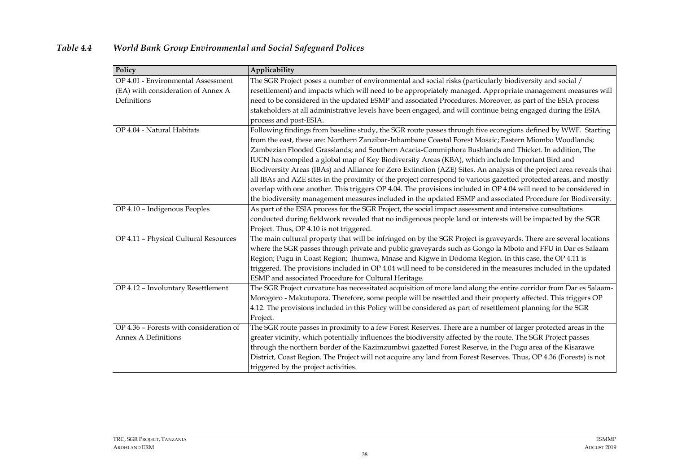<span id="page-39-0"></span>

| Policy                                  | Applicability                                                                                                        |  |  |  |  |
|-----------------------------------------|----------------------------------------------------------------------------------------------------------------------|--|--|--|--|
| OP 4.01 - Environmental Assessment      | The SGR Project poses a number of environmental and social risks (particularly biodiversity and social /             |  |  |  |  |
| (EA) with consideration of Annex A      | resettlement) and impacts which will need to be appropriately managed. Appropriate management measures will          |  |  |  |  |
| Definitions                             | need to be considered in the updated ESMP and associated Procedures. Moreover, as part of the ESIA process           |  |  |  |  |
|                                         | stakeholders at all administrative levels have been engaged, and will continue being engaged during the ESIA         |  |  |  |  |
|                                         | process and post-ESIA.                                                                                               |  |  |  |  |
| OP 4.04 - Natural Habitats              | Following findings from baseline study, the SGR route passes through five ecoregions defined by WWF. Starting        |  |  |  |  |
|                                         | from the east, these are: Northern Zanzibar-Inhambane Coastal Forest Mosaic; Eastern Miombo Woodlands;               |  |  |  |  |
|                                         | Zambezian Flooded Grasslands; and Southern Acacia-Commiphora Bushlands and Thicket. In addition, The                 |  |  |  |  |
|                                         | IUCN has compiled a global map of Key Biodiversity Areas (KBA), which include Important Bird and                     |  |  |  |  |
|                                         | Biodiversity Areas (IBAs) and Alliance for Zero Extinction (AZE) Sites. An analysis of the project area reveals that |  |  |  |  |
|                                         | all IBAs and AZE sites in the proximity of the project correspond to various gazetted protected areas, and mostly    |  |  |  |  |
|                                         | overlap with one another. This triggers OP 4.04. The provisions included in OP 4.04 will need to be considered in    |  |  |  |  |
|                                         | the biodiversity management measures included in the updated ESMP and associated Procedure for Biodiversity.         |  |  |  |  |
| OP 4.10 - Indigenous Peoples            | As part of the ESIA process for the SGR Project, the social impact assessment and intensive consultations            |  |  |  |  |
|                                         | conducted during fieldwork revealed that no indigenous people land or interests will be impacted by the SGR          |  |  |  |  |
|                                         | Project. Thus, OP 4.10 is not triggered.                                                                             |  |  |  |  |
| OP 4.11 - Physical Cultural Resources   | The main cultural property that will be infringed on by the SGR Project is graveyards. There are several locations   |  |  |  |  |
|                                         | where the SGR passes through private and public graveyards such as Gongo la Mboto and FFU in Dar es Salaam           |  |  |  |  |
|                                         | Region; Pugu in Coast Region; Ihumwa, Mnase and Kigwe in Dodoma Region. In this case, the OP 4.11 is                 |  |  |  |  |
|                                         | triggered. The provisions included in OP 4.04 will need to be considered in the measures included in the updated     |  |  |  |  |
|                                         | ESMP and associated Procedure for Cultural Heritage.                                                                 |  |  |  |  |
| OP 4.12 - Involuntary Resettlement      | The SGR Project curvature has necessitated acquisition of more land along the entire corridor from Dar es Salaam-    |  |  |  |  |
|                                         | Morogoro - Makutupora. Therefore, some people will be resettled and their property affected. This triggers OP        |  |  |  |  |
|                                         | 4.12. The provisions included in this Policy will be considered as part of resettlement planning for the SGR         |  |  |  |  |
|                                         | Project.                                                                                                             |  |  |  |  |
| OP 4.36 - Forests with consideration of | The SGR route passes in proximity to a few Forest Reserves. There are a number of larger protected areas in the      |  |  |  |  |
| <b>Annex A Definitions</b>              | greater vicinity, which potentially influences the biodiversity affected by the route. The SGR Project passes        |  |  |  |  |
|                                         | through the northern border of the Kazimzumbwi gazetted Forest Reserve, in the Pugu area of the Kisarawe             |  |  |  |  |
|                                         | District, Coast Region. The Project will not acquire any land from Forest Reserves. Thus, OP 4.36 (Forests) is not   |  |  |  |  |
|                                         | triggered by the project activities.                                                                                 |  |  |  |  |

# <span id="page-39-1"></span>*Table 4.4 World Bank Group Environmental and Social Safeguard Polices*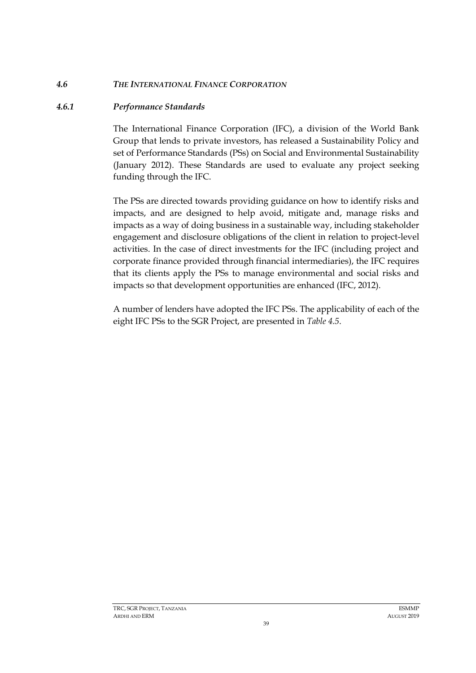### *4.6 THE INTERNATIONAL FINANCE CORPORATION*

### *4.6.1 Performance Standards*

The International Finance Corporation (IFC), a division of the World Bank Group that lends to private investors, has released a Sustainability Policy and set of Performance Standards (PSs) on Social and Environmental Sustainability (January 2012). These Standards are used to evaluate any project seeking funding through the IFC.

The PSs are directed towards providing guidance on how to identify risks and impacts, and are designed to help avoid, mitigate and, manage risks and impacts as a way of doing business in a sustainable way, including stakeholder engagement and disclosure obligations of the client in relation to project-level activities. In the case of direct investments for the IFC (including project and corporate finance provided through financial intermediaries), the IFC requires that its clients apply the PSs to manage environmental and social risks and impacts so that development opportunities are enhanced (IFC, 2012).

A number of lenders have adopted the IFC PSs. The applicability of each of the eight IFC PSs to the SGR Project, are presented in *[Table 4.5](#page-41-0)*.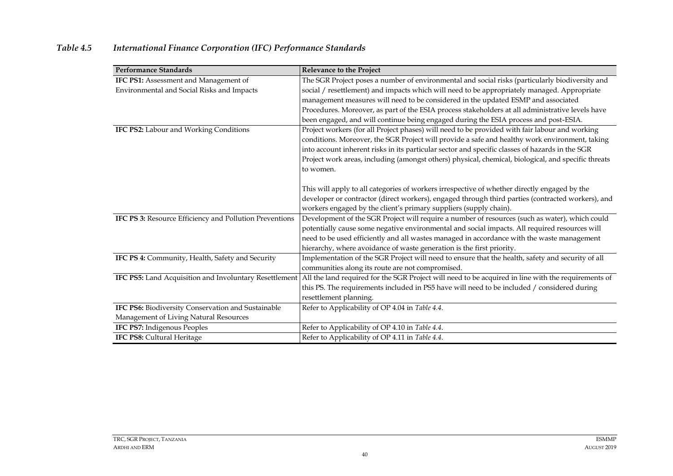<span id="page-41-0"></span>

| <b>Performance Standards</b>                            | Relevance to the Project                                                                            |
|---------------------------------------------------------|-----------------------------------------------------------------------------------------------------|
| IFC PS1: Assessment and Management of                   | The SGR Project poses a number of environmental and social risks (particularly biodiversity and     |
| Environmental and Social Risks and Impacts              | social / resettlement) and impacts which will need to be appropriately managed. Appropriate         |
|                                                         | management measures will need to be considered in the updated ESMP and associated                   |
|                                                         | Procedures. Moreover, as part of the ESIA process stakeholders at all administrative levels have    |
|                                                         | been engaged, and will continue being engaged during the ESIA process and post-ESIA.                |
| IFC PS2: Labour and Working Conditions                  | Project workers (for all Project phases) will need to be provided with fair labour and working      |
|                                                         | conditions. Moreover, the SGR Project will provide a safe and healthy work environment, taking      |
|                                                         | into account inherent risks in its particular sector and specific classes of hazards in the SGR     |
|                                                         | Project work areas, including (amongst others) physical, chemical, biological, and specific threats |
|                                                         | to women.                                                                                           |
|                                                         |                                                                                                     |
|                                                         | This will apply to all categories of workers irrespective of whether directly engaged by the        |
|                                                         | developer or contractor (direct workers), engaged through third parties (contracted workers), and   |
|                                                         | workers engaged by the client's primary suppliers (supply chain).                                   |
| IFC PS 3: Resource Efficiency and Pollution Preventions | Development of the SGR Project will require a number of resources (such as water), which could      |
|                                                         | potentially cause some negative environmental and social impacts. All required resources will       |
|                                                         | need to be used efficiently and all wastes managed in accordance with the waste management          |
|                                                         | hierarchy, where avoidance of waste generation is the first priority.                               |
| IFC PS 4: Community, Health, Safety and Security        | Implementation of the SGR Project will need to ensure that the health, safety and security of all   |
|                                                         | communities along its route are not compromised.                                                    |
| IFC PS5: Land Acquisition and Involuntary Resettlement  | All the land required for the SGR Project will need to be acquired in line with the requirements of |
|                                                         | this PS. The requirements included in PS5 have will need to be included / considered during         |
|                                                         | resettlement planning.                                                                              |
| IFC PS6: Biodiversity Conservation and Sustainable      | Refer to Applicability of OP 4.04 in Table 4.4.                                                     |
| Management of Living Natural Resources                  |                                                                                                     |
| IFC PS7: Indigenous Peoples                             | Refer to Applicability of OP 4.10 in Table 4.4.                                                     |
| IFC PS8: Cultural Heritage                              | Refer to Applicability of OP 4.11 in Table 4.4.                                                     |

# *Table 4.5 International Finance Corporation (IFC) Performance Standards*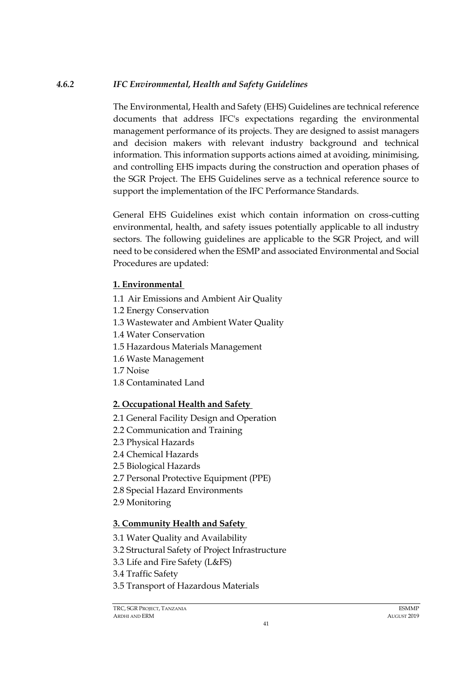## *4.6.2 IFC Environmental, Health and Safety Guidelines*

The Environmental, Health and Safety (EHS) Guidelines are technical reference documents that address IFC's expectations regarding the environmental management performance of its projects. They are designed to assist managers and decision makers with relevant industry background and technical information. This information supports actions aimed at avoiding, minimising, and controlling EHS impacts during the construction and operation phases of the SGR Project. The EHS Guidelines serve as a technical reference source to support the implementation of the IFC Performance Standards.

General EHS Guidelines exist which contain information on cross-cutting environmental, health, and safety issues potentially applicable to all industry sectors*.* The following guidelines are applicable to the SGR Project, and will need to be considered when the ESMP and associated Environmental and Social Procedures are updated:

## **1. Environmental**

- 1.1 Air Emissions and Ambient Air Quality
- 1.2 Energy Conservation
- 1.3 Wastewater and Ambient Water Quality
- 1.4 Water Conservation
- 1.5 Hazardous Materials Management
- 1.6 Waste Management
- 1.7 Noise
- 1.8 Contaminated Land

# **2. Occupational Health and Safety**

- 2.1 General Facility Design and Operation
- 2.2 Communication and Training
- 2.3 Physical Hazards
- 2.4 Chemical Hazards
- 2.5 Biological Hazards
- 2.7 Personal Protective Equipment (PPE)
- 2.8 Special Hazard Environments
- 2.9 Monitoring

# **3. Community Health and Safety**

- 3.1 Water Quality and Availability
- 3.2 Structural Safety of Project Infrastructure
- 3.3 Life and Fire Safety (L&FS)
- 3.4 Traffic Safety
- 3.5 Transport of Hazardous Materials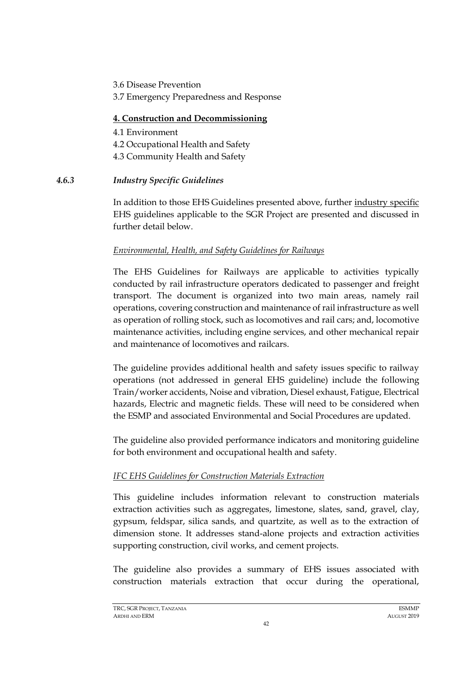3.6 Disease Prevention 3.7 Emergency Preparedness and Response

## **4. Construction and Decommissioning**

- 4.1 Environment 4.2 Occupational Health and Safety 4.3 Community Health and Safety
- *4.6.3 Industry Specific Guidelines*

In addition to those EHS Guidelines presented above, further industry specific EHS guidelines applicable to the SGR Project are presented and discussed in further detail below.

## *Environmental, Health, and Safety Guidelines for Railways*

The EHS Guidelines for Railways are applicable to activities typically conducted by rail infrastructure operators dedicated to passenger and freight transport. The document is organized into two main areas, namely rail operations, covering construction and maintenance of rail infrastructure as well as operation of rolling stock, such as locomotives and rail cars; and, locomotive maintenance activities, including engine services, and other mechanical repair and maintenance of locomotives and railcars.

The guideline provides additional health and safety issues specific to railway operations (not addressed in general EHS guideline) include the following Train/worker accidents, Noise and vibration, Diesel exhaust, Fatigue, Electrical hazards, Electric and magnetic fields. These will need to be considered when the ESMP and associated Environmental and Social Procedures are updated.

The guideline also provided performance indicators and monitoring guideline for both environment and occupational health and safety.

# *IFC EHS Guidelines for Construction Materials Extraction*

This guideline includes information relevant to construction materials extraction activities such as aggregates, limestone, slates, sand, gravel, clay, gypsum, feldspar, silica sands, and quartzite, as well as to the extraction of dimension stone. It addresses stand-alone projects and extraction activities supporting construction, civil works, and cement projects.

The guideline also provides a summary of EHS issues associated with construction materials extraction that occur during the operational,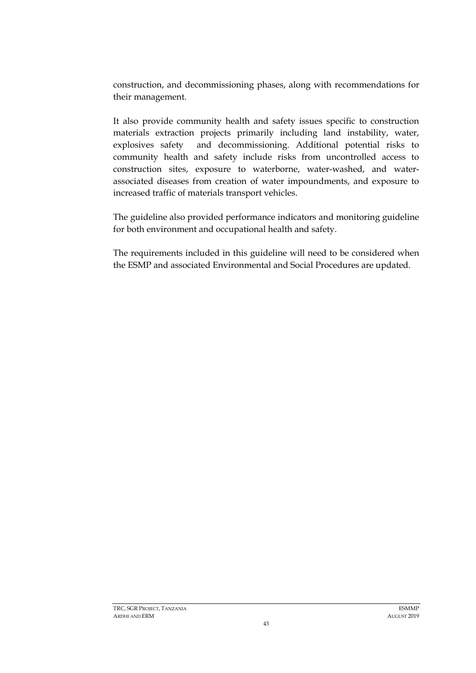construction, and decommissioning phases, along with recommendations for their management.

It also provide community health and safety issues specific to construction materials extraction projects primarily including land instability, water, explosives safety and decommissioning. Additional potential risks to community health and safety include risks from uncontrolled access to construction sites, exposure to waterborne, water-washed, and waterassociated diseases from creation of water impoundments, and exposure to increased traffic of materials transport vehicles.

The guideline also provided performance indicators and monitoring guideline for both environment and occupational health and safety.

The requirements included in this guideline will need to be considered when the ESMP and associated Environmental and Social Procedures are updated.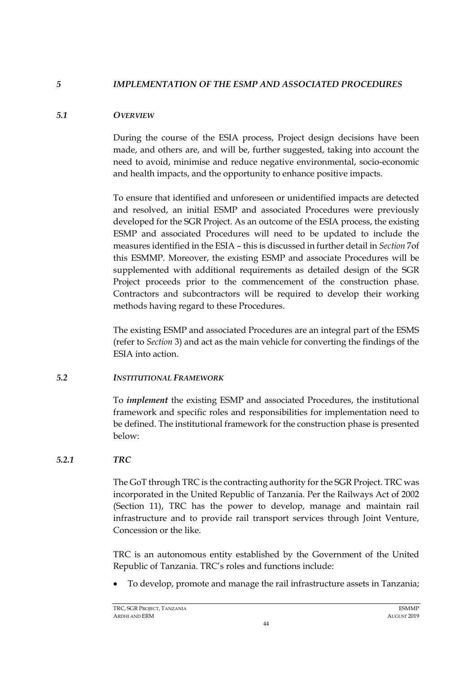### *5 IMPLEMENTATION OF THE ESMP AND ASSOCIATED PROCEDURES*

### *5.1 OVERVIEW*

During the course of the ESIA process, Project design decisions have been made, and others are, and will be, further suggested, taking into account the need to avoid, minimise and reduce negative environmental, socio-economic and health impacts, and the opportunity to enhance positive impacts.

To ensure that identified and unforeseen or unidentified impacts are detected and resolved, an initial ESMP and associated Procedures were previously developed for the SGR Project. As an outcome of the ESIA process, the existing ESMP and associated Procedures will need to be updated to include the measures identified in the ESIA – this is discussed in further detail in *Section* 7of this ESMMP. Moreover, the existing ESMP and associate Procedures will be supplemented with additional requirements as detailed design of the SGR Project proceeds prior to the commencement of the construction phase. Contractors and subcontractors will be required to develop their working methods having regard to these Procedures.

The existing ESMP and associated Procedures are an integral part of the ESMS (refer to *Section* 3) and act as the main vehicle for converting the findings of the ESIA into action.

## *5.2 INSTITUTIONAL FRAMEWORK*

To *implement* the existing ESMP and associated Procedures, the institutional framework and specific roles and responsibilities for implementation need to be defined. The institutional framework for the construction phase is presented below:

## *5.2.1 TRC*

The GoT through TRC is the contracting authority for the SGR Project. TRC was incorporated in the United Republic of Tanzania. Per the Railways Act of 2002 (Section 11), TRC has the power to develop, manage and maintain rail infrastructure and to provide rail transport services through Joint Venture, Concession or the like.

TRC is an autonomous entity established by the Government of the United Republic of Tanzania. TRC's roles and functions include:

• To develop, promote and manage the rail infrastructure assets in Tanzania;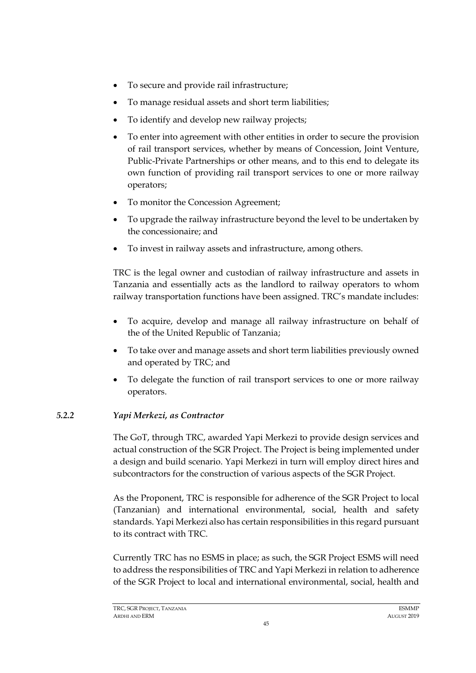- To secure and provide rail infrastructure;
- To manage residual assets and short term liabilities;
- To identify and develop new railway projects;
- To enter into agreement with other entities in order to secure the provision of rail transport services, whether by means of Concession, Joint Venture, Public-Private Partnerships or other means, and to this end to delegate its own function of providing rail transport services to one or more railway operators;
- To monitor the Concession Agreement;
- To upgrade the railway infrastructure beyond the level to be undertaken by the concessionaire; and
- To invest in railway assets and infrastructure, among others.

TRC is the legal owner and custodian of railway infrastructure and assets in Tanzania and essentially acts as the landlord to railway operators to whom railway transportation functions have been assigned. TRC's mandate includes:

- To acquire, develop and manage all railway infrastructure on behalf of the of the United Republic of Tanzania;
- To take over and manage assets and short term liabilities previously owned and operated by TRC; and
- To delegate the function of rail transport services to one or more railway operators.

# *5.2.2 Yapi Merkezi, as Contractor*

The GoT, through TRC, awarded Yapi Merkezi to provide design services and actual construction of the SGR Project. The Project is being implemented under a design and build scenario. Yapi Merkezi in turn will employ direct hires and subcontractors for the construction of various aspects of the SGR Project.

As the Proponent, TRC is responsible for adherence of the SGR Project to local (Tanzanian) and international environmental, social, health and safety standards. Yapi Merkezi also has certain responsibilities in this regard pursuant to its contract with TRC.

Currently TRC has no ESMS in place; as such, the SGR Project ESMS will need to address the responsibilities of TRC and Yapi Merkezi in relation to adherence of the SGR Project to local and international environmental, social, health and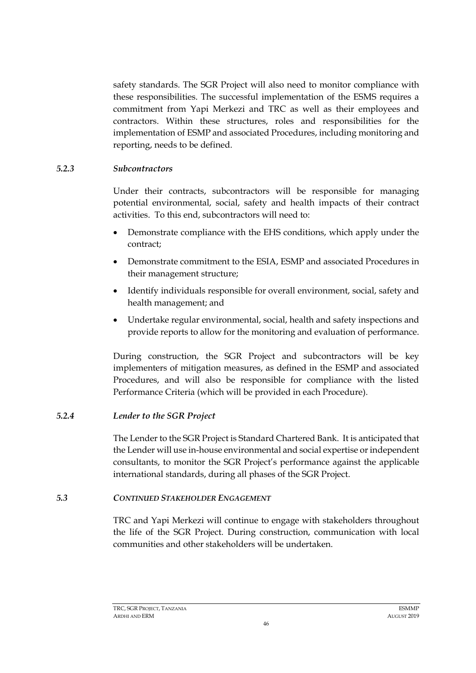safety standards. The SGR Project will also need to monitor compliance with these responsibilities. The successful implementation of the ESMS requires a commitment from Yapi Merkezi and TRC as well as their employees and contractors. Within these structures, roles and responsibilities for the implementation of ESMP and associated Procedures, including monitoring and reporting, needs to be defined.

### *5.2.3 Subcontractors*

Under their contracts, subcontractors will be responsible for managing potential environmental, social, safety and health impacts of their contract activities. To this end, subcontractors will need to:

- Demonstrate compliance with the EHS conditions, which apply under the contract;
- Demonstrate commitment to the ESIA, ESMP and associated Procedures in their management structure;
- Identify individuals responsible for overall environment, social, safety and health management; and
- Undertake regular environmental, social, health and safety inspections and provide reports to allow for the monitoring and evaluation of performance.

During construction, the SGR Project and subcontractors will be key implementers of mitigation measures, as defined in the ESMP and associated Procedures, and will also be responsible for compliance with the listed Performance Criteria (which will be provided in each Procedure).

## *5.2.4 Lender to the SGR Project*

The Lender to the SGR Project is Standard Chartered Bank. It is anticipated that the Lender will use in-house environmental and social expertise or independent consultants, to monitor the SGR Project's performance against the applicable international standards, during all phases of the SGR Project.

## *5.3 CONTINUED STAKEHOLDER ENGAGEMENT*

TRC and Yapi Merkezi will continue to engage with stakeholders throughout the life of the SGR Project. During construction, communication with local communities and other stakeholders will be undertaken.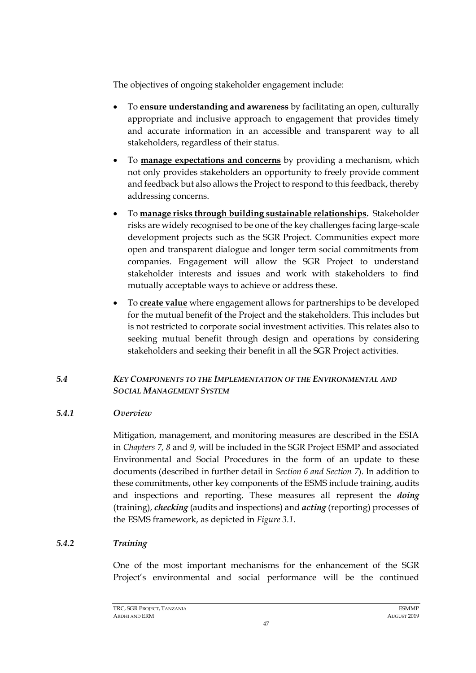The objectives of ongoing stakeholder engagement include:

- To **ensure understanding and awareness** by facilitating an open, culturally appropriate and inclusive approach to engagement that provides timely and accurate information in an accessible and transparent way to all stakeholders, regardless of their status.
- To **manage expectations and concerns** by providing a mechanism, which not only provides stakeholders an opportunity to freely provide comment and feedback but also allows the Project to respond to this feedback, thereby addressing concerns.
- To **manage risks through building sustainable relationships.** Stakeholder risks are widely recognised to be one of the key challenges facing large-scale development projects such as the SGR Project. Communities expect more open and transparent dialogue and longer term social commitments from companies. Engagement will allow the SGR Project to understand stakeholder interests and issues and work with stakeholders to find mutually acceptable ways to achieve or address these.
- To **create value** where engagement allows for partnerships to be developed for the mutual benefit of the Project and the stakeholders. This includes but is not restricted to corporate social investment activities. This relates also to seeking mutual benefit through design and operations by considering stakeholders and seeking their benefit in all the SGR Project activities.

### *5.4 KEY COMPONENTS TO THE IMPLEMENTATION OF THE ENVIRONMENTAL AND SOCIAL MANAGEMENT SYSTEM*

## *5.4.1 Overview*

Mitigation, management, and monitoring measures are described in the ESIA in *Chapters 7, 8* and *9*, will be included in the SGR Project ESMP and associated Environmental and Social Procedures in the form of an update to these documents (described in further detail in *Section 6 and Section [7](#page-57-0)*). In addition to these commitments, other key components of the ESMS include training, audits and inspections and reporting. These measures all represent the *doing* (training), *checking* (audits and inspections) and *acting* (reporting) processes of the ESMS framework, as depicted in *[Figure 3.1.](#page-19-0)*

## *5.4.2 Training*

<span id="page-48-0"></span>One of the most important mechanisms for the enhancement of the SGR Project's environmental and social performance will be the continued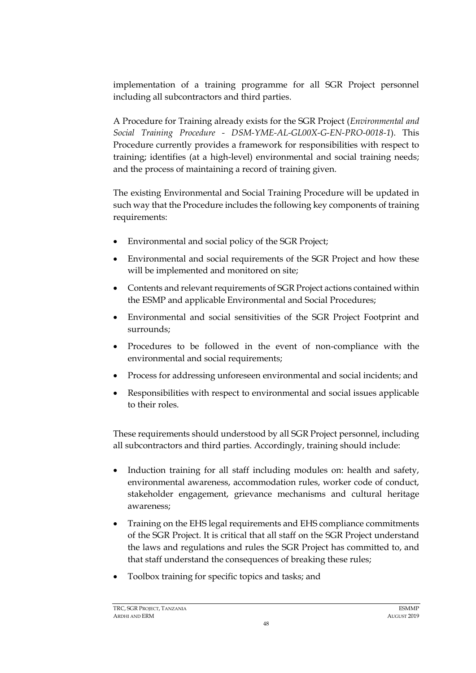implementation of a training programme for all SGR Project personnel including all subcontractors and third parties.

A Procedure for Training already exists for the SGR Project (*Environmental and Social Training Procedure - DSM-YME-AL-GL00X-G-EN-PRO-0018-1*). This Procedure currently provides a framework for responsibilities with respect to training; identifies (at a high-level) environmental and social training needs; and the process of maintaining a record of training given.

The existing Environmental and Social Training Procedure will be updated in such way that the Procedure includes the following key components of training requirements:

- Environmental and social policy of the SGR Project;
- Environmental and social requirements of the SGR Project and how these will be implemented and monitored on site;
- Contents and relevant requirements of SGR Project actions contained within the ESMP and applicable Environmental and Social Procedures;
- Environmental and social sensitivities of the SGR Project Footprint and surrounds;
- Procedures to be followed in the event of non-compliance with the environmental and social requirements;
- Process for addressing unforeseen environmental and social incidents; and
- Responsibilities with respect to environmental and social issues applicable to their roles.

These requirements should understood by all SGR Project personnel, including all subcontractors and third parties. Accordingly, training should include:

- Induction training for all staff including modules on: health and safety, environmental awareness, accommodation rules, worker code of conduct, stakeholder engagement, grievance mechanisms and cultural heritage awareness;
- Training on the EHS legal requirements and EHS compliance commitments of the SGR Project. It is critical that all staff on the SGR Project understand the laws and regulations and rules the SGR Project has committed to, and that staff understand the consequences of breaking these rules;
- Toolbox training for specific topics and tasks; and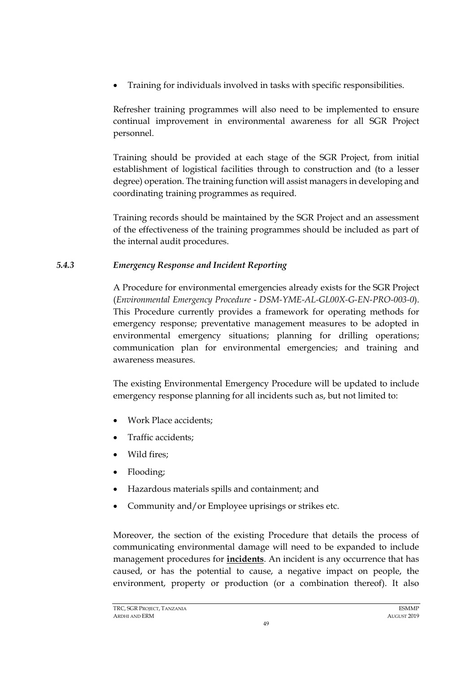• Training for individuals involved in tasks with specific responsibilities.

Refresher training programmes will also need to be implemented to ensure continual improvement in environmental awareness for all SGR Project personnel.

Training should be provided at each stage of the SGR Project, from initial establishment of logistical facilities through to construction and (to a lesser degree) operation. The training function will assist managers in developing and coordinating training programmes as required.

Training records should be maintained by the SGR Project and an assessment of the effectiveness of the training programmes should be included as part of the internal audit procedures.

# *5.4.3 Emergency Response and Incident Reporting*

<span id="page-50-0"></span>A Procedure for environmental emergencies already exists for the SGR Project (*Environmental Emergency Procedure* - *DSM-YME-AL-GL00X-G-EN-PRO-003-0*). This Procedure currently provides a framework for operating methods for emergency response; preventative management measures to be adopted in environmental emergency situations; planning for drilling operations; communication plan for environmental emergencies; and training and awareness measures.

The existing Environmental Emergency Procedure will be updated to include emergency response planning for all incidents such as, but not limited to:

- Work Place accidents;
- Traffic accidents;
- Wild fires;
- Flooding;
- Hazardous materials spills and containment; and
- Community and/or Employee uprisings or strikes etc.

Moreover, the section of the existing Procedure that details the process of communicating environmental damage will need to be expanded to include management procedures for **incidents**. An incident is any occurrence that has caused, or has the potential to cause, a negative impact on people, the environment, property or production (or a combination thereof). It also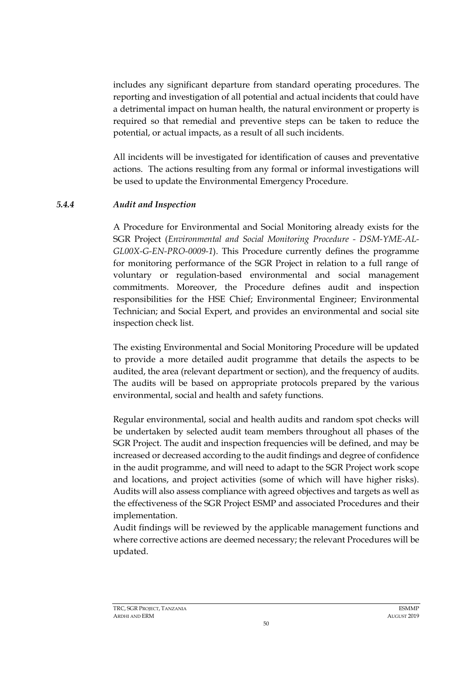includes any significant departure from standard operating procedures. The reporting and investigation of all potential and actual incidents that could have a detrimental impact on human health, the natural environment or property is required so that remedial and preventive steps can be taken to reduce the potential, or actual impacts, as a result of all such incidents.

All incidents will be investigated for identification of causes and preventative actions. The actions resulting from any formal or informal investigations will be used to update the Environmental Emergency Procedure.

## *5.4.4 Audit and Inspection*

<span id="page-51-0"></span>A Procedure for Environmental and Social Monitoring already exists for the SGR Project (*Environmental and Social Monitoring Procedure - DSM-YME-AL-GL00X-G-EN-PRO-0009-1*). This Procedure currently defines the programme for monitoring performance of the SGR Project in relation to a full range of voluntary or regulation-based environmental and social management commitments. Moreover, the Procedure defines audit and inspection responsibilities for the HSE Chief; Environmental Engineer; Environmental Technician; and Social Expert, and provides an environmental and social site inspection check list.

The existing Environmental and Social Monitoring Procedure will be updated to provide a more detailed audit programme that details the aspects to be audited, the area (relevant department or section), and the frequency of audits. The audits will be based on appropriate protocols prepared by the various environmental, social and health and safety functions.

Regular environmental, social and health audits and random spot checks will be undertaken by selected audit team members throughout all phases of the SGR Project. The audit and inspection frequencies will be defined, and may be increased or decreased according to the audit findings and degree of confidence in the audit programme, and will need to adapt to the SGR Project work scope and locations, and project activities (some of which will have higher risks). Audits will also assess compliance with agreed objectives and targets as well as the effectiveness of the SGR Project ESMP and associated Procedures and their implementation.

Audit findings will be reviewed by the applicable management functions and where corrective actions are deemed necessary; the relevant Procedures will be updated.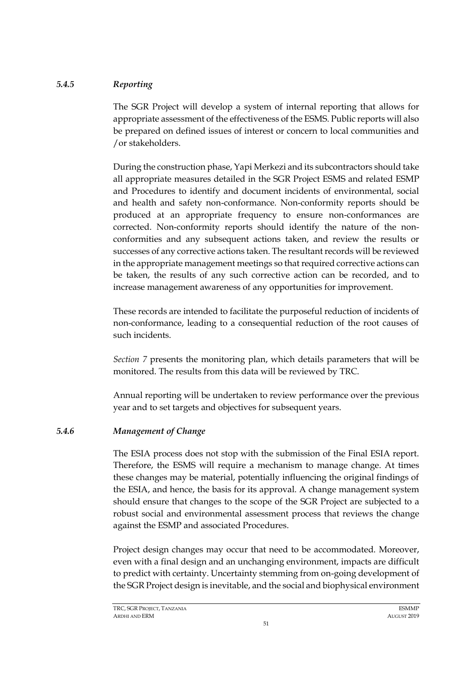## *5.4.5 Reporting*

The SGR Project will develop a system of internal reporting that allows for appropriate assessment of the effectiveness of the ESMS. Public reports will also be prepared on defined issues of interest or concern to local communities and /or stakeholders.

During the construction phase, Yapi Merkezi and its subcontractors should take all appropriate measures detailed in the SGR Project ESMS and related ESMP and Procedures to identify and document incidents of environmental, social and health and safety non-conformance. Non-conformity reports should be produced at an appropriate frequency to ensure non-conformances are corrected. Non-conformity reports should identify the nature of the nonconformities and any subsequent actions taken, and review the results or successes of any corrective actions taken. The resultant records will be reviewed in the appropriate management meetings so that required corrective actions can be taken, the results of any such corrective action can be recorded, and to increase management awareness of any opportunities for improvement.

These records are intended to facilitate the purposeful reduction of incidents of non-conformance, leading to a consequential reduction of the root causes of such incidents.

*Section [7](#page-57-0)* presents the monitoring plan, which details parameters that will be monitored. The results from this data will be reviewed by TRC.

Annual reporting will be undertaken to review performance over the previous year and to set targets and objectives for subsequent years.

# *5.4.6 Management of Change*

The ESIA process does not stop with the submission of the Final ESIA report. Therefore, the ESMS will require a mechanism to manage change. At times these changes may be material, potentially influencing the original findings of the ESIA, and hence, the basis for its approval. A change management system should ensure that changes to the scope of the SGR Project are subjected to a robust social and environmental assessment process that reviews the change against the ESMP and associated Procedures.

Project design changes may occur that need to be accommodated. Moreover, even with a final design and an unchanging environment, impacts are difficult to predict with certainty. Uncertainty stemming from on-going development of the SGR Project design is inevitable, and the social and biophysical environment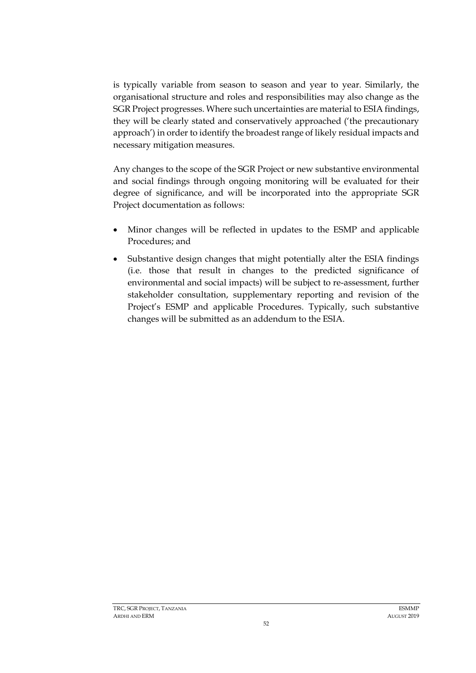is typically variable from season to season and year to year. Similarly, the organisational structure and roles and responsibilities may also change as the SGR Project progresses. Where such uncertainties are material to ESIA findings, they will be clearly stated and conservatively approached ('the precautionary approach') in order to identify the broadest range of likely residual impacts and necessary mitigation measures.

Any changes to the scope of the SGR Project or new substantive environmental and social findings through ongoing monitoring will be evaluated for their degree of significance, and will be incorporated into the appropriate SGR Project documentation as follows:

- Minor changes will be reflected in updates to the ESMP and applicable Procedures; and
- Substantive design changes that might potentially alter the ESIA findings (i.e. those that result in changes to the predicted significance of environmental and social impacts) will be subject to re-assessment, further stakeholder consultation, supplementary reporting and revision of the Project's ESMP and applicable Procedures. Typically, such substantive changes will be submitted as an addendum to the ESIA.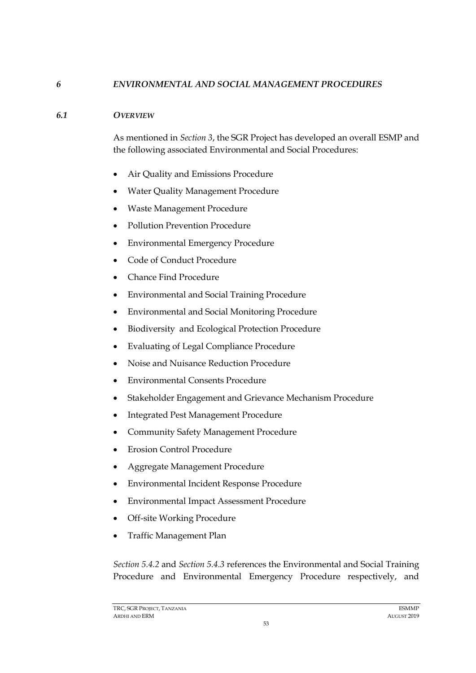### *6 ENVIRONMENTAL AND SOCIAL MANAGEMENT PROCEDURES*

#### *6.1 OVERVIEW*

As mentioned in *Section [3](#page-17-0)*, the SGR Project has developed an overall ESMP and the following associated Environmental and Social Procedures:

- Air Quality and Emissions Procedure
- Water Quality Management Procedure
- Waste Management Procedure
- Pollution Prevention Procedure
- Environmental Emergency Procedure
- Code of Conduct Procedure
- Chance Find Procedure
- Environmental and Social Training Procedure
- Environmental and Social Monitoring Procedure
- Biodiversity and Ecological Protection Procedure
- Evaluating of Legal Compliance Procedure
- Noise and Nuisance Reduction Procedure
- Environmental Consents Procedure
- Stakeholder Engagement and Grievance Mechanism Procedure
- Integrated Pest Management Procedure
- Community Safety Management Procedure
- Erosion Control Procedure
- Aggregate Management Procedure
- Environmental Incident Response Procedure
- Environmental Impact Assessment Procedure
- Off-site Working Procedure
- Traffic Management Plan

*Section [5.4.2](#page-48-0)* and *Section [5.4.3](#page-50-0)* references the Environmental and Social Training Procedure and Environmental Emergency Procedure respectively, and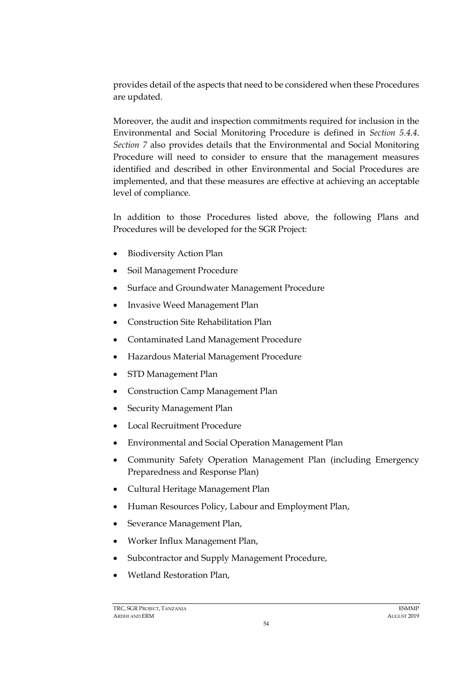provides detail of the aspects that need to be considered when these Procedures are updated.

Moreover, the audit and inspection commitments required for inclusion in the Environmental and Social Monitoring Procedure is defined in *Section [5.4.4](#page-51-0)*. *Section [7](#page-57-0)* also provides details that the Environmental and Social Monitoring Procedure will need to consider to ensure that the management measures identified and described in other Environmental and Social Procedures are implemented, and that these measures are effective at achieving an acceptable level of compliance.

In addition to those Procedures listed above, the following Plans and Procedures will be developed for the SGR Project:

- Biodiversity Action Plan
- Soil Management Procedure
- Surface and Groundwater Management Procedure
- Invasive Weed Management Plan
- Construction Site Rehabilitation Plan
- Contaminated Land Management Procedure
- Hazardous Material Management Procedure
- STD Management Plan
- Construction Camp Management Plan
- Security Management Plan
- Local Recruitment Procedure
- Environmental and Social Operation Management Plan
- Community Safety Operation Management Plan (including Emergency Preparedness and Response Plan)
- Cultural Heritage Management Plan
- Human Resources Policy, Labour and Employment Plan,
- Severance Management Plan,
- Worker Influx Management Plan,
- Subcontractor and Supply Management Procedure,
- Wetland Restoration Plan,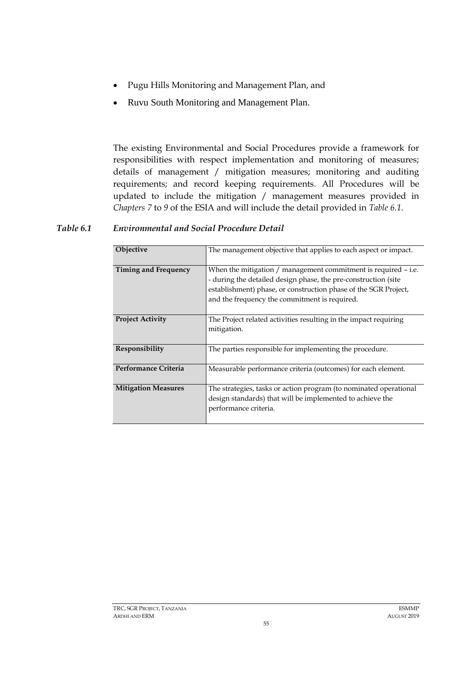- Pugu Hills Monitoring and Management Plan, and
- Ruvu South Monitoring and Management Plan.

The existing Environmental and Social Procedures provide a framework for responsibilities with respect implementation and monitoring of measures; details of management / mitigation measures; monitoring and auditing requirements; and record keeping requirements. All Procedures will be updated to include the mitigation / management measures provided in *Chapters 7* to *9* of the ESIA and will include the detail provided in *[Table 6.1](#page-56-0)*.

## <span id="page-56-0"></span>*Table 6.1 Environmental and Social Procedure Detail*

| Objective                   | The management objective that applies to each aspect or impact.                                                                                                                                                                                          |
|-----------------------------|----------------------------------------------------------------------------------------------------------------------------------------------------------------------------------------------------------------------------------------------------------|
| <b>Timing and Frequency</b> | When the mitigation $/$ management commitment is required $-$ i.e.<br>- during the detailed design phase, the pre-construction (site<br>establishment) phase, or construction phase of the SGR Project,<br>and the frequency the commitment is required. |
| <b>Project Activity</b>     | The Project related activities resulting in the impact requiring<br>mitigation.                                                                                                                                                                          |
| Responsibility              | The parties responsible for implementing the procedure.                                                                                                                                                                                                  |
| Performance Criteria        | Measurable performance criteria (outcomes) for each element.                                                                                                                                                                                             |
| <b>Mitigation Measures</b>  | The strategies, tasks or action program (to nominated operational<br>design standards) that will be implemented to achieve the<br>performance criteria.                                                                                                  |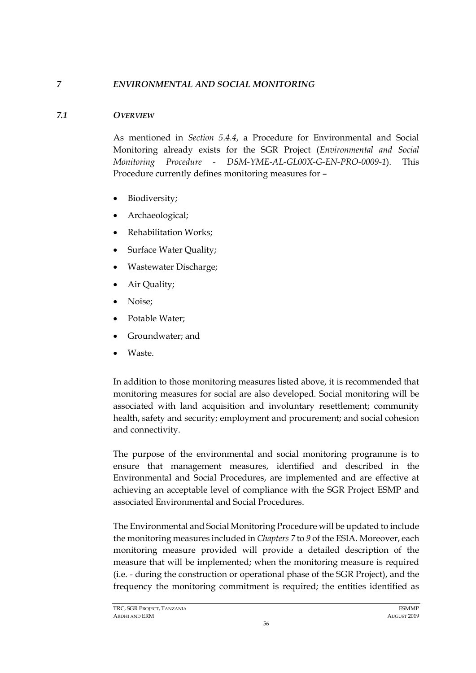## *7 ENVIRONMENTAL AND SOCIAL MONITORING*

### *7.1 OVERVIEW*

<span id="page-57-0"></span>As mentioned in *Section [5.4.4](#page-51-0)*, a Procedure for Environmental and Social Monitoring already exists for the SGR Project (*Environmental and Social Monitoring Procedure - DSM-YME-AL-GL00X-G-EN-PRO-0009-1*). This Procedure currently defines monitoring measures for –

- Biodiversity;
- Archaeological;
- Rehabilitation Works;
- Surface Water Quality;
- Wastewater Discharge;
- Air Quality;
- Noise;
- Potable Water;
- Groundwater; and
- Waste.

In addition to those monitoring measures listed above, it is recommended that monitoring measures for social are also developed. Social monitoring will be associated with land acquisition and involuntary resettlement; community health, safety and security; employment and procurement; and social cohesion and connectivity.

The purpose of the environmental and social monitoring programme is to ensure that management measures, identified and described in the Environmental and Social Procedures, are implemented and are effective at achieving an acceptable level of compliance with the SGR Project ESMP and associated Environmental and Social Procedures.

The Environmental and Social Monitoring Procedure will be updated to include the monitoring measures included in *Chapters 7* to *9* of the ESIA. Moreover, each monitoring measure provided will provide a detailed description of the measure that will be implemented; when the monitoring measure is required (i.e. - during the construction or operational phase of the SGR Project), and the frequency the monitoring commitment is required; the entities identified as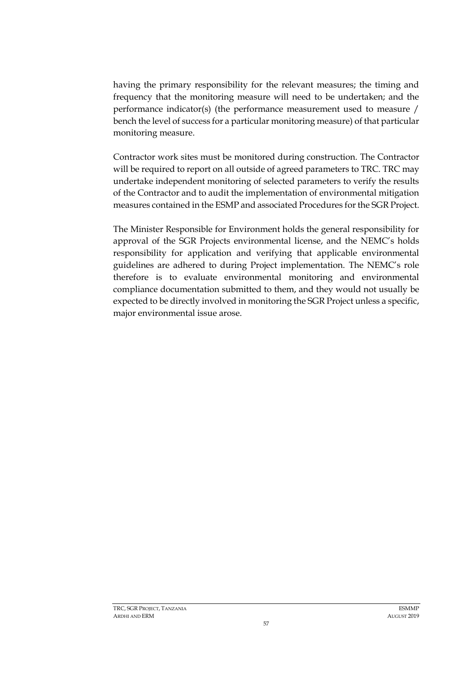having the primary responsibility for the relevant measures; the timing and frequency that the monitoring measure will need to be undertaken; and the performance indicator(s) (the performance measurement used to measure / bench the level of success for a particular monitoring measure) of that particular monitoring measure.

Contractor work sites must be monitored during construction. The Contractor will be required to report on all outside of agreed parameters to TRC. TRC may undertake independent monitoring of selected parameters to verify the results of the Contractor and to audit the implementation of environmental mitigation measures contained in the ESMP and associated Procedures for the SGR Project.

The Minister Responsible for Environment holds the general responsibility for approval of the SGR Projects environmental license, and the NEMC's holds responsibility for application and verifying that applicable environmental guidelines are adhered to during Project implementation. The NEMC's role therefore is to evaluate environmental monitoring and environmental compliance documentation submitted to them, and they would not usually be expected to be directly involved in monitoring the SGR Project unless a specific, major environmental issue arose.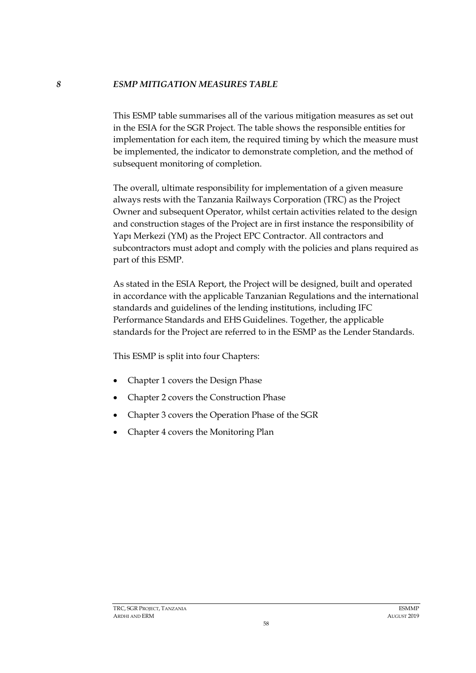#### *8 ESMP MITIGATION MEASURES TABLE*

This ESMP table summarises all of the various mitigation measures as set out in the ESIA for the SGR Project. The table shows the responsible entities for implementation for each item, the required timing by which the measure must be implemented, the indicator to demonstrate completion, and the method of subsequent monitoring of completion.

The overall, ultimate responsibility for implementation of a given measure always rests with the Tanzania Railways Corporation (TRC) as the Project Owner and subsequent Operator, whilst certain activities related to the design and construction stages of the Project are in first instance the responsibility of Yapı Merkezi (YM) as the Project EPC Contractor. All contractors and subcontractors must adopt and comply with the policies and plans required as part of this ESMP.

As stated in the ESIA Report, the Project will be designed, built and operated in accordance with the applicable Tanzanian Regulations and the international standards and guidelines of the lending institutions, including IFC Performance Standards and EHS Guidelines. Together, the applicable standards for the Project are referred to in the ESMP as the Lender Standards.

This ESMP is split into four Chapters:

- Chapter 1 covers the Design Phase
- Chapter 2 covers the Construction Phase
- Chapter 3 covers the Operation Phase of the SGR
- Chapter 4 covers the Monitoring Plan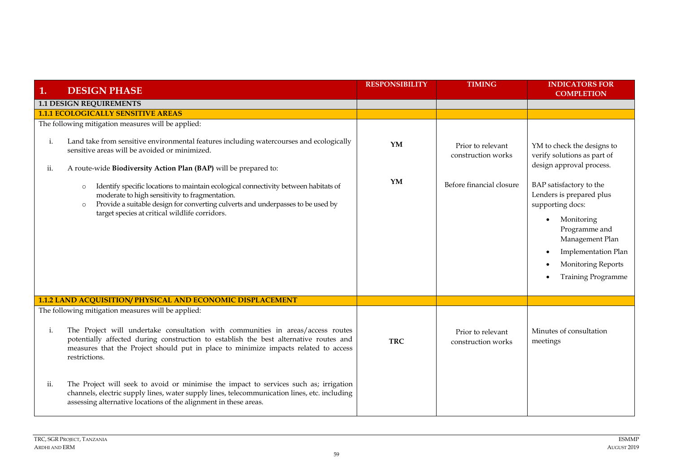| 1.        | <b>DESIGN PHASE</b>                                                                                                                                                                                                                                                                              | <b>RESPONSIBILITY</b> | <b>TIMING</b>                           | <b>INDICATORS FOR</b><br><b>COMPLETION</b>                                                                                                                                                          |
|-----------|--------------------------------------------------------------------------------------------------------------------------------------------------------------------------------------------------------------------------------------------------------------------------------------------------|-----------------------|-----------------------------------------|-----------------------------------------------------------------------------------------------------------------------------------------------------------------------------------------------------|
|           | <b>1.1 DESIGN REQUIREMENTS</b>                                                                                                                                                                                                                                                                   |                       |                                         |                                                                                                                                                                                                     |
|           | <b>1.1.1 ECOLOGICALLY SENSITIVE AREAS</b>                                                                                                                                                                                                                                                        |                       |                                         |                                                                                                                                                                                                     |
|           | The following mitigation measures will be applied:                                                                                                                                                                                                                                               |                       |                                         |                                                                                                                                                                                                     |
| i.<br>ii. | Land take from sensitive environmental features including watercourses and ecologically<br>sensitive areas will be avoided or minimized.<br>A route-wide Biodiversity Action Plan (BAP) will be prepared to:                                                                                     | YM                    | Prior to relevant<br>construction works | YM to check the designs to<br>verify solutions as part of<br>design approval process.                                                                                                               |
|           | Identify specific locations to maintain ecological connectivity between habitats of<br>$\circ$<br>moderate to high sensitivity to fragmentation.<br>Provide a suitable design for converting culverts and underpasses to be used by<br>$\circ$<br>target species at critical wildlife corridors. | YM                    | Before financial closure                | BAP satisfactory to the<br>Lenders is prepared plus<br>supporting docs:<br>Monitoring<br>Programme and<br>Management Plan<br>Implementation Plan<br>Monitoring Reports<br><b>Training Programme</b> |
|           | 1.1.2 LAND ACQUISITION/ PHYSICAL AND ECONOMIC DISPLACEMENT                                                                                                                                                                                                                                       |                       |                                         |                                                                                                                                                                                                     |
|           | The following mitigation measures will be applied:                                                                                                                                                                                                                                               |                       |                                         |                                                                                                                                                                                                     |
| i.        | The Project will undertake consultation with communities in areas/access routes<br>potentially affected during construction to establish the best alternative routes and<br>measures that the Project should put in place to minimize impacts related to access<br>restrictions.                 | <b>TRC</b>            | Prior to relevant<br>construction works | Minutes of consultation<br>meetings                                                                                                                                                                 |
| ii.       | The Project will seek to avoid or minimise the impact to services such as; irrigation<br>channels, electric supply lines, water supply lines, telecommunication lines, etc. including<br>assessing alternative locations of the alignment in these areas.                                        |                       |                                         |                                                                                                                                                                                                     |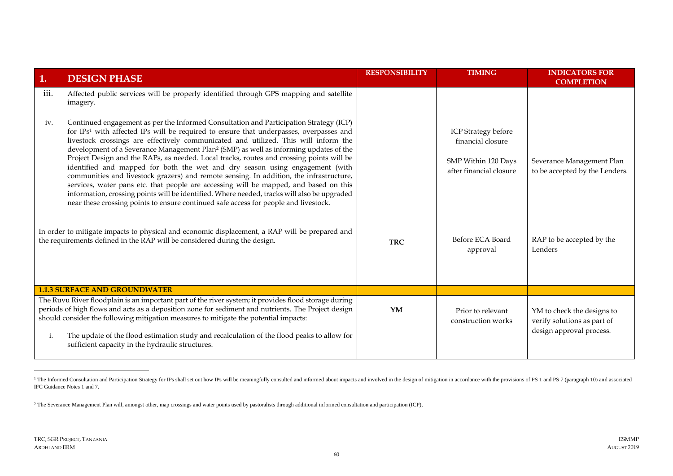| 1.                                                                                                                                                                          | <b>DESIGN PHASE</b>                                                                                                                                                                                                                                                                                                                                                                                                                                                                                                                                                                                                                                                                                                                                                                                                                                                                                                                             | <b>RESPONSIBILITY</b> | <b>TIMING</b>                                                                                     | <b>INDICATORS FOR</b><br><b>COMPLETION</b>                                            |
|-----------------------------------------------------------------------------------------------------------------------------------------------------------------------------|-------------------------------------------------------------------------------------------------------------------------------------------------------------------------------------------------------------------------------------------------------------------------------------------------------------------------------------------------------------------------------------------------------------------------------------------------------------------------------------------------------------------------------------------------------------------------------------------------------------------------------------------------------------------------------------------------------------------------------------------------------------------------------------------------------------------------------------------------------------------------------------------------------------------------------------------------|-----------------------|---------------------------------------------------------------------------------------------------|---------------------------------------------------------------------------------------|
| 111.                                                                                                                                                                        | Affected public services will be properly identified through GPS mapping and satellite<br>imagery.                                                                                                                                                                                                                                                                                                                                                                                                                                                                                                                                                                                                                                                                                                                                                                                                                                              |                       |                                                                                                   |                                                                                       |
| iv.                                                                                                                                                                         | Continued engagement as per the Informed Consultation and Participation Strategy (ICP)<br>for IPs <sup>1</sup> with affected IPs will be required to ensure that underpasses, overpasses and<br>livestock crossings are effectively communicated and utilized. This will inform the<br>development of a Severance Management Plan <sup>2</sup> (SMP) as well as informing updates of the<br>Project Design and the RAPs, as needed. Local tracks, routes and crossing points will be<br>identified and mapped for both the wet and dry season using engagement (with<br>communities and livestock grazers) and remote sensing. In addition, the infrastructure,<br>services, water pans etc. that people are accessing will be mapped, and based on this<br>information, crossing points will be identified. Where needed, tracks will also be upgraded<br>near these crossing points to ensure continued safe access for people and livestock. |                       | <b>ICP</b> Strategy before<br>financial closure<br>SMP Within 120 Days<br>after financial closure | Severance Management Plan<br>to be accepted by the Lenders.                           |
| In order to mitigate impacts to physical and economic displacement, a RAP will be prepared and<br>the requirements defined in the RAP will be considered during the design. |                                                                                                                                                                                                                                                                                                                                                                                                                                                                                                                                                                                                                                                                                                                                                                                                                                                                                                                                                 | <b>TRC</b>            | Before ECA Board<br>approval                                                                      | RAP to be accepted by the<br>Lenders                                                  |
|                                                                                                                                                                             | <b>1.1.3 SURFACE AND GROUNDWATER</b>                                                                                                                                                                                                                                                                                                                                                                                                                                                                                                                                                                                                                                                                                                                                                                                                                                                                                                            |                       |                                                                                                   |                                                                                       |
| i.                                                                                                                                                                          | The Ruvu River floodplain is an important part of the river system; it provides flood storage during<br>periods of high flows and acts as a deposition zone for sediment and nutrients. The Project design<br>should consider the following mitigation measures to mitigate the potential impacts:<br>The update of the flood estimation study and recalculation of the flood peaks to allow for<br>sufficient capacity in the hydraulic structures.                                                                                                                                                                                                                                                                                                                                                                                                                                                                                            | YM                    | Prior to relevant<br>construction works                                                           | YM to check the designs to<br>verify solutions as part of<br>design approval process. |

<sup>&</sup>lt;sup>1</sup> The Informed Consultation and Participation Strategy for IPs shall set out how IPs will be meaningfully consulted and informed about impacts and involved in the design of mitigation in accordance with the provisions of IFC Guidance Notes 1 and 7.

<sup>2</sup> The Severance Management Plan will, amongst other, map crossings and water points used by pastoralists through additional informed consultation and participation (ICP),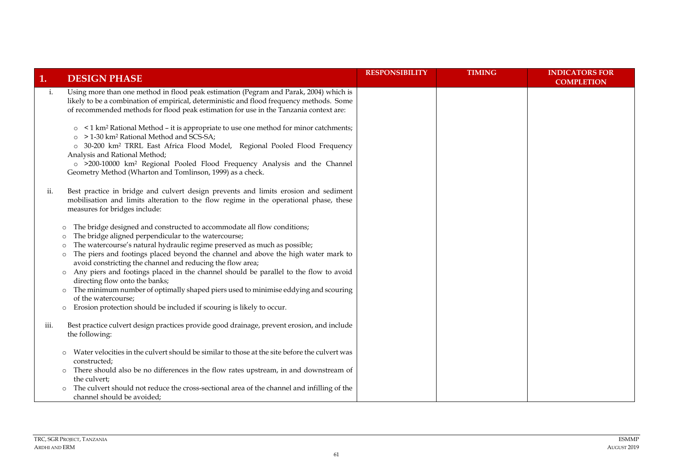| 1.   | <b>DESIGN PHASE</b>                                                                                                                                                                                                                                                                                                                                                                                                                                                                                                                                                                                                                                                                                                                                          | <b>RESPONSIBILITY</b> | <b>TIMING</b> | <b>INDICATORS FOR</b><br><b>COMPLETION</b> |
|------|--------------------------------------------------------------------------------------------------------------------------------------------------------------------------------------------------------------------------------------------------------------------------------------------------------------------------------------------------------------------------------------------------------------------------------------------------------------------------------------------------------------------------------------------------------------------------------------------------------------------------------------------------------------------------------------------------------------------------------------------------------------|-----------------------|---------------|--------------------------------------------|
| i.   | Using more than one method in flood peak estimation (Pegram and Parak, 2004) which is<br>likely to be a combination of empirical, deterministic and flood frequency methods. Some<br>of recommended methods for flood peak estimation for use in the Tanzania context are:<br>○ <1 km <sup>2</sup> Rational Method – it is appropriate to use one method for minor catchments;<br>> 1-30 km <sup>2</sup> Rational Method and SCS-SA;<br>$\circ$<br>o 30-200 km <sup>2</sup> TRRL East Africa Flood Model, Regional Pooled Flood Frequency<br>Analysis and Rational Method;<br>o >200-10000 km <sup>2</sup> Regional Pooled Flood Frequency Analysis and the Channel<br>Geometry Method (Wharton and Tomlinson, 1999) as a check.                             |                       |               |                                            |
| ii.  | Best practice in bridge and culvert design prevents and limits erosion and sediment<br>mobilisation and limits alteration to the flow regime in the operational phase, these<br>measures for bridges include:                                                                                                                                                                                                                                                                                                                                                                                                                                                                                                                                                |                       |               |                                            |
|      | The bridge designed and constructed to accommodate all flow conditions;<br>$\circ$<br>The bridge aligned perpendicular to the watercourse;<br>$\circ$<br>The watercourse's natural hydraulic regime preserved as much as possible;<br>$\circ$<br>The piers and footings placed beyond the channel and above the high water mark to<br>$\circ$<br>avoid constricting the channel and reducing the flow area;<br>Any piers and footings placed in the channel should be parallel to the flow to avoid<br>$\circ$<br>directing flow onto the banks;<br>The minimum number of optimally shaped piers used to minimise eddying and scouring<br>$\circ$<br>of the watercourse;<br>Erosion protection should be included if scouring is likely to occur.<br>$\circ$ |                       |               |                                            |
| iii. | Best practice culvert design practices provide good drainage, prevent erosion, and include<br>the following:                                                                                                                                                                                                                                                                                                                                                                                                                                                                                                                                                                                                                                                 |                       |               |                                            |
|      | Water velocities in the culvert should be similar to those at the site before the culvert was<br>$\circ$<br>constructed;<br>There should also be no differences in the flow rates upstream, in and downstream of<br>$\circ$<br>the culvert;<br>The culvert should not reduce the cross-sectional area of the channel and infilling of the<br>channel should be avoided;                                                                                                                                                                                                                                                                                                                                                                                      |                       |               |                                            |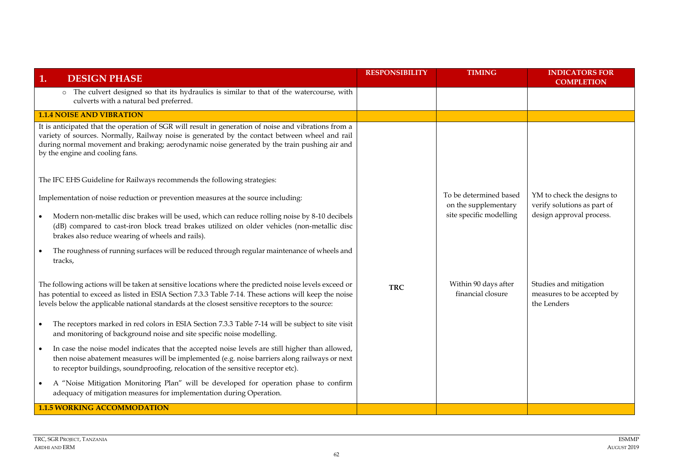| <b>DESIGN PHASE</b><br>1.                                                                                                                                                                                                                                                                                                                 | <b>RESPONSIBILITY</b> | <b>TIMING</b>                                  | <b>INDICATORS FOR</b><br><b>COMPLETION</b>                          |
|-------------------------------------------------------------------------------------------------------------------------------------------------------------------------------------------------------------------------------------------------------------------------------------------------------------------------------------------|-----------------------|------------------------------------------------|---------------------------------------------------------------------|
| o The culvert designed so that its hydraulics is similar to that of the watercourse, with<br>culverts with a natural bed preferred.                                                                                                                                                                                                       |                       |                                                |                                                                     |
| <b>1.1.4 NOISE AND VIBRATION</b>                                                                                                                                                                                                                                                                                                          |                       |                                                |                                                                     |
| It is anticipated that the operation of SGR will result in generation of noise and vibrations from a<br>variety of sources. Normally, Railway noise is generated by the contact between wheel and rail<br>during normal movement and braking; aerodynamic noise generated by the train pushing air and<br>by the engine and cooling fans. |                       |                                                |                                                                     |
| The IFC EHS Guideline for Railways recommends the following strategies:                                                                                                                                                                                                                                                                   |                       |                                                |                                                                     |
| Implementation of noise reduction or prevention measures at the source including:                                                                                                                                                                                                                                                         |                       | To be determined based<br>on the supplementary | YM to check the designs to<br>verify solutions as part of           |
| Modern non-metallic disc brakes will be used, which can reduce rolling noise by 8-10 decibels<br>(dB) compared to cast-iron block tread brakes utilized on older vehicles (non-metallic disc<br>brakes also reduce wearing of wheels and rails).                                                                                          |                       | site specific modelling                        | design approval process.                                            |
| The roughness of running surfaces will be reduced through regular maintenance of wheels and<br>tracks,                                                                                                                                                                                                                                    |                       |                                                |                                                                     |
| The following actions will be taken at sensitive locations where the predicted noise levels exceed or<br>has potential to exceed as listed in ESIA Section 7.3.3 Table 7-14. These actions will keep the noise<br>levels below the applicable national standards at the closest sensitive receptors to the source:                        | <b>TRC</b>            | Within 90 days after<br>financial closure      | Studies and mitigation<br>measures to be accepted by<br>the Lenders |
| The receptors marked in red colors in ESIA Section 7.3.3 Table 7-14 will be subject to site visit<br>and monitoring of background noise and site specific noise modelling.                                                                                                                                                                |                       |                                                |                                                                     |
| In case the noise model indicates that the accepted noise levels are still higher than allowed,<br>then noise abatement measures will be implemented (e.g. noise barriers along railways or next<br>to receptor buildings, soundproofing, relocation of the sensitive receptor etc).                                                      |                       |                                                |                                                                     |
| A "Noise Mitigation Monitoring Plan" will be developed for operation phase to confirm<br>adequacy of mitigation measures for implementation during Operation.                                                                                                                                                                             |                       |                                                |                                                                     |
| <b>1.1.5 WORKING ACCOMMODATION</b>                                                                                                                                                                                                                                                                                                        |                       |                                                |                                                                     |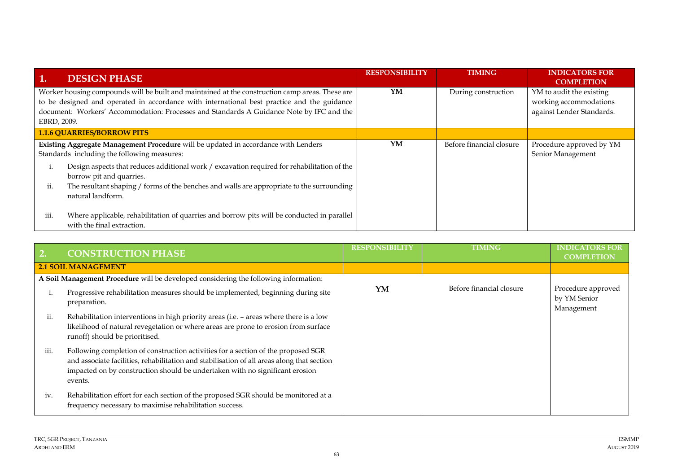| <b>DESIGN PHASE</b><br>1.                                                                                                                                                                                                                                                                                 | <b>RESPONSIBILITY</b> | <b>TIMING</b>            | <b>INDICATORS FOR</b><br><b>COMPLETION</b>                                      |
|-----------------------------------------------------------------------------------------------------------------------------------------------------------------------------------------------------------------------------------------------------------------------------------------------------------|-----------------------|--------------------------|---------------------------------------------------------------------------------|
| Worker housing compounds will be built and maintained at the construction camp areas. These are<br>to be designed and operated in accordance with international best practice and the guidance<br>document: Workers' Accommodation: Processes and Standards A Guidance Note by IFC and the<br>EBRD, 2009. | YM                    | During construction      | YM to audit the existing<br>working accommodations<br>against Lender Standards. |
| <b>1.1.6 QUARRIES/BORROW PITS</b>                                                                                                                                                                                                                                                                         |                       |                          |                                                                                 |
| Existing Aggregate Management Procedure will be updated in accordance with Lenders<br>Standards including the following measures:                                                                                                                                                                         | YM                    | Before financial closure | Procedure approved by YM<br>Senior Management                                   |
| Design aspects that reduces additional work / excavation required for rehabilitation of the<br>borrow pit and quarries.                                                                                                                                                                                   |                       |                          |                                                                                 |
| The resultant shaping / forms of the benches and walls are appropriate to the surrounding<br>ii.<br>natural landform.                                                                                                                                                                                     |                       |                          |                                                                                 |
| Where applicable, rehabilitation of quarries and borrow pits will be conducted in parallel<br>iii.<br>with the final extraction.                                                                                                                                                                          |                       |                          |                                                                                 |

|      | <b>CONSTRUCTION PHASE</b>                                                                                                                                                                                                                                                  | <b>RESPONSIBILITY</b> | <b>TIMING</b>            | <b>INDICATORS FOR</b><br><b>COMPLETION</b>       |
|------|----------------------------------------------------------------------------------------------------------------------------------------------------------------------------------------------------------------------------------------------------------------------------|-----------------------|--------------------------|--------------------------------------------------|
|      | <b>2.1 SOIL MANAGEMENT</b>                                                                                                                                                                                                                                                 |                       |                          |                                                  |
|      | A Soil Management Procedure will be developed considering the following information:                                                                                                                                                                                       |                       |                          |                                                  |
|      | Progressive rehabilitation measures should be implemented, beginning during site<br>preparation.                                                                                                                                                                           | YM                    | Before financial closure | Procedure approved<br>by YM Senior<br>Management |
| ii.  | Rehabilitation interventions in high priority areas (i.e. - areas where there is a low<br>likelihood of natural revegetation or where areas are prone to erosion from surface<br>runoff) should be prioritised.                                                            |                       |                          |                                                  |
| iii. | Following completion of construction activities for a section of the proposed SGR<br>and associate facilities, rehabilitation and stabilisation of all areas along that section<br>impacted on by construction should be undertaken with no significant erosion<br>events. |                       |                          |                                                  |
| iv.  | Rehabilitation effort for each section of the proposed SGR should be monitored at a<br>frequency necessary to maximise rehabilitation success.                                                                                                                             |                       |                          |                                                  |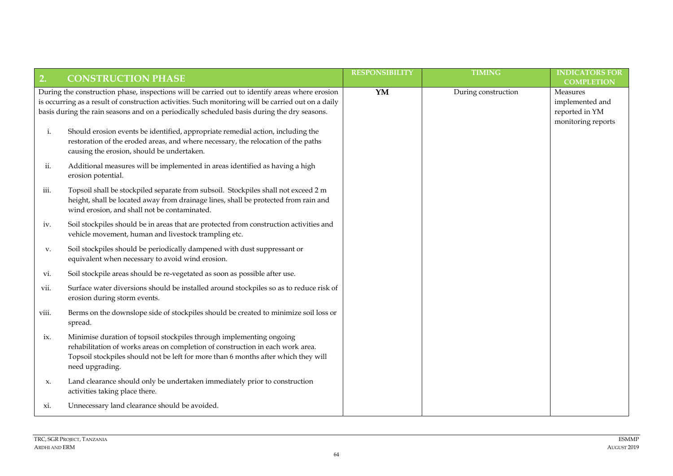| 2.        | <b>CONSTRUCTION PHASE</b>                                                                                                                                                                                                                                                                            | <b>RESPONSIBILITY</b> | <b>TIMING</b>       | <b>INDICATORS FOR</b><br><b>COMPLETION</b>                          |
|-----------|------------------------------------------------------------------------------------------------------------------------------------------------------------------------------------------------------------------------------------------------------------------------------------------------------|-----------------------|---------------------|---------------------------------------------------------------------|
|           | During the construction phase, inspections will be carried out to identify areas where erosion<br>is occurring as a result of construction activities. Such monitoring will be carried out on a daily<br>basis during the rain seasons and on a periodically scheduled basis during the dry seasons. | YM                    | During construction | Measures<br>implemented and<br>reported in YM<br>monitoring reports |
| i.        | Should erosion events be identified, appropriate remedial action, including the<br>restoration of the eroded areas, and where necessary, the relocation of the paths<br>causing the erosion, should be undertaken.                                                                                   |                       |                     |                                                                     |
| ii.       | Additional measures will be implemented in areas identified as having a high<br>erosion potential.                                                                                                                                                                                                   |                       |                     |                                                                     |
| iii.      | Topsoil shall be stockpiled separate from subsoil. Stockpiles shall not exceed 2 m<br>height, shall be located away from drainage lines, shall be protected from rain and<br>wind erosion, and shall not be contaminated.                                                                            |                       |                     |                                                                     |
| iv.       | Soil stockpiles should be in areas that are protected from construction activities and<br>vehicle movement, human and livestock trampling etc.                                                                                                                                                       |                       |                     |                                                                     |
| V.        | Soil stockpiles should be periodically dampened with dust suppressant or<br>equivalent when necessary to avoid wind erosion.                                                                                                                                                                         |                       |                     |                                                                     |
| vi.       | Soil stockpile areas should be re-vegetated as soon as possible after use.                                                                                                                                                                                                                           |                       |                     |                                                                     |
| VII.      | Surface water diversions should be installed around stockpiles so as to reduce risk of<br>erosion during storm events.                                                                                                                                                                               |                       |                     |                                                                     |
| VIII.     | Berms on the downslope side of stockpiles should be created to minimize soil loss or<br>spread.                                                                                                                                                                                                      |                       |                     |                                                                     |
| ix.       | Minimise duration of topsoil stockpiles through implementing ongoing<br>rehabilitation of works areas on completion of construction in each work area.<br>Topsoil stockpiles should not be left for more than 6 months after which they will<br>need upgrading.                                      |                       |                     |                                                                     |
| X.        | Land clearance should only be undertaken immediately prior to construction<br>activities taking place there.                                                                                                                                                                                         |                       |                     |                                                                     |
| $x_{1}$ . | Unnecessary land clearance should be avoided.                                                                                                                                                                                                                                                        |                       |                     |                                                                     |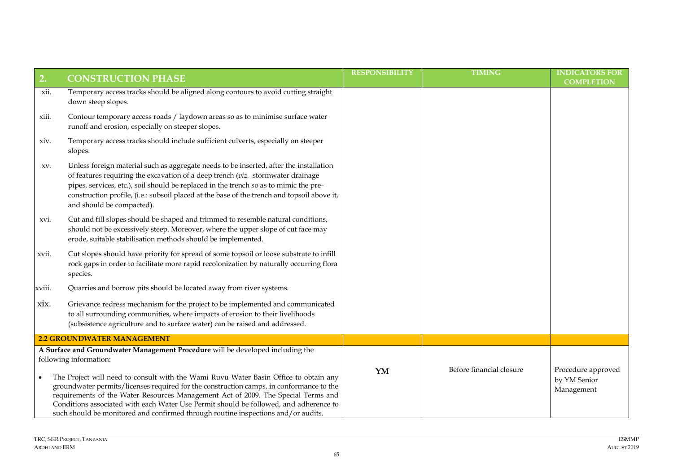| 2.     | <b>CONSTRUCTION PHASE</b>                                                                                                                                                                                                                                                                                                                                                                                                                          | <b>RESPONSIBILITY</b> | <b>TIMING</b>            | <b>INDICATORS FOR</b><br><b>COMPLETION</b>       |
|--------|----------------------------------------------------------------------------------------------------------------------------------------------------------------------------------------------------------------------------------------------------------------------------------------------------------------------------------------------------------------------------------------------------------------------------------------------------|-----------------------|--------------------------|--------------------------------------------------|
| xii.   | Temporary access tracks should be aligned along contours to avoid cutting straight<br>down steep slopes.                                                                                                                                                                                                                                                                                                                                           |                       |                          |                                                  |
| xiii.  | Contour temporary access roads / laydown areas so as to minimise surface water<br>runoff and erosion, especially on steeper slopes.                                                                                                                                                                                                                                                                                                                |                       |                          |                                                  |
| xiv.   | Temporary access tracks should include sufficient culverts, especially on steeper<br>slopes.                                                                                                                                                                                                                                                                                                                                                       |                       |                          |                                                  |
| XV.    | Unless foreign material such as aggregate needs to be inserted, after the installation<br>of features requiring the excavation of a deep trench (viz. stormwater drainage<br>pipes, services, etc.), soil should be replaced in the trench so as to mimic the pre-<br>construction profile, (i.e.: subsoil placed at the base of the trench and topsoil above it,<br>and should be compacted).                                                     |                       |                          |                                                  |
| XVI.   | Cut and fill slopes should be shaped and trimmed to resemble natural conditions,<br>should not be excessively steep. Moreover, where the upper slope of cut face may<br>erode, suitable stabilisation methods should be implemented.                                                                                                                                                                                                               |                       |                          |                                                  |
| xvii.  | Cut slopes should have priority for spread of some topsoil or loose substrate to infill<br>rock gaps in order to facilitate more rapid recolonization by naturally occurring flora<br>species.                                                                                                                                                                                                                                                     |                       |                          |                                                  |
| xviii. | Quarries and borrow pits should be located away from river systems.                                                                                                                                                                                                                                                                                                                                                                                |                       |                          |                                                  |
| xix.   | Grievance redress mechanism for the project to be implemented and communicated<br>to all surrounding communities, where impacts of erosion to their livelihoods<br>(subsistence agriculture and to surface water) can be raised and addressed.                                                                                                                                                                                                     |                       |                          |                                                  |
|        | <b>2.2 GROUNDWATER MANAGEMENT</b>                                                                                                                                                                                                                                                                                                                                                                                                                  |                       |                          |                                                  |
|        | A Surface and Groundwater Management Procedure will be developed including the<br>following information:                                                                                                                                                                                                                                                                                                                                           |                       |                          |                                                  |
|        | The Project will need to consult with the Wami Ruvu Water Basin Office to obtain any<br>groundwater permits/licenses required for the construction camps, in conformance to the<br>requirements of the Water Resources Management Act of 2009. The Special Terms and<br>Conditions associated with each Water Use Permit should be followed, and adherence to<br>such should be monitored and confirmed through routine inspections and/or audits. | YM                    | Before financial closure | Procedure approved<br>by YM Senior<br>Management |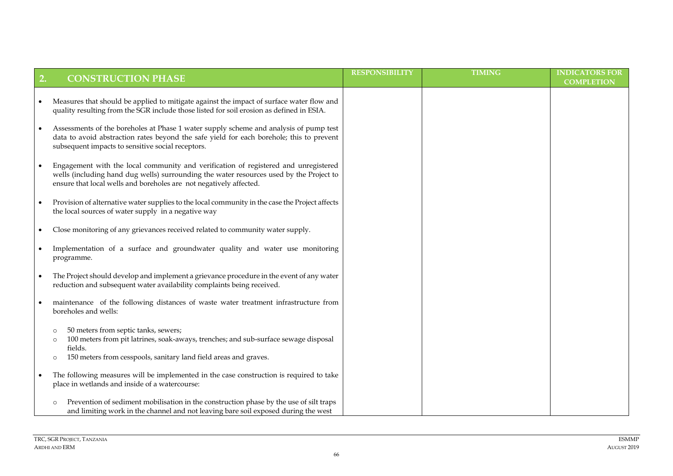| 2. | <b>CONSTRUCTION PHASE</b>                                                                                                                                                                                                                            | <b>RESPONSIBILITY</b> | <b>TIMING</b> | <b>INDICATORS FOR</b><br><b>COMPLETION</b> |
|----|------------------------------------------------------------------------------------------------------------------------------------------------------------------------------------------------------------------------------------------------------|-----------------------|---------------|--------------------------------------------|
|    | Measures that should be applied to mitigate against the impact of surface water flow and<br>quality resulting from the SGR include those listed for soil erosion as defined in ESIA.                                                                 |                       |               |                                            |
|    | Assessments of the boreholes at Phase 1 water supply scheme and analysis of pump test<br>data to avoid abstraction rates beyond the safe yield for each borehole; this to prevent<br>subsequent impacts to sensitive social receptors.               |                       |               |                                            |
|    | Engagement with the local community and verification of registered and unregistered<br>wells (including hand dug wells) surrounding the water resources used by the Project to<br>ensure that local wells and boreholes are not negatively affected. |                       |               |                                            |
|    | Provision of alternative water supplies to the local community in the case the Project affects<br>the local sources of water supply in a negative way                                                                                                |                       |               |                                            |
|    | Close monitoring of any grievances received related to community water supply.                                                                                                                                                                       |                       |               |                                            |
|    | Implementation of a surface and groundwater quality and water use monitoring<br>programme.                                                                                                                                                           |                       |               |                                            |
|    | The Project should develop and implement a grievance procedure in the event of any water<br>reduction and subsequent water availability complaints being received.                                                                                   |                       |               |                                            |
|    | maintenance of the following distances of waste water treatment infrastructure from<br>boreholes and wells:                                                                                                                                          |                       |               |                                            |
|    | 50 meters from septic tanks, sewers;<br>$\circ$<br>100 meters from pit latrines, soak-aways, trenches; and sub-surface sewage disposal<br>$\circ$<br>fields.<br>150 meters from cesspools, sanitary land field areas and graves.<br>$\circ$          |                       |               |                                            |
|    | The following measures will be implemented in the case construction is required to take<br>place in wetlands and inside of a watercourse:                                                                                                            |                       |               |                                            |
|    | Prevention of sediment mobilisation in the construction phase by the use of silt traps<br>$\circ$<br>and limiting work in the channel and not leaving bare soil exposed during the west                                                              |                       |               |                                            |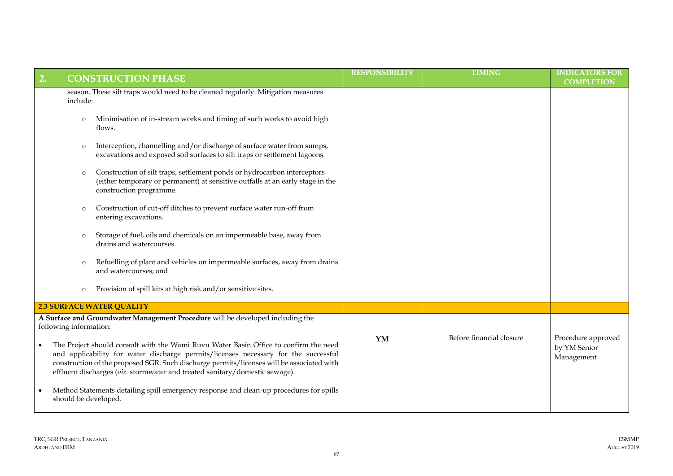| 2.<br><b>CONSTRUCTION PHASE</b>                                                                                                                                                                                                                                                                                                                         | <b>RESPONSIBILITY</b> | <b>TIMING</b>            | <b>INDICATORS FOR</b><br><b>COMPLETION</b>       |
|---------------------------------------------------------------------------------------------------------------------------------------------------------------------------------------------------------------------------------------------------------------------------------------------------------------------------------------------------------|-----------------------|--------------------------|--------------------------------------------------|
| season. These silt traps would need to be cleaned regularly. Mitigation measures<br>include:                                                                                                                                                                                                                                                            |                       |                          |                                                  |
| Minimisation of in-stream works and timing of such works to avoid high<br>$\circ$<br>flows.                                                                                                                                                                                                                                                             |                       |                          |                                                  |
| Interception, channelling and/or discharge of surface water from sumps,<br>$\circ$<br>excavations and exposed soil surfaces to silt traps or settlement lagoons.                                                                                                                                                                                        |                       |                          |                                                  |
| Construction of silt traps, settlement ponds or hydrocarbon interceptors<br>$\circ$<br>(either temporary or permanent) at sensitive outfalls at an early stage in the<br>construction programme.                                                                                                                                                        |                       |                          |                                                  |
| Construction of cut-off ditches to prevent surface water run-off from<br>$\circ$<br>entering excavations.                                                                                                                                                                                                                                               |                       |                          |                                                  |
| Storage of fuel, oils and chemicals on an impermeable base, away from<br>$\circ$<br>drains and watercourses.                                                                                                                                                                                                                                            |                       |                          |                                                  |
| Refuelling of plant and vehicles on impermeable surfaces, away from drains<br>$\circ$<br>and watercourses; and                                                                                                                                                                                                                                          |                       |                          |                                                  |
| Provision of spill kits at high risk and/or sensitive sites.<br>$\circ$                                                                                                                                                                                                                                                                                 |                       |                          |                                                  |
| <b>2.3 SURFACE WATER QUALITY</b>                                                                                                                                                                                                                                                                                                                        |                       |                          |                                                  |
| A Surface and Groundwater Management Procedure will be developed including the<br>following information:                                                                                                                                                                                                                                                |                       |                          |                                                  |
| The Project should consult with the Wami Ruvu Water Basin Office to confirm the need<br>and applicability for water discharge permits/licenses necessary for the successful<br>construction of the proposed SGR. Such discharge permits/licenses will be associated with<br>effluent discharges (viz. stormwater and treated sanitary/domestic sewage). | YM                    | Before financial closure | Procedure approved<br>by YM Senior<br>Management |
| Method Statements detailing spill emergency response and clean-up procedures for spills<br>should be developed.                                                                                                                                                                                                                                         |                       |                          |                                                  |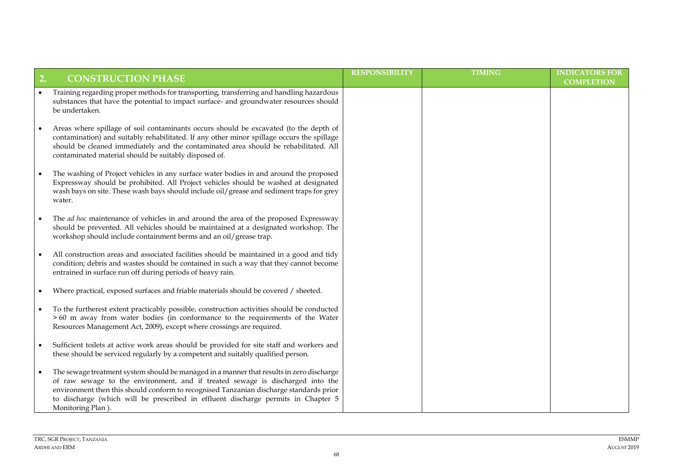| 2.        | <b>CONSTRUCTION PHASE</b>                                                                                                                                                                                                                                                                                                                                                      | <b>RESPONSIBILITY</b> | <b>TIMING</b> | <b>INDICATORS FOR</b><br><b>COMPLETION</b> |
|-----------|--------------------------------------------------------------------------------------------------------------------------------------------------------------------------------------------------------------------------------------------------------------------------------------------------------------------------------------------------------------------------------|-----------------------|---------------|--------------------------------------------|
|           | Training regarding proper methods for transporting, transferring and handling hazardous<br>substances that have the potential to impact surface- and groundwater resources should<br>be undertaken.                                                                                                                                                                            |                       |               |                                            |
|           | Areas where spillage of soil contaminants occurs should be excavated (to the depth of<br>contamination) and suitably rehabilitated. If any other minor spillage occurs the spillage<br>should be cleaned immediately and the contaminated area should be rehabilitated. All<br>contaminated material should be suitably disposed of.                                           |                       |               |                                            |
|           | The washing of Project vehicles in any surface water bodies in and around the proposed<br>Expressway should be prohibited. All Project vehicles should be washed at designated<br>wash bays on site. These wash bays should include oil/grease and sediment traps for grey<br>water.                                                                                           |                       |               |                                            |
|           | The <i>ad hoc</i> maintenance of vehicles in and around the area of the proposed Expressway<br>should be prevented. All vehicles should be maintained at a designated workshop. The<br>workshop should include containment berms and an oil/grease trap.                                                                                                                       |                       |               |                                            |
|           | All construction areas and associated facilities should be maintained in a good and tidy<br>condition; debris and wastes should be contained in such a way that they cannot become<br>entrained in surface run off during periods of heavy rain.                                                                                                                               |                       |               |                                            |
| ٠         | Where practical, exposed surfaces and friable materials should be covered / sheeted.                                                                                                                                                                                                                                                                                           |                       |               |                                            |
| $\bullet$ | To the furtherest extent practicably possible, construction activities should be conducted<br>>60 m away from water bodies (in conformance to the requirements of the Water<br>Resources Management Act, 2009), except where crossings are required.                                                                                                                           |                       |               |                                            |
|           | Sufficient toilets at active work areas should be provided for site staff and workers and<br>these should be serviced regularly by a competent and suitably qualified person.                                                                                                                                                                                                  |                       |               |                                            |
|           | The sewage treatment system should be managed in a manner that results in zero discharge<br>of raw sewage to the environment, and if treated sewage is discharged into the<br>environment then this should conform to recognised Tanzanian discharge standards prior<br>to discharge (which will be prescribed in effluent discharge permits in Chapter 5<br>Monitoring Plan). |                       |               |                                            |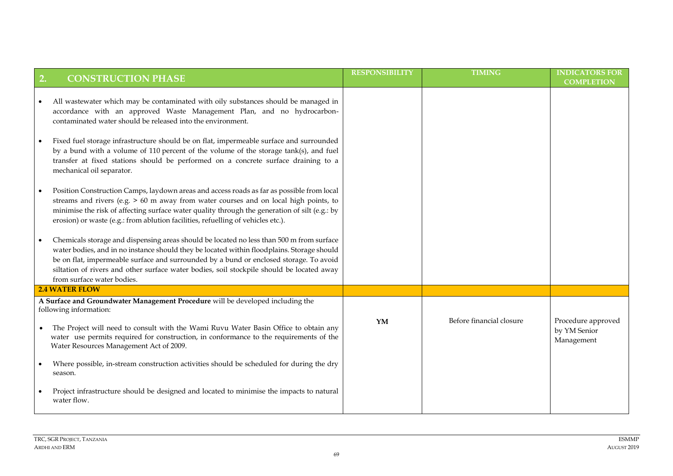| 2. | <b>CONSTRUCTION PHASE</b>                                                                                                                                                                                                                                                                                                                                                                                   | <b>RESPONSIBILITY</b> | <b>TIMING</b>            | <b>INDICATORS FOR</b><br><b>COMPLETION</b> |
|----|-------------------------------------------------------------------------------------------------------------------------------------------------------------------------------------------------------------------------------------------------------------------------------------------------------------------------------------------------------------------------------------------------------------|-----------------------|--------------------------|--------------------------------------------|
|    | All wastewater which may be contaminated with oily substances should be managed in<br>accordance with an approved Waste Management Plan, and no hydrocarbon-<br>contaminated water should be released into the environment.                                                                                                                                                                                 |                       |                          |                                            |
|    | Fixed fuel storage infrastructure should be on flat, impermeable surface and surrounded<br>by a bund with a volume of 110 percent of the volume of the storage tank(s), and fuel<br>transfer at fixed stations should be performed on a concrete surface draining to a<br>mechanical oil separator.                                                                                                         |                       |                          |                                            |
|    | Position Construction Camps, laydown areas and access roads as far as possible from local<br>streams and rivers (e.g. > 60 m away from water courses and on local high points, to<br>minimise the risk of affecting surface water quality through the generation of silt (e.g.: by<br>erosion) or waste (e.g.: from ablution facilities, refuelling of vehicles etc.).                                      |                       |                          |                                            |
| ٠  | Chemicals storage and dispensing areas should be located no less than 500 m from surface<br>water bodies, and in no instance should they be located within floodplains. Storage should<br>be on flat, impermeable surface and surrounded by a bund or enclosed storage. To avoid<br>siltation of rivers and other surface water bodies, soil stockpile should be located away<br>from surface water bodies. |                       |                          |                                            |
|    | <b>2.4 WATER FLOW</b>                                                                                                                                                                                                                                                                                                                                                                                       |                       |                          |                                            |
|    | A Surface and Groundwater Management Procedure will be developed including the<br>following information:<br>The Project will need to consult with the Wami Ruvu Water Basin Office to obtain any<br>water use permits required for construction, in conformance to the requirements of the                                                                                                                  | YM                    | Before financial closure | Procedure approved<br>by YM Senior         |
|    | Water Resources Management Act of 2009.<br>Where possible, in-stream construction activities should be scheduled for during the dry                                                                                                                                                                                                                                                                         |                       |                          | Management                                 |
|    | season.<br>Project infrastructure should be designed and located to minimise the impacts to natural<br>water flow.                                                                                                                                                                                                                                                                                          |                       |                          |                                            |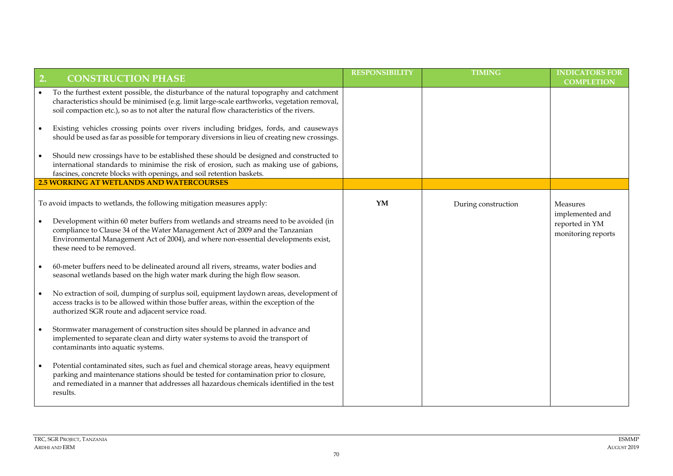| 2.        | <b>CONSTRUCTION PHASE</b>                                                                                                                                                                                                                                                                | <b>RESPONSIBILITY</b> | <b>TIMING</b>       | <b>INDICATORS FOR</b><br><b>COMPLETION</b> |
|-----------|------------------------------------------------------------------------------------------------------------------------------------------------------------------------------------------------------------------------------------------------------------------------------------------|-----------------------|---------------------|--------------------------------------------|
| $\bullet$ | To the furthest extent possible, the disturbance of the natural topography and catchment<br>characteristics should be minimised (e.g. limit large-scale earthworks, vegetation removal,<br>soil compaction etc.), so as to not alter the natural flow characteristics of the rivers.     |                       |                     |                                            |
| $\bullet$ | Existing vehicles crossing points over rivers including bridges, fords, and causeways<br>should be used as far as possible for temporary diversions in lieu of creating new crossings.                                                                                                   |                       |                     |                                            |
|           | Should new crossings have to be established these should be designed and constructed to<br>international standards to minimise the risk of erosion, such as making use of gabions,<br>fascines, concrete blocks with openings, and soil retention baskets.                               |                       |                     |                                            |
|           | <b>2.5 WORKING AT WETLANDS AND WATERCOURSES</b>                                                                                                                                                                                                                                          |                       |                     |                                            |
|           | To avoid impacts to wetlands, the following mitigation measures apply:                                                                                                                                                                                                                   | YM                    | During construction | Measures<br>implemented and                |
| $\bullet$ | Development within 60 meter buffers from wetlands and streams need to be avoided (in<br>compliance to Clause 34 of the Water Management Act of 2009 and the Tanzanian<br>Environmental Management Act of 2004), and where non-essential developments exist,<br>these need to be removed. |                       |                     | reported in YM<br>monitoring reports       |
|           | 60-meter buffers need to be delineated around all rivers, streams, water bodies and<br>seasonal wetlands based on the high water mark during the high flow season.                                                                                                                       |                       |                     |                                            |
|           | No extraction of soil, dumping of surplus soil, equipment laydown areas, development of<br>access tracks is to be allowed within those buffer areas, within the exception of the<br>authorized SGR route and adjacent service road.                                                      |                       |                     |                                            |
|           | Stormwater management of construction sites should be planned in advance and<br>implemented to separate clean and dirty water systems to avoid the transport of<br>contaminants into aquatic systems.                                                                                    |                       |                     |                                            |
|           | Potential contaminated sites, such as fuel and chemical storage areas, heavy equipment<br>parking and maintenance stations should be tested for contamination prior to closure,<br>and remediated in a manner that addresses all hazardous chemicals identified in the test<br>results.  |                       |                     |                                            |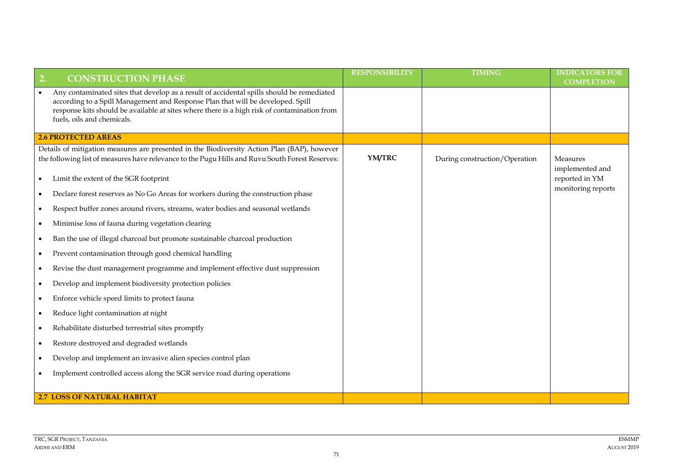| <b>CONSTRUCTION PHASE</b><br>2.                                                                                                                                                                                                                                                                           | <b>RESPONSIBILITY</b> | <b>TIMING</b>                 | <b>INDICATORS FOR</b><br><b>COMPLETION</b> |
|-----------------------------------------------------------------------------------------------------------------------------------------------------------------------------------------------------------------------------------------------------------------------------------------------------------|-----------------------|-------------------------------|--------------------------------------------|
| Any contaminated sites that develop as a result of accidental spills should be remediated<br>according to a Spill Management and Response Plan that will be developed. Spill<br>response kits should be available at sites where there is a high risk of contamination from<br>fuels, oils and chemicals. |                       |                               |                                            |
| <b>2.6 PROTECTED AREAS</b>                                                                                                                                                                                                                                                                                |                       |                               |                                            |
| Details of mitigation measures are presented in the Biodiversity Action Plan (BAP), however<br>the following list of measures have relevance to the Pugu Hills and Ruvu South Forest Reserves:                                                                                                            | YM/TRC                | During construction/Operation | Measures<br>implemented and                |
| Limit the extent of the SGR footprint<br>$\bullet$                                                                                                                                                                                                                                                        |                       |                               | reported in YM                             |
| Declare forest reserves as No Go Areas for workers during the construction phase                                                                                                                                                                                                                          |                       |                               | monitoring reports                         |
| Respect buffer zones around rivers, streams, water bodies and seasonal wetlands<br>$\bullet$                                                                                                                                                                                                              |                       |                               |                                            |
| Minimise loss of fauna during vegetation clearing<br>$\bullet$                                                                                                                                                                                                                                            |                       |                               |                                            |
| Ban the use of illegal charcoal but promote sustainable charcoal production                                                                                                                                                                                                                               |                       |                               |                                            |
| Prevent contamination through good chemical handling<br>$\bullet$                                                                                                                                                                                                                                         |                       |                               |                                            |
| Revise the dust management programme and implement effective dust suppression<br>$\bullet$                                                                                                                                                                                                                |                       |                               |                                            |
| Develop and implement biodiversity protection policies                                                                                                                                                                                                                                                    |                       |                               |                                            |
| Enforce vehicle speed limits to protect fauna                                                                                                                                                                                                                                                             |                       |                               |                                            |
| Reduce light contamination at night                                                                                                                                                                                                                                                                       |                       |                               |                                            |
| Rehabilitate disturbed terrestrial sites promptly                                                                                                                                                                                                                                                         |                       |                               |                                            |
| Restore destroyed and degraded wetlands                                                                                                                                                                                                                                                                   |                       |                               |                                            |
| Develop and implement an invasive alien species control plan                                                                                                                                                                                                                                              |                       |                               |                                            |
| Implement controlled access along the SGR service road during operations                                                                                                                                                                                                                                  |                       |                               |                                            |
|                                                                                                                                                                                                                                                                                                           |                       |                               |                                            |
| <b>2.7 LOSS OF NATURAL HABITAT</b>                                                                                                                                                                                                                                                                        |                       |                               |                                            |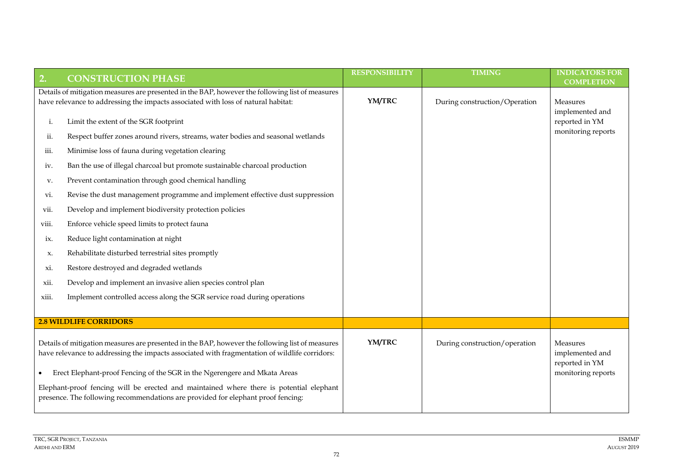| 2.    | <b>CONSTRUCTION PHASE</b>                                                                                                                                                                        | <b>RESPONSIBILITY</b> | <b>TIMING</b>                 | <b>INDICATORS FOR</b><br><b>COMPLETION</b>    |
|-------|--------------------------------------------------------------------------------------------------------------------------------------------------------------------------------------------------|-----------------------|-------------------------------|-----------------------------------------------|
|       | Details of mitigation measures are presented in the BAP, however the following list of measures                                                                                                  |                       |                               |                                               |
|       | have relevance to addressing the impacts associated with loss of natural habitat:                                                                                                                | YM/TRC                | During construction/Operation | Measures<br>implemented and                   |
| i.    | Limit the extent of the SGR footprint                                                                                                                                                            |                       |                               | reported in YM                                |
| ii.   | Respect buffer zones around rivers, streams, water bodies and seasonal wetlands                                                                                                                  |                       |                               | monitoring reports                            |
| iii.  | Minimise loss of fauna during vegetation clearing                                                                                                                                                |                       |                               |                                               |
| iv.   | Ban the use of illegal charcoal but promote sustainable charcoal production                                                                                                                      |                       |                               |                                               |
| V.    | Prevent contamination through good chemical handling                                                                                                                                             |                       |                               |                                               |
| vi.   | Revise the dust management programme and implement effective dust suppression                                                                                                                    |                       |                               |                                               |
| vii.  | Develop and implement biodiversity protection policies                                                                                                                                           |                       |                               |                                               |
| viii. | Enforce vehicle speed limits to protect fauna                                                                                                                                                    |                       |                               |                                               |
| 1X.   | Reduce light contamination at night                                                                                                                                                              |                       |                               |                                               |
| X.    | Rehabilitate disturbed terrestrial sites promptly                                                                                                                                                |                       |                               |                                               |
| XI.   | Restore destroyed and degraded wetlands                                                                                                                                                          |                       |                               |                                               |
| xii.  | Develop and implement an invasive alien species control plan                                                                                                                                     |                       |                               |                                               |
| xiii. | Implement controlled access along the SGR service road during operations                                                                                                                         |                       |                               |                                               |
|       |                                                                                                                                                                                                  |                       |                               |                                               |
|       | <b>2.8 WILDLIFE CORRIDORS</b>                                                                                                                                                                    |                       |                               |                                               |
|       | Details of mitigation measures are presented in the BAP, however the following list of measures<br>have relevance to addressing the impacts associated with fragmentation of wildlife corridors: | YM/TRC                | During construction/operation | Measures<br>implemented and<br>reported in YM |
|       | Erect Elephant-proof Fencing of the SGR in the Ngerengere and Mkata Areas                                                                                                                        |                       |                               | monitoring reports                            |
|       | Elephant-proof fencing will be erected and maintained where there is potential elephant<br>presence. The following recommendations are provided for elephant proof fencing:                      |                       |                               |                                               |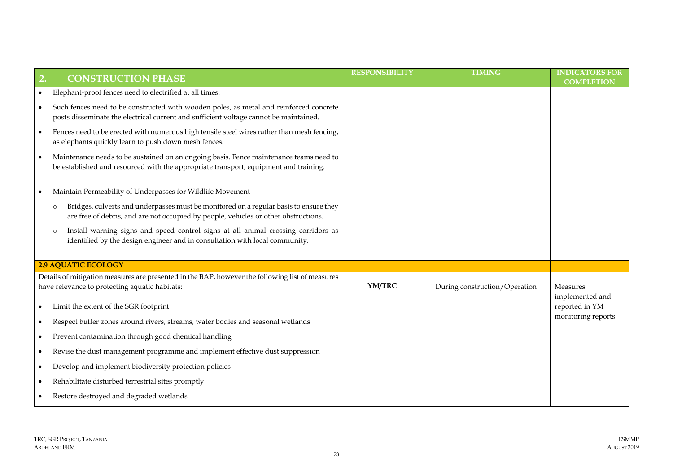| 2.        | <b>CONSTRUCTION PHASE</b>                                                                                                                                                               | <b>RESPONSIBILITY</b> | <b>TIMING</b>                 | <b>INDICATORS FOR</b><br><b>COMPLETION</b> |
|-----------|-----------------------------------------------------------------------------------------------------------------------------------------------------------------------------------------|-----------------------|-------------------------------|--------------------------------------------|
| $\bullet$ | Elephant-proof fences need to electrified at all times.                                                                                                                                 |                       |                               |                                            |
| $\bullet$ | Such fences need to be constructed with wooden poles, as metal and reinforced concrete<br>posts disseminate the electrical current and sufficient voltage cannot be maintained.         |                       |                               |                                            |
| $\bullet$ | Fences need to be erected with numerous high tensile steel wires rather than mesh fencing,<br>as elephants quickly learn to push down mesh fences.                                      |                       |                               |                                            |
|           | Maintenance needs to be sustained on an ongoing basis. Fence maintenance teams need to<br>be established and resourced with the appropriate transport, equipment and training.          |                       |                               |                                            |
|           | Maintain Permeability of Underpasses for Wildlife Movement                                                                                                                              |                       |                               |                                            |
|           | Bridges, culverts and underpasses must be monitored on a regular basis to ensure they<br>$\circ$<br>are free of debris, and are not occupied by people, vehicles or other obstructions. |                       |                               |                                            |
|           | Install warning signs and speed control signs at all animal crossing corridors as<br>$\circ$<br>identified by the design engineer and in consultation with local community.             |                       |                               |                                            |
|           | <b>2.9 AQUATIC ECOLOGY</b>                                                                                                                                                              |                       |                               |                                            |
|           | Details of mitigation measures are presented in the BAP, however the following list of measures<br>have relevance to protecting aquatic habitats:                                       | YM/TRC                | During construction/Operation | Measures<br>implemented and                |
| $\bullet$ | Limit the extent of the SGR footprint                                                                                                                                                   |                       |                               | reported in YM                             |
| $\bullet$ | Respect buffer zones around rivers, streams, water bodies and seasonal wetlands                                                                                                         |                       |                               | monitoring reports                         |
| $\bullet$ | Prevent contamination through good chemical handling                                                                                                                                    |                       |                               |                                            |
| $\bullet$ | Revise the dust management programme and implement effective dust suppression                                                                                                           |                       |                               |                                            |
| $\bullet$ | Develop and implement biodiversity protection policies                                                                                                                                  |                       |                               |                                            |
|           | Rehabilitate disturbed terrestrial sites promptly                                                                                                                                       |                       |                               |                                            |
|           | Restore destroyed and degraded wetlands                                                                                                                                                 |                       |                               |                                            |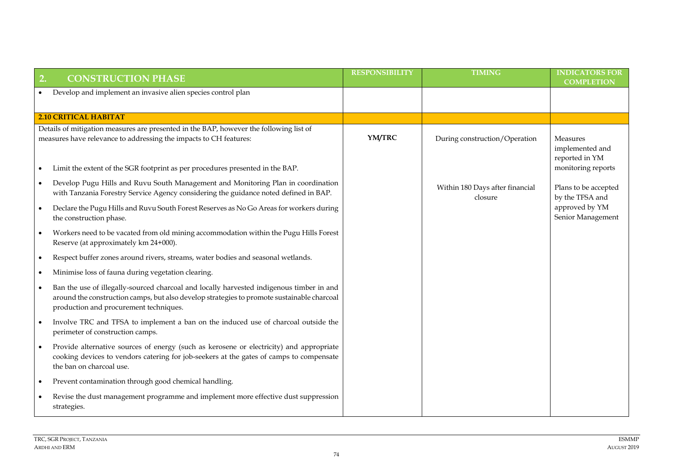| 2.        | <b>CONSTRUCTION PHASE</b>                                                                                                                                                                                                        | <b>RESPONSIBILITY</b> | <b>TIMING</b>                              | <b>INDICATORS FOR</b><br><b>COMPLETION</b>    |
|-----------|----------------------------------------------------------------------------------------------------------------------------------------------------------------------------------------------------------------------------------|-----------------------|--------------------------------------------|-----------------------------------------------|
|           | Develop and implement an invasive alien species control plan                                                                                                                                                                     |                       |                                            |                                               |
|           | <b>2.10 CRITICAL HABITAT</b>                                                                                                                                                                                                     |                       |                                            |                                               |
|           | Details of mitigation measures are presented in the BAP, however the following list of<br>measures have relevance to addressing the impacts to CH features:                                                                      | YM/TRC                | During construction/Operation              | Measures<br>implemented and<br>reported in YM |
|           | Limit the extent of the SGR footprint as per procedures presented in the BAP.                                                                                                                                                    |                       |                                            | monitoring reports                            |
| $\bullet$ | Develop Pugu Hills and Ruvu South Management and Monitoring Plan in coordination<br>with Tanzania Forestry Service Agency considering the guidance noted defined in BAP.                                                         |                       | Within 180 Days after financial<br>closure | Plans to be accepted<br>by the TFSA and       |
|           | Declare the Pugu Hills and Ruvu South Forest Reserves as No Go Areas for workers during<br>the construction phase.                                                                                                               |                       |                                            | approved by YM<br>Senior Management           |
|           | Workers need to be vacated from old mining accommodation within the Pugu Hills Forest<br>Reserve (at approximately km 24+000).                                                                                                   |                       |                                            |                                               |
| $\bullet$ | Respect buffer zones around rivers, streams, water bodies and seasonal wetlands.                                                                                                                                                 |                       |                                            |                                               |
|           | Minimise loss of fauna during vegetation clearing.                                                                                                                                                                               |                       |                                            |                                               |
|           | Ban the use of illegally-sourced charcoal and locally harvested indigenous timber in and<br>around the construction camps, but also develop strategies to promote sustainable charcoal<br>production and procurement techniques. |                       |                                            |                                               |
|           | Involve TRC and TFSA to implement a ban on the induced use of charcoal outside the<br>perimeter of construction camps.                                                                                                           |                       |                                            |                                               |
|           | Provide alternative sources of energy (such as kerosene or electricity) and appropriate<br>cooking devices to vendors catering for job-seekers at the gates of camps to compensate<br>the ban on charcoal use.                   |                       |                                            |                                               |
|           | Prevent contamination through good chemical handling.                                                                                                                                                                            |                       |                                            |                                               |
|           | Revise the dust management programme and implement more effective dust suppression<br>strategies.                                                                                                                                |                       |                                            |                                               |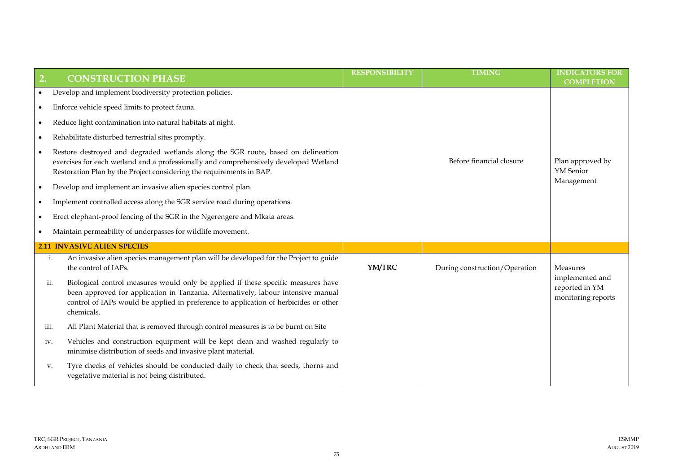| $\overline{2}$ . |                                                                                                                                                                                                                                                                              | <b>RESPONSIBILITY</b> | <b>TIMING</b>                 | <b>INDICATORS FOR</b>                                   |
|------------------|------------------------------------------------------------------------------------------------------------------------------------------------------------------------------------------------------------------------------------------------------------------------------|-----------------------|-------------------------------|---------------------------------------------------------|
|                  | <b>CONSTRUCTION PHASE</b>                                                                                                                                                                                                                                                    |                       |                               | <b>COMPLETION</b>                                       |
|                  | Develop and implement biodiversity protection policies.                                                                                                                                                                                                                      |                       |                               |                                                         |
| ٠                | Enforce vehicle speed limits to protect fauna.                                                                                                                                                                                                                               |                       |                               |                                                         |
| $\bullet$        | Reduce light contamination into natural habitats at night.                                                                                                                                                                                                                   |                       |                               |                                                         |
|                  | Rehabilitate disturbed terrestrial sites promptly.                                                                                                                                                                                                                           |                       |                               |                                                         |
|                  | Restore destroyed and degraded wetlands along the SGR route, based on delineation<br>exercises for each wetland and a professionally and comprehensively developed Wetland<br>Restoration Plan by the Project considering the requirements in BAP.                           |                       | Before financial closure      | Plan approved by<br><b>YM</b> Senior                    |
|                  | Develop and implement an invasive alien species control plan.                                                                                                                                                                                                                |                       |                               | Management                                              |
|                  | Implement controlled access along the SGR service road during operations.                                                                                                                                                                                                    |                       |                               |                                                         |
|                  | Erect elephant-proof fencing of the SGR in the Ngerengere and Mkata areas.                                                                                                                                                                                                   |                       |                               |                                                         |
|                  | Maintain permeability of underpasses for wildlife movement.                                                                                                                                                                                                                  |                       |                               |                                                         |
|                  | <b>2.11 INVASIVE ALIEN SPECIES</b>                                                                                                                                                                                                                                           |                       |                               |                                                         |
| i.               | An invasive alien species management plan will be developed for the Project to guide<br>the control of IAPs.                                                                                                                                                                 | YM/TRC                | During construction/Operation | <b>Measures</b>                                         |
| ii.              | Biological control measures would only be applied if these specific measures have<br>been approved for application in Tanzania. Alternatively, labour intensive manual<br>control of IAPs would be applied in preference to application of herbicides or other<br>chemicals. |                       |                               | implemented and<br>reported in YM<br>monitoring reports |
| iii.             | All Plant Material that is removed through control measures is to be burnt on Site                                                                                                                                                                                           |                       |                               |                                                         |
| iv.              | Vehicles and construction equipment will be kept clean and washed regularly to<br>minimise distribution of seeds and invasive plant material.                                                                                                                                |                       |                               |                                                         |
| V.               | Tyre checks of vehicles should be conducted daily to check that seeds, thorns and<br>vegetative material is not being distributed.                                                                                                                                           |                       |                               |                                                         |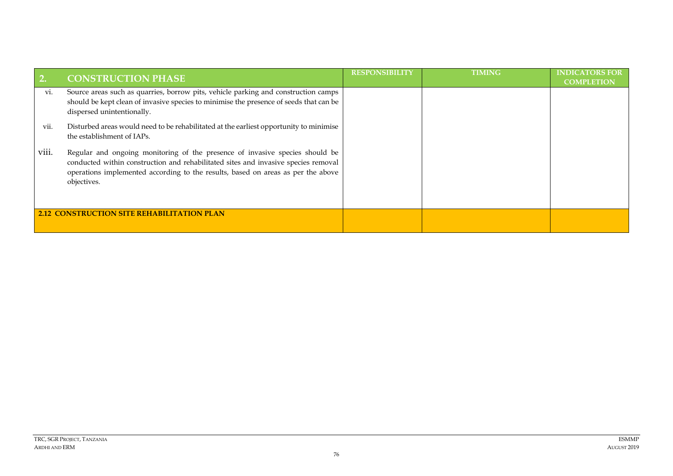|       | <b>CONSTRUCTION PHASE</b>                                                                                                                                                                                                                                             | <b>RESPONSIBILITY</b> | TIMING | <b>INDICATORS FOR</b><br><b>COMPLETION</b> |
|-------|-----------------------------------------------------------------------------------------------------------------------------------------------------------------------------------------------------------------------------------------------------------------------|-----------------------|--------|--------------------------------------------|
| VI.   | Source areas such as quarries, borrow pits, vehicle parking and construction camps<br>should be kept clean of invasive species to minimise the presence of seeds that can be<br>dispersed unintentionally.                                                            |                       |        |                                            |
| vii.  | Disturbed areas would need to be rehabilitated at the earliest opportunity to minimise<br>the establishment of IAPs.                                                                                                                                                  |                       |        |                                            |
| VIII. | Regular and ongoing monitoring of the presence of invasive species should be<br>conducted within construction and rehabilitated sites and invasive species removal<br>operations implemented according to the results, based on areas as per the above<br>objectives. |                       |        |                                            |
|       | <b>2.12 CONSTRUCTION SITE REHABILITATION PLAN</b>                                                                                                                                                                                                                     |                       |        |                                            |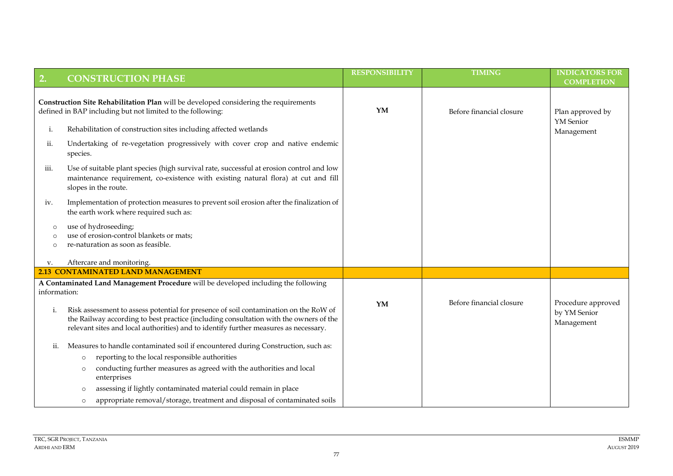| 2.                                                                                                                                                 | <b>CONSTRUCTION PHASE</b>                                                                                                                                                                                                                                             | <b>RESPONSIBILITY</b> | <b>TIMING</b>            | <b>INDICATORS FOR</b><br><b>COMPLETION</b>       |
|----------------------------------------------------------------------------------------------------------------------------------------------------|-----------------------------------------------------------------------------------------------------------------------------------------------------------------------------------------------------------------------------------------------------------------------|-----------------------|--------------------------|--------------------------------------------------|
|                                                                                                                                                    |                                                                                                                                                                                                                                                                       |                       |                          |                                                  |
| Construction Site Rehabilitation Plan will be developed considering the requirements<br>defined in BAP including but not limited to the following: |                                                                                                                                                                                                                                                                       | YM                    | Before financial closure | Plan approved by                                 |
| i.                                                                                                                                                 | Rehabilitation of construction sites including affected wetlands                                                                                                                                                                                                      |                       |                          | YM Senior<br>Management                          |
| ii.                                                                                                                                                | Undertaking of re-vegetation progressively with cover crop and native endemic<br>species.                                                                                                                                                                             |                       |                          |                                                  |
| 111.                                                                                                                                               | Use of suitable plant species (high survival rate, successful at erosion control and low<br>maintenance requirement, co-existence with existing natural flora) at cut and fill<br>slopes in the route.                                                                |                       |                          |                                                  |
| iv.                                                                                                                                                | Implementation of protection measures to prevent soil erosion after the finalization of<br>the earth work where required such as:                                                                                                                                     |                       |                          |                                                  |
| $\circ$                                                                                                                                            | use of hydroseeding;<br>use of erosion-control blankets or mats;<br>re-naturation as soon as feasible.                                                                                                                                                                |                       |                          |                                                  |
| v.                                                                                                                                                 | Aftercare and monitoring.                                                                                                                                                                                                                                             |                       |                          |                                                  |
|                                                                                                                                                    | <b>2.13 CONTAMINATED LAND MANAGEMENT</b>                                                                                                                                                                                                                              |                       |                          |                                                  |
| information:                                                                                                                                       | A Contaminated Land Management Procedure will be developed including the following                                                                                                                                                                                    |                       |                          |                                                  |
| i.                                                                                                                                                 | Risk assessment to assess potential for presence of soil contamination on the RoW of<br>the Railway according to best practice (including consultation with the owners of the<br>relevant sites and local authorities) and to identify further measures as necessary. | YM                    | Before financial closure | Procedure approved<br>by YM Senior<br>Management |
| ii.                                                                                                                                                | Measures to handle contaminated soil if encountered during Construction, such as:                                                                                                                                                                                     |                       |                          |                                                  |
|                                                                                                                                                    | reporting to the local responsible authorities<br>$\circ$                                                                                                                                                                                                             |                       |                          |                                                  |
|                                                                                                                                                    | conducting further measures as agreed with the authorities and local<br>$\circ$<br>enterprises                                                                                                                                                                        |                       |                          |                                                  |
|                                                                                                                                                    | assessing if lightly contaminated material could remain in place<br>$\Omega$                                                                                                                                                                                          |                       |                          |                                                  |
|                                                                                                                                                    | appropriate removal/storage, treatment and disposal of contaminated soils<br>$\circ$                                                                                                                                                                                  |                       |                          |                                                  |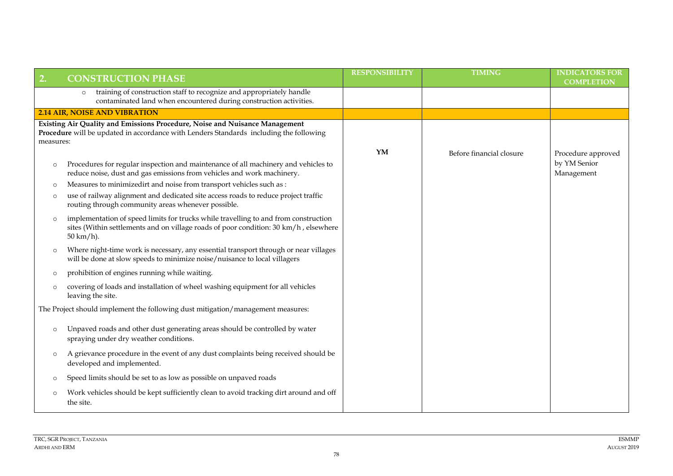| 2.        | <b>CONSTRUCTION PHASE</b>                                                                                                                                                                           | <b>RESPONSIBILITY</b> | <b>TIMING</b>            | <b>INDICATORS FOR</b><br><b>COMPLETION</b> |
|-----------|-----------------------------------------------------------------------------------------------------------------------------------------------------------------------------------------------------|-----------------------|--------------------------|--------------------------------------------|
|           | training of construction staff to recognize and appropriately handle<br>$\circ$<br>contaminated land when encountered during construction activities.                                               |                       |                          |                                            |
|           | <b>2.14 AIR, NOISE AND VIBRATION</b>                                                                                                                                                                |                       |                          |                                            |
| measures: | Existing Air Quality and Emissions Procedure, Noise and Nuisance Management<br>Procedure will be updated in accordance with Lenders Standards including the following                               | YM                    | Before financial closure | Procedure approved                         |
| $\circ$   | Procedures for regular inspection and maintenance of all machinery and vehicles to<br>reduce noise, dust and gas emissions from vehicles and work machinery.                                        |                       |                          | by YM Senior<br>Management                 |
| $\circ$   | Measures to minimizedirt and noise from transport vehicles such as :                                                                                                                                |                       |                          |                                            |
| $\circ$   | use of railway alignment and dedicated site access roads to reduce project traffic<br>routing through community areas whenever possible.                                                            |                       |                          |                                            |
| $\circ$   | implementation of speed limits for trucks while travelling to and from construction<br>sites (Within settlements and on village roads of poor condition: 30 km/h, elsewhere<br>$50 \text{ km/h}$ ). |                       |                          |                                            |
| $\circ$   | Where night-time work is necessary, any essential transport through or near villages<br>will be done at slow speeds to minimize noise/nuisance to local villagers                                   |                       |                          |                                            |
| $\circ$   | prohibition of engines running while waiting.                                                                                                                                                       |                       |                          |                                            |
| $\circ$   | covering of loads and installation of wheel washing equipment for all vehicles<br>leaving the site.                                                                                                 |                       |                          |                                            |
|           | The Project should implement the following dust mitigation/management measures:                                                                                                                     |                       |                          |                                            |
| $\circ$   | Unpaved roads and other dust generating areas should be controlled by water<br>spraying under dry weather conditions.                                                                               |                       |                          |                                            |
| $\circ$   | A grievance procedure in the event of any dust complaints being received should be<br>developed and implemented.                                                                                    |                       |                          |                                            |
| $\circ$   | Speed limits should be set to as low as possible on unpaved roads                                                                                                                                   |                       |                          |                                            |
| $\circ$   | Work vehicles should be kept sufficiently clean to avoid tracking dirt around and off<br>the site.                                                                                                  |                       |                          |                                            |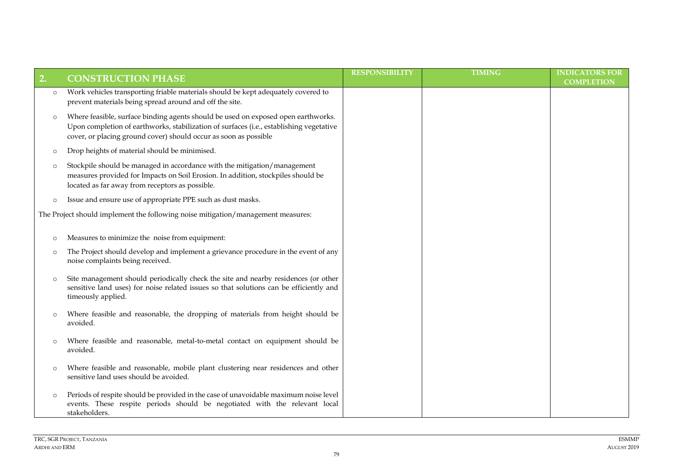| 2.      | <b>CONSTRUCTION PHASE</b>                                                                                                                                                                                                                        | <b>RESPONSIBILITY</b> | <b>TIMING</b> | <b>INDICATORS FOR</b><br><b>COMPLETION</b> |
|---------|--------------------------------------------------------------------------------------------------------------------------------------------------------------------------------------------------------------------------------------------------|-----------------------|---------------|--------------------------------------------|
| $\circ$ | Work vehicles transporting friable materials should be kept adequately covered to<br>prevent materials being spread around and off the site.                                                                                                     |                       |               |                                            |
| $\circ$ | Where feasible, surface binding agents should be used on exposed open earthworks.<br>Upon completion of earthworks, stabilization of surfaces (i.e., establishing vegetative<br>cover, or placing ground cover) should occur as soon as possible |                       |               |                                            |
| $\circ$ | Drop heights of material should be minimised.                                                                                                                                                                                                    |                       |               |                                            |
| $\circ$ | Stockpile should be managed in accordance with the mitigation/management<br>measures provided for Impacts on Soil Erosion. In addition, stockpiles should be<br>located as far away from receptors as possible.                                  |                       |               |                                            |
| $\circ$ | Issue and ensure use of appropriate PPE such as dust masks.                                                                                                                                                                                      |                       |               |                                            |
|         | The Project should implement the following noise mitigation/management measures:                                                                                                                                                                 |                       |               |                                            |
| $\circ$ | Measures to minimize the noise from equipment:                                                                                                                                                                                                   |                       |               |                                            |
| $\circ$ | The Project should develop and implement a grievance procedure in the event of any<br>noise complaints being received.                                                                                                                           |                       |               |                                            |
| $\circ$ | Site management should periodically check the site and nearby residences (or other<br>sensitive land uses) for noise related issues so that solutions can be efficiently and<br>timeously applied.                                               |                       |               |                                            |
| $\circ$ | Where feasible and reasonable, the dropping of materials from height should be<br>avoided.                                                                                                                                                       |                       |               |                                            |
| $\circ$ | Where feasible and reasonable, metal-to-metal contact on equipment should be<br>avoided.                                                                                                                                                         |                       |               |                                            |
| $\circ$ | Where feasible and reasonable, mobile plant clustering near residences and other<br>sensitive land uses should be avoided.                                                                                                                       |                       |               |                                            |
| $\circ$ | Periods of respite should be provided in the case of unavoidable maximum noise level<br>events. These respite periods should be negotiated with the relevant local<br>stakeholders.                                                              |                       |               |                                            |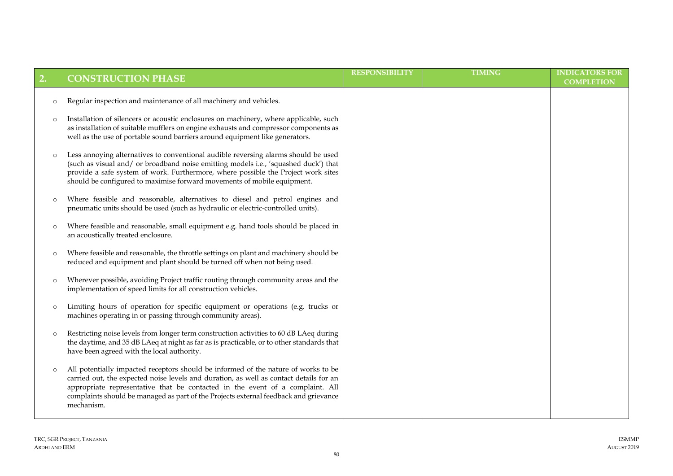| 2.      | <b>CONSTRUCTION PHASE</b>                                                                                                                                                                                                                                                                                                                                           | <b>RESPONSIBILITY</b> | <b>TIMING</b> | <b>INDICATORS FOR</b><br><b>COMPLETION</b> |
|---------|---------------------------------------------------------------------------------------------------------------------------------------------------------------------------------------------------------------------------------------------------------------------------------------------------------------------------------------------------------------------|-----------------------|---------------|--------------------------------------------|
| $\circ$ | Regular inspection and maintenance of all machinery and vehicles.                                                                                                                                                                                                                                                                                                   |                       |               |                                            |
| $\circ$ | Installation of silencers or acoustic enclosures on machinery, where applicable, such<br>as installation of suitable mufflers on engine exhausts and compressor components as<br>well as the use of portable sound barriers around equipment like generators.                                                                                                       |                       |               |                                            |
| $\circ$ | Less annoying alternatives to conventional audible reversing alarms should be used<br>(such as visual and/ or broadband noise emitting models i.e., 'squashed duck') that<br>provide a safe system of work. Furthermore, where possible the Project work sites<br>should be configured to maximise forward movements of mobile equipment.                           |                       |               |                                            |
| $\circ$ | Where feasible and reasonable, alternatives to diesel and petrol engines and<br>pneumatic units should be used (such as hydraulic or electric-controlled units).                                                                                                                                                                                                    |                       |               |                                            |
| $\circ$ | Where feasible and reasonable, small equipment e.g. hand tools should be placed in<br>an acoustically treated enclosure.                                                                                                                                                                                                                                            |                       |               |                                            |
| $\circ$ | Where feasible and reasonable, the throttle settings on plant and machinery should be<br>reduced and equipment and plant should be turned off when not being used.                                                                                                                                                                                                  |                       |               |                                            |
| $\circ$ | Wherever possible, avoiding Project traffic routing through community areas and the<br>implementation of speed limits for all construction vehicles.                                                                                                                                                                                                                |                       |               |                                            |
| $\circ$ | Limiting hours of operation for specific equipment or operations (e.g. trucks or<br>machines operating in or passing through community areas).                                                                                                                                                                                                                      |                       |               |                                            |
| $\circ$ | Restricting noise levels from longer term construction activities to 60 dB LAeq during<br>the daytime, and 35 dB LAeq at night as far as is practicable, or to other standards that<br>have been agreed with the local authority.                                                                                                                                   |                       |               |                                            |
|         | All potentially impacted receptors should be informed of the nature of works to be<br>carried out, the expected noise levels and duration, as well as contact details for an<br>appropriate representative that be contacted in the event of a complaint. All<br>complaints should be managed as part of the Projects external feedback and grievance<br>mechanism. |                       |               |                                            |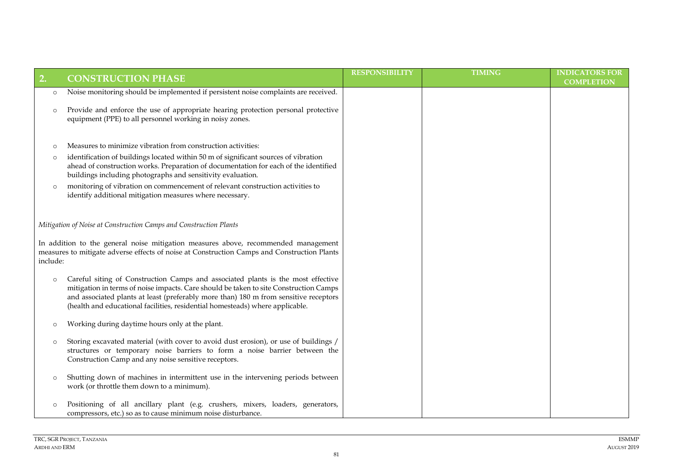|          |                                                                                                                                                                                                                                                                                                                                                    | <b>RESPONSIBILITY</b> | <b>TIMING</b> | <b>INDICATORS FOR</b> |
|----------|----------------------------------------------------------------------------------------------------------------------------------------------------------------------------------------------------------------------------------------------------------------------------------------------------------------------------------------------------|-----------------------|---------------|-----------------------|
| 2.       | <b>CONSTRUCTION PHASE</b>                                                                                                                                                                                                                                                                                                                          |                       |               | <b>COMPLETION</b>     |
| $\circ$  | Noise monitoring should be implemented if persistent noise complaints are received.                                                                                                                                                                                                                                                                |                       |               |                       |
| $\circ$  | Provide and enforce the use of appropriate hearing protection personal protective<br>equipment (PPE) to all personnel working in noisy zones.                                                                                                                                                                                                      |                       |               |                       |
| $\circ$  | Measures to minimize vibration from construction activities:                                                                                                                                                                                                                                                                                       |                       |               |                       |
| $\circ$  | identification of buildings located within 50 m of significant sources of vibration<br>ahead of construction works. Preparation of documentation for each of the identified<br>buildings including photographs and sensitivity evaluation.                                                                                                         |                       |               |                       |
| $\circ$  | monitoring of vibration on commencement of relevant construction activities to<br>identify additional mitigation measures where necessary.                                                                                                                                                                                                         |                       |               |                       |
|          | Mitigation of Noise at Construction Camps and Construction Plants                                                                                                                                                                                                                                                                                  |                       |               |                       |
| include: | In addition to the general noise mitigation measures above, recommended management<br>measures to mitigate adverse effects of noise at Construction Camps and Construction Plants                                                                                                                                                                  |                       |               |                       |
| $\circ$  | Careful siting of Construction Camps and associated plants is the most effective<br>mitigation in terms of noise impacts. Care should be taken to site Construction Camps<br>and associated plants at least (preferably more than) 180 m from sensitive receptors<br>(health and educational facilities, residential homesteads) where applicable. |                       |               |                       |
| $\circ$  | Working during daytime hours only at the plant.                                                                                                                                                                                                                                                                                                    |                       |               |                       |
| $\circ$  | Storing excavated material (with cover to avoid dust erosion), or use of buildings /<br>structures or temporary noise barriers to form a noise barrier between the<br>Construction Camp and any noise sensitive receptors.                                                                                                                         |                       |               |                       |
| $\circ$  | Shutting down of machines in intermittent use in the intervening periods between<br>work (or throttle them down to a minimum).                                                                                                                                                                                                                     |                       |               |                       |
| $\circ$  | Positioning of all ancillary plant (e.g. crushers, mixers, loaders, generators,<br>compressors, etc.) so as to cause minimum noise disturbance.                                                                                                                                                                                                    |                       |               |                       |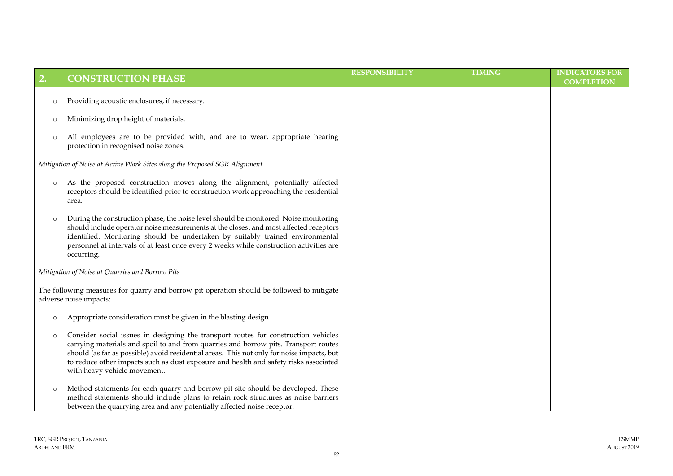| 2.      | <b>CONSTRUCTION PHASE</b>                                                                                                                                                                                                                                                                                                                                                                      | <b>RESPONSIBILITY</b> | <b>TIMING</b> | <b>INDICATORS FOR</b> |
|---------|------------------------------------------------------------------------------------------------------------------------------------------------------------------------------------------------------------------------------------------------------------------------------------------------------------------------------------------------------------------------------------------------|-----------------------|---------------|-----------------------|
|         |                                                                                                                                                                                                                                                                                                                                                                                                |                       |               | <b>COMPLETION</b>     |
| $\circ$ | Providing acoustic enclosures, if necessary.                                                                                                                                                                                                                                                                                                                                                   |                       |               |                       |
| $\circ$ | Minimizing drop height of materials.                                                                                                                                                                                                                                                                                                                                                           |                       |               |                       |
| $\circ$ | All employees are to be provided with, and are to wear, appropriate hearing<br>protection in recognised noise zones.                                                                                                                                                                                                                                                                           |                       |               |                       |
|         | Mitigation of Noise at Active Work Sites along the Proposed SGR Alignment                                                                                                                                                                                                                                                                                                                      |                       |               |                       |
| $\circ$ | As the proposed construction moves along the alignment, potentially affected<br>receptors should be identified prior to construction work approaching the residential<br>area.                                                                                                                                                                                                                 |                       |               |                       |
| $\circ$ | During the construction phase, the noise level should be monitored. Noise monitoring<br>should include operator noise measurements at the closest and most affected receptors<br>identified. Monitoring should be undertaken by suitably trained environmental<br>personnel at intervals of at least once every 2 weeks while construction activities are<br>occurring.                        |                       |               |                       |
|         | Mitigation of Noise at Quarries and Borrow Pits                                                                                                                                                                                                                                                                                                                                                |                       |               |                       |
|         | The following measures for quarry and borrow pit operation should be followed to mitigate<br>adverse noise impacts:                                                                                                                                                                                                                                                                            |                       |               |                       |
| $\circ$ | Appropriate consideration must be given in the blasting design                                                                                                                                                                                                                                                                                                                                 |                       |               |                       |
| $\circ$ | Consider social issues in designing the transport routes for construction vehicles<br>carrying materials and spoil to and from quarries and borrow pits. Transport routes<br>should (as far as possible) avoid residential areas. This not only for noise impacts, but<br>to reduce other impacts such as dust exposure and health and safety risks associated<br>with heavy vehicle movement. |                       |               |                       |
| $\circ$ | Method statements for each quarry and borrow pit site should be developed. These<br>method statements should include plans to retain rock structures as noise barriers<br>between the quarrying area and any potentially affected noise receptor.                                                                                                                                              |                       |               |                       |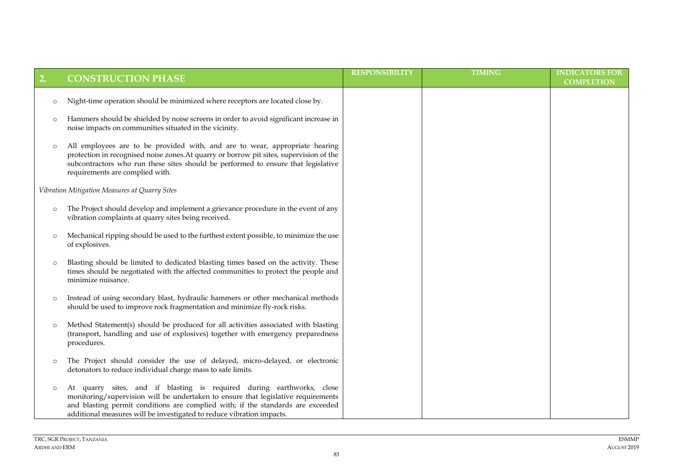| 2.      | <b>CONSTRUCTION PHASE</b>                                                                                                                                                                                                                                                                                              | <b>RESPONSIBILITY</b> | <b>TIMING</b> | <b>INDICATORS FOR</b><br><b>COMPLETION</b> |
|---------|------------------------------------------------------------------------------------------------------------------------------------------------------------------------------------------------------------------------------------------------------------------------------------------------------------------------|-----------------------|---------------|--------------------------------------------|
| $\circ$ | Night-time operation should be minimized where receptors are located close by.                                                                                                                                                                                                                                         |                       |               |                                            |
| $\circ$ | Hammers should be shielded by noise screens in order to avoid significant increase in<br>noise impacts on communities situated in the vicinity.                                                                                                                                                                        |                       |               |                                            |
| $\circ$ | All employees are to be provided with, and are to wear, appropriate hearing<br>protection in recognised noise zones. At quarry or borrow pit sites, supervision of the<br>subcontractors who run these sites should be performed to ensure that legislative<br>requirements are complied with.                         |                       |               |                                            |
|         | Vibration Mitigation Measures at Quarry Sites                                                                                                                                                                                                                                                                          |                       |               |                                            |
| $\circ$ | The Project should develop and implement a grievance procedure in the event of any<br>vibration complaints at quarry sites being received.                                                                                                                                                                             |                       |               |                                            |
| $\circ$ | Mechanical ripping should be used to the furthest extent possible, to minimize the use<br>of explosives.                                                                                                                                                                                                               |                       |               |                                            |
| $\circ$ | Blasting should be limited to dedicated blasting times based on the activity. These<br>times should be negotiated with the affected communities to protect the people and<br>minimize nuisance.                                                                                                                        |                       |               |                                            |
| $\circ$ | Instead of using secondary blast, hydraulic hammers or other mechanical methods<br>should be used to improve rock fragmentation and minimize fly-rock risks.                                                                                                                                                           |                       |               |                                            |
| $\circ$ | Method Statement(s) should be produced for all activities associated with blasting<br>(transport, handling and use of explosives) together with emergency preparedness<br>procedures.                                                                                                                                  |                       |               |                                            |
| $\circ$ | The Project should consider the use of delayed, micro-delayed, or electronic<br>detonators to reduce individual charge mass to safe limits.                                                                                                                                                                            |                       |               |                                            |
| $\circ$ | At quarry sites, and if blasting is required during earthworks, close<br>monitoring/supervision will be undertaken to ensure that legislative requirements<br>and blasting permit conditions are complied with; if the standards are exceeded<br>additional measures will be investigated to reduce vibration impacts. |                       |               |                                            |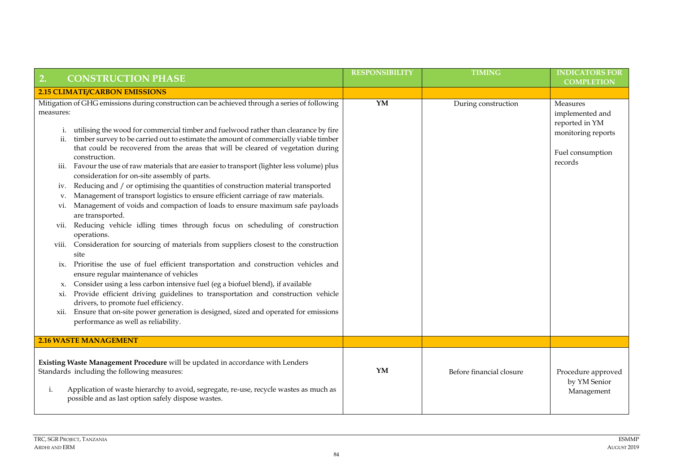| 2.<br><b>CONSTRUCTION PHASE</b>                                                                                                                                                                                                                                                                                                                                                                                                                                                                                                                                                                                                                                                                                                                                                                                                                                                                                                                                                                                                                                                                                                                                                                                                                                                                                                                                                                                                                                                                                                                                                          | <b>RESPONSIBILITY</b> | <b>TIMING</b>            | <b>INDICATORS FOR</b><br><b>COMPLETION</b>                                                         |
|------------------------------------------------------------------------------------------------------------------------------------------------------------------------------------------------------------------------------------------------------------------------------------------------------------------------------------------------------------------------------------------------------------------------------------------------------------------------------------------------------------------------------------------------------------------------------------------------------------------------------------------------------------------------------------------------------------------------------------------------------------------------------------------------------------------------------------------------------------------------------------------------------------------------------------------------------------------------------------------------------------------------------------------------------------------------------------------------------------------------------------------------------------------------------------------------------------------------------------------------------------------------------------------------------------------------------------------------------------------------------------------------------------------------------------------------------------------------------------------------------------------------------------------------------------------------------------------|-----------------------|--------------------------|----------------------------------------------------------------------------------------------------|
| <b>2.15 CLIMATE/CARBON EMISSIONS</b>                                                                                                                                                                                                                                                                                                                                                                                                                                                                                                                                                                                                                                                                                                                                                                                                                                                                                                                                                                                                                                                                                                                                                                                                                                                                                                                                                                                                                                                                                                                                                     |                       |                          |                                                                                                    |
| Mitigation of GHG emissions during construction can be achieved through a series of following<br>measures:<br>utilising the wood for commercial timber and fuelwood rather than clearance by fire<br>i.<br>timber survey to be carried out to estimate the amount of commercially viable timber<br>ii.<br>that could be recovered from the areas that will be cleared of vegetation during<br>construction.<br>Favour the use of raw materials that are easier to transport (lighter less volume) plus<br><i>iii.</i><br>consideration for on-site assembly of parts.<br>Reducing and / or optimising the quantities of construction material transported<br>1V.<br>Management of transport logistics to ensure efficient carriage of raw materials.<br>V.<br>Management of voids and compaction of loads to ensure maximum safe payloads<br>V1.<br>are transported.<br>Reducing vehicle idling times through focus on scheduling of construction<br>vii.<br>operations.<br>Consideration for sourcing of materials from suppliers closest to the construction<br>V111.<br>site<br>Prioritise the use of fuel efficient transportation and construction vehicles and<br>1X.<br>ensure regular maintenance of vehicles<br>Consider using a less carbon intensive fuel (eg a biofuel blend), if available<br>x.<br>Provide efficient driving guidelines to transportation and construction vehicle<br>$x_{1}$<br>drivers, to promote fuel efficiency.<br>Ensure that on-site power generation is designed, sized and operated for emissions<br>xii.<br>performance as well as reliability. | YM                    | During construction      | Measures<br>implemented and<br>reported in YM<br>monitoring reports<br>Fuel consumption<br>records |
| <b>2.16 WASTE MANAGEMENT</b>                                                                                                                                                                                                                                                                                                                                                                                                                                                                                                                                                                                                                                                                                                                                                                                                                                                                                                                                                                                                                                                                                                                                                                                                                                                                                                                                                                                                                                                                                                                                                             |                       |                          |                                                                                                    |
| Existing Waste Management Procedure will be updated in accordance with Lenders<br>Standards including the following measures:<br>Application of waste hierarchy to avoid, segregate, re-use, recycle wastes as much as<br>i.<br>possible and as last option safely dispose wastes.                                                                                                                                                                                                                                                                                                                                                                                                                                                                                                                                                                                                                                                                                                                                                                                                                                                                                                                                                                                                                                                                                                                                                                                                                                                                                                       | YM                    | Before financial closure | Procedure approved<br>by YM Senior<br>Management                                                   |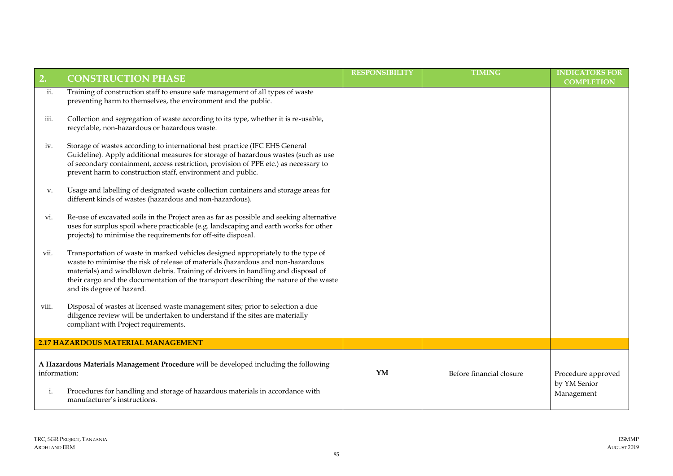| 2.                 | <b>CONSTRUCTION PHASE</b>                                                                                                                                                                                                                                                                                                                                                     | <b>RESPONSIBILITY</b> | <b>TIMING</b>            | <b>INDICATORS FOR</b><br><b>COMPLETION</b>       |
|--------------------|-------------------------------------------------------------------------------------------------------------------------------------------------------------------------------------------------------------------------------------------------------------------------------------------------------------------------------------------------------------------------------|-----------------------|--------------------------|--------------------------------------------------|
| ii.                | Training of construction staff to ensure safe management of all types of waste<br>preventing harm to themselves, the environment and the public.                                                                                                                                                                                                                              |                       |                          |                                                  |
| iii.               | Collection and segregation of waste according to its type, whether it is re-usable,<br>recyclable, non-hazardous or hazardous waste.                                                                                                                                                                                                                                          |                       |                          |                                                  |
| iv.                | Storage of wastes according to international best practice (IFC EHS General<br>Guideline). Apply additional measures for storage of hazardous wastes (such as use<br>of secondary containment, access restriction, provision of PPE etc.) as necessary to<br>prevent harm to construction staff, environment and public.                                                      |                       |                          |                                                  |
| V.                 | Usage and labelling of designated waste collection containers and storage areas for<br>different kinds of wastes (hazardous and non-hazardous).                                                                                                                                                                                                                               |                       |                          |                                                  |
| vi.                | Re-use of excavated soils in the Project area as far as possible and seeking alternative<br>uses for surplus spoil where practicable (e.g. landscaping and earth works for other<br>projects) to minimise the requirements for off-site disposal.                                                                                                                             |                       |                          |                                                  |
| vii.               | Transportation of waste in marked vehicles designed appropriately to the type of<br>waste to minimise the risk of release of materials (hazardous and non-hazardous<br>materials) and windblown debris. Training of drivers in handling and disposal of<br>their cargo and the documentation of the transport describing the nature of the waste<br>and its degree of hazard. |                       |                          |                                                  |
| viii.              | Disposal of wastes at licensed waste management sites; prior to selection a due<br>diligence review will be undertaken to understand if the sites are materially<br>compliant with Project requirements.                                                                                                                                                                      |                       |                          |                                                  |
|                    | 2.17 HAZARDOUS MATERIAL MANAGEMENT                                                                                                                                                                                                                                                                                                                                            |                       |                          |                                                  |
| information:<br>i. | A Hazardous Materials Management Procedure will be developed including the following<br>Procedures for handling and storage of hazardous materials in accordance with<br>manufacturer's instructions.                                                                                                                                                                         | YM                    | Before financial closure | Procedure approved<br>by YM Senior<br>Management |
|                    |                                                                                                                                                                                                                                                                                                                                                                               |                       |                          |                                                  |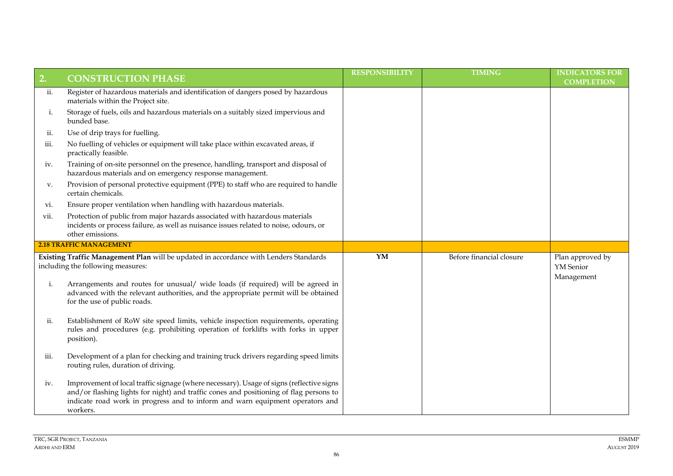| 2.   | <b>CONSTRUCTION PHASE</b>                                                                                                                                                                                                                                                       | <b>RESPONSIBILITY</b> | <b>TIMING</b>            | <b>INDICATORS FOR</b><br><b>COMPLETION</b>  |
|------|---------------------------------------------------------------------------------------------------------------------------------------------------------------------------------------------------------------------------------------------------------------------------------|-----------------------|--------------------------|---------------------------------------------|
| ii.  | Register of hazardous materials and identification of dangers posed by hazardous<br>materials within the Project site.                                                                                                                                                          |                       |                          |                                             |
| i.   | Storage of fuels, oils and hazardous materials on a suitably sized impervious and<br>bunded base.                                                                                                                                                                               |                       |                          |                                             |
| ii.  | Use of drip trays for fuelling.                                                                                                                                                                                                                                                 |                       |                          |                                             |
| iii. | No fuelling of vehicles or equipment will take place within excavated areas, if<br>practically feasible.                                                                                                                                                                        |                       |                          |                                             |
| iv.  | Training of on-site personnel on the presence, handling, transport and disposal of<br>hazardous materials and on emergency response management.                                                                                                                                 |                       |                          |                                             |
| V.   | Provision of personal protective equipment (PPE) to staff who are required to handle<br>certain chemicals.                                                                                                                                                                      |                       |                          |                                             |
| vi.  | Ensure proper ventilation when handling with hazardous materials.                                                                                                                                                                                                               |                       |                          |                                             |
| vii. | Protection of public from major hazards associated with hazardous materials<br>incidents or process failure, as well as nuisance issues related to noise, odours, or<br>other emissions.                                                                                        |                       |                          |                                             |
|      | <b>2.18 TRAFFIC MANAGEMENT</b>                                                                                                                                                                                                                                                  |                       |                          |                                             |
|      | Existing Traffic Management Plan will be updated in accordance with Lenders Standards<br>including the following measures:                                                                                                                                                      | YM                    | Before financial closure | Plan approved by<br>YM Senior<br>Management |
| i.   | Arrangements and routes for unusual/ wide loads (if required) will be agreed in<br>advanced with the relevant authorities, and the appropriate permit will be obtained<br>for the use of public roads.                                                                          |                       |                          |                                             |
| ii.  | Establishment of RoW site speed limits, vehicle inspection requirements, operating<br>rules and procedures (e.g. prohibiting operation of forklifts with forks in upper<br>position).                                                                                           |                       |                          |                                             |
| iii. | Development of a plan for checking and training truck drivers regarding speed limits<br>routing rules, duration of driving.                                                                                                                                                     |                       |                          |                                             |
| iv.  | Improvement of local traffic signage (where necessary). Usage of signs (reflective signs<br>and/or flashing lights for night) and traffic cones and positioning of flag persons to<br>indicate road work in progress and to inform and warn equipment operators and<br>workers. |                       |                          |                                             |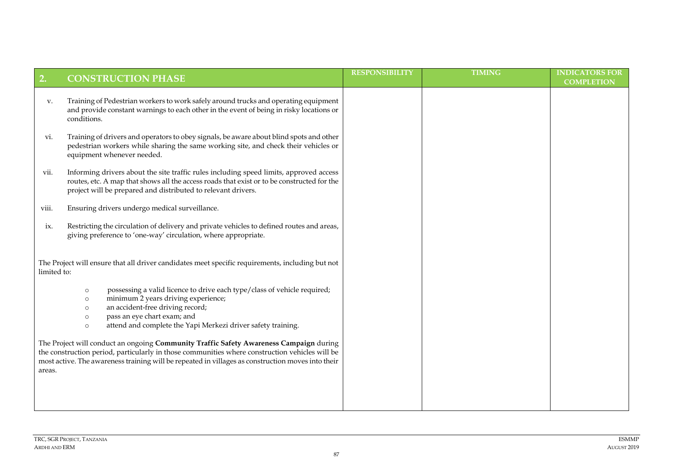| 2.          | <b>CONSTRUCTION PHASE</b>                                                                                                                                                                                                                                                                                                                                                                                                                                                                                                                                                                                  | <b>RESPONSIBILITY</b> | <b>TIMING</b> | <b>INDICATORS FOR</b><br><b>COMPLETION</b> |
|-------------|------------------------------------------------------------------------------------------------------------------------------------------------------------------------------------------------------------------------------------------------------------------------------------------------------------------------------------------------------------------------------------------------------------------------------------------------------------------------------------------------------------------------------------------------------------------------------------------------------------|-----------------------|---------------|--------------------------------------------|
| V.          | Training of Pedestrian workers to work safely around trucks and operating equipment<br>and provide constant warnings to each other in the event of being in risky locations or<br>conditions.                                                                                                                                                                                                                                                                                                                                                                                                              |                       |               |                                            |
| vi.         | Training of drivers and operators to obey signals, be aware about blind spots and other<br>pedestrian workers while sharing the same working site, and check their vehicles or<br>equipment whenever needed.                                                                                                                                                                                                                                                                                                                                                                                               |                       |               |                                            |
| vii.        | Informing drivers about the site traffic rules including speed limits, approved access<br>routes, etc. A map that shows all the access roads that exist or to be constructed for the<br>project will be prepared and distributed to relevant drivers.                                                                                                                                                                                                                                                                                                                                                      |                       |               |                                            |
| viii.       | Ensuring drivers undergo medical surveillance.                                                                                                                                                                                                                                                                                                                                                                                                                                                                                                                                                             |                       |               |                                            |
| ix.         | Restricting the circulation of delivery and private vehicles to defined routes and areas,<br>giving preference to 'one-way' circulation, where appropriate.                                                                                                                                                                                                                                                                                                                                                                                                                                                |                       |               |                                            |
| limited to: | The Project will ensure that all driver candidates meet specific requirements, including but not                                                                                                                                                                                                                                                                                                                                                                                                                                                                                                           |                       |               |                                            |
|             | possessing a valid licence to drive each type/class of vehicle required;<br>$\circ$<br>minimum 2 years driving experience;<br>$\circ$<br>an accident-free driving record;<br>$\circ$<br>pass an eye chart exam; and<br>$\circ$<br>attend and complete the Yapi Merkezi driver safety training.<br>$\circ$<br>The Project will conduct an ongoing Community Traffic Safety Awareness Campaign during<br>the construction period, particularly in those communities where construction vehicles will be<br>most active. The awareness training will be repeated in villages as construction moves into their |                       |               |                                            |
| areas.      |                                                                                                                                                                                                                                                                                                                                                                                                                                                                                                                                                                                                            |                       |               |                                            |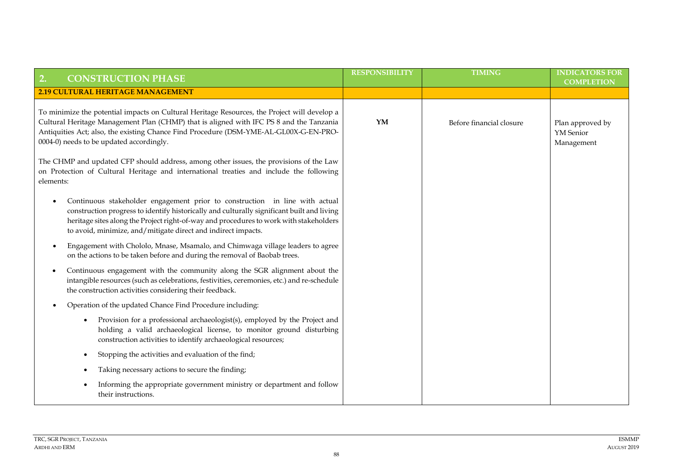| <b>CONSTRUCTION PHASE</b><br>2.                                                                                                                                                                                                                                                                                                                   | <b>RESPONSIBILITY</b> | <b>TIMING</b>            | <b>INDICATORS FOR</b>                       |
|---------------------------------------------------------------------------------------------------------------------------------------------------------------------------------------------------------------------------------------------------------------------------------------------------------------------------------------------------|-----------------------|--------------------------|---------------------------------------------|
| <b>2.19 CULTURAL HERITAGE MANAGEMENT</b>                                                                                                                                                                                                                                                                                                          |                       |                          | <b>COMPLETION</b>                           |
| To minimize the potential impacts on Cultural Heritage Resources, the Project will develop a<br>Cultural Heritage Management Plan (CHMP) that is aligned with IFC PS 8 and the Tanzania<br>Antiquities Act; also, the existing Chance Find Procedure (DSM-YME-AL-GL00X-G-EN-PRO-<br>0004-0) needs to be updated accordingly.                      | YM                    | Before financial closure | Plan approved by<br>YM Senior<br>Management |
| The CHMP and updated CFP should address, among other issues, the provisions of the Law<br>on Protection of Cultural Heritage and international treaties and include the following<br>elements:                                                                                                                                                    |                       |                          |                                             |
| Continuous stakeholder engagement prior to construction in line with actual<br>$\bullet$<br>construction progress to identify historically and culturally significant built and living<br>heritage sites along the Project right-of-way and procedures to work with stakeholders<br>to avoid, minimize, and/mitigate direct and indirect impacts. |                       |                          |                                             |
| Engagement with Chololo, Mnase, Msamalo, and Chimwaga village leaders to agree<br>on the actions to be taken before and during the removal of Baobab trees.                                                                                                                                                                                       |                       |                          |                                             |
| Continuous engagement with the community along the SGR alignment about the<br>intangible resources (such as celebrations, festivities, ceremonies, etc.) and re-schedule<br>the construction activities considering their feedback.                                                                                                               |                       |                          |                                             |
| Operation of the updated Chance Find Procedure including:<br>$\bullet$                                                                                                                                                                                                                                                                            |                       |                          |                                             |
| Provision for a professional archaeologist(s), employed by the Project and<br>$\bullet$<br>holding a valid archaeological license, to monitor ground disturbing<br>construction activities to identify archaeological resources;                                                                                                                  |                       |                          |                                             |
| Stopping the activities and evaluation of the find;                                                                                                                                                                                                                                                                                               |                       |                          |                                             |
| Taking necessary actions to secure the finding;                                                                                                                                                                                                                                                                                                   |                       |                          |                                             |
| Informing the appropriate government ministry or department and follow<br>their instructions.                                                                                                                                                                                                                                                     |                       |                          |                                             |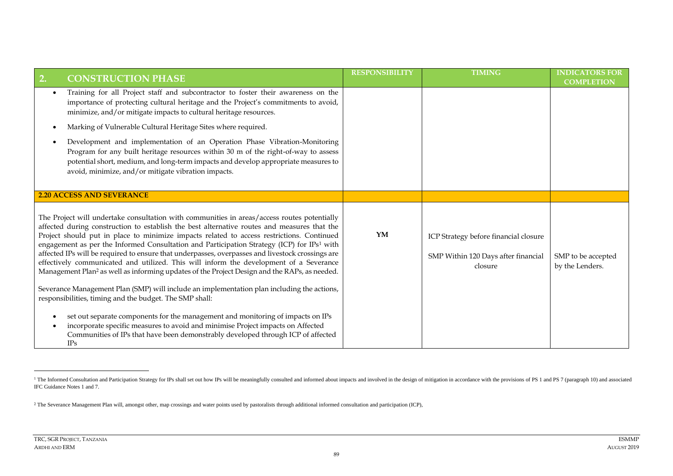| <b>CONSTRUCTION PHASE</b><br>2.                                                                                                                                                                                                                                                                                                                                                                                                                                                                                                                                                                                                                                                                             | <b>RESPONSIBILITY</b> | <b>TIMING</b>                                                                                 | <b>INDICATORS FOR</b><br><b>COMPLETION</b> |
|-------------------------------------------------------------------------------------------------------------------------------------------------------------------------------------------------------------------------------------------------------------------------------------------------------------------------------------------------------------------------------------------------------------------------------------------------------------------------------------------------------------------------------------------------------------------------------------------------------------------------------------------------------------------------------------------------------------|-----------------------|-----------------------------------------------------------------------------------------------|--------------------------------------------|
| Training for all Project staff and subcontractor to foster their awareness on the<br>$\bullet$<br>importance of protecting cultural heritage and the Project's commitments to avoid,<br>minimize, and/or mitigate impacts to cultural heritage resources.                                                                                                                                                                                                                                                                                                                                                                                                                                                   |                       |                                                                                               |                                            |
| Marking of Vulnerable Cultural Heritage Sites where required.<br>$\bullet$                                                                                                                                                                                                                                                                                                                                                                                                                                                                                                                                                                                                                                  |                       |                                                                                               |                                            |
| Development and implementation of an Operation Phase Vibration-Monitoring<br>$\bullet$<br>Program for any built heritage resources within 30 m of the right-of-way to assess<br>potential short, medium, and long-term impacts and develop appropriate measures to<br>avoid, minimize, and/or mitigate vibration impacts.                                                                                                                                                                                                                                                                                                                                                                                   |                       |                                                                                               |                                            |
| <b>2.20 ACCESS AND SEVERANCE</b>                                                                                                                                                                                                                                                                                                                                                                                                                                                                                                                                                                                                                                                                            |                       |                                                                                               |                                            |
| The Project will undertake consultation with communities in areas/access routes potentially<br>affected during construction to establish the best alternative routes and measures that the<br>Project should put in place to minimize impacts related to access restrictions. Continued<br>engagement as per the Informed Consultation and Participation Strategy (ICP) for IPs <sup>1</sup> with<br>affected IPs will be required to ensure that underpasses, overpasses and livestock crossings are<br>effectively communicated and utilized. This will inform the development of a Severance<br>Management Plan <sup>2</sup> as well as informing updates of the Project Design and the RAPs, as needed. |                       | YM<br>ICP Strategy before financial closure<br>SMP Within 120 Days after financial<br>closure | SMP to be accepted<br>by the Lenders.      |
| Severance Management Plan (SMP) will include an implementation plan including the actions,<br>responsibilities, timing and the budget. The SMP shall:                                                                                                                                                                                                                                                                                                                                                                                                                                                                                                                                                       |                       |                                                                                               |                                            |
| set out separate components for the management and monitoring of impacts on IPs<br>$\bullet$<br>incorporate specific measures to avoid and minimise Project impacts on Affected<br>Communities of IPs that have been demonstrably developed through ICP of affected<br>IPs                                                                                                                                                                                                                                                                                                                                                                                                                                  |                       |                                                                                               |                                            |

<sup>&</sup>lt;sup>1</sup> The Informed Consultation and Participation Strategy for IPs shall set out how IPs will be meaningfully consulted and informed about impacts and involved in the design of mitigation in accordance with the provisions of IFC Guidance Notes 1 and 7.

<sup>2</sup> The Severance Management Plan will, amongst other, map crossings and water points used by pastoralists through additional informed consultation and participation (ICP),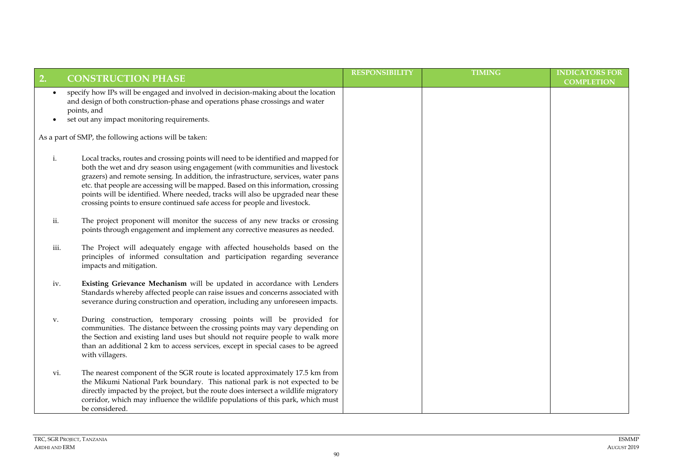| 2.                     | <b>CONSTRUCTION PHASE</b>                                                                                                                                                                                                                                                                                                                                                                                                                                                                                       | <b>RESPONSIBILITY</b> | <b>TIMING</b> | <b>INDICATORS FOR</b> |
|------------------------|-----------------------------------------------------------------------------------------------------------------------------------------------------------------------------------------------------------------------------------------------------------------------------------------------------------------------------------------------------------------------------------------------------------------------------------------------------------------------------------------------------------------|-----------------------|---------------|-----------------------|
|                        |                                                                                                                                                                                                                                                                                                                                                                                                                                                                                                                 |                       |               | <b>COMPLETION</b>     |
| $\bullet$<br>$\bullet$ | specify how IPs will be engaged and involved in decision-making about the location<br>and design of both construction-phase and operations phase crossings and water<br>points, and<br>set out any impact monitoring requirements.                                                                                                                                                                                                                                                                              |                       |               |                       |
|                        | As a part of SMP, the following actions will be taken:                                                                                                                                                                                                                                                                                                                                                                                                                                                          |                       |               |                       |
| i.                     | Local tracks, routes and crossing points will need to be identified and mapped for<br>both the wet and dry season using engagement (with communities and livestock<br>grazers) and remote sensing. In addition, the infrastructure, services, water pans<br>etc. that people are accessing will be mapped. Based on this information, crossing<br>points will be identified. Where needed, tracks will also be upgraded near these<br>crossing points to ensure continued safe access for people and livestock. |                       |               |                       |
| ii.                    | The project proponent will monitor the success of any new tracks or crossing<br>points through engagement and implement any corrective measures as needed.                                                                                                                                                                                                                                                                                                                                                      |                       |               |                       |
| iii.                   | The Project will adequately engage with affected households based on the<br>principles of informed consultation and participation regarding severance<br>impacts and mitigation.                                                                                                                                                                                                                                                                                                                                |                       |               |                       |
| iv.                    | Existing Grievance Mechanism will be updated in accordance with Lenders<br>Standards whereby affected people can raise issues and concerns associated with<br>severance during construction and operation, including any unforeseen impacts.                                                                                                                                                                                                                                                                    |                       |               |                       |
| v.                     | During construction, temporary crossing points will be provided for<br>communities. The distance between the crossing points may vary depending on<br>the Section and existing land uses but should not require people to walk more<br>than an additional 2 km to access services, except in special cases to be agreed<br>with villagers.                                                                                                                                                                      |                       |               |                       |
| vi.                    | The nearest component of the SGR route is located approximately 17.5 km from<br>the Mikumi National Park boundary. This national park is not expected to be<br>directly impacted by the project, but the route does intersect a wildlife migratory<br>corridor, which may influence the wildlife populations of this park, which must<br>be considered.                                                                                                                                                         |                       |               |                       |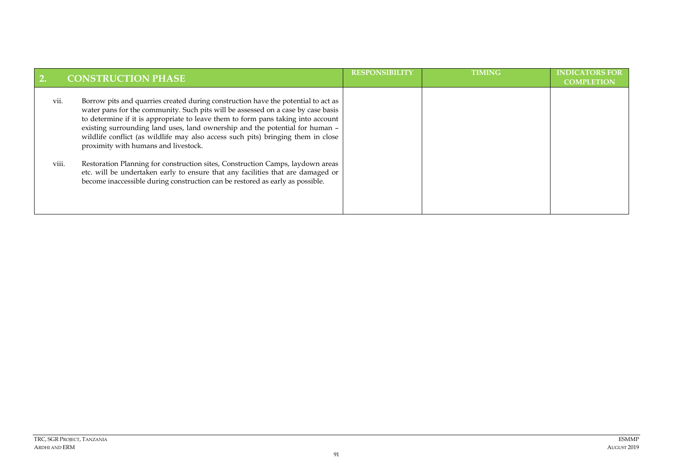|      | <b>CONSTRUCTION PHASE</b>                                                                                                                                                                                                                                                                                                                                                                                                                                             | <b>RESPONSIBILITY</b> | <b>TIMING</b> | <b>INDICATORS FOR</b><br><b>COMPLETION</b> |
|------|-----------------------------------------------------------------------------------------------------------------------------------------------------------------------------------------------------------------------------------------------------------------------------------------------------------------------------------------------------------------------------------------------------------------------------------------------------------------------|-----------------------|---------------|--------------------------------------------|
| vii. | Borrow pits and quarries created during construction have the potential to act as<br>water pans for the community. Such pits will be assessed on a case by case basis<br>to determine if it is appropriate to leave them to form pans taking into account<br>existing surrounding land uses, land ownership and the potential for human -<br>wildlife conflict (as wildlife may also access such pits) bringing them in close<br>proximity with humans and livestock. |                       |               |                                            |
|      | viii.<br>Restoration Planning for construction sites, Construction Camps, laydown areas<br>etc. will be undertaken early to ensure that any facilities that are damaged or<br>become inaccessible during construction can be restored as early as possible.                                                                                                                                                                                                           |                       |               |                                            |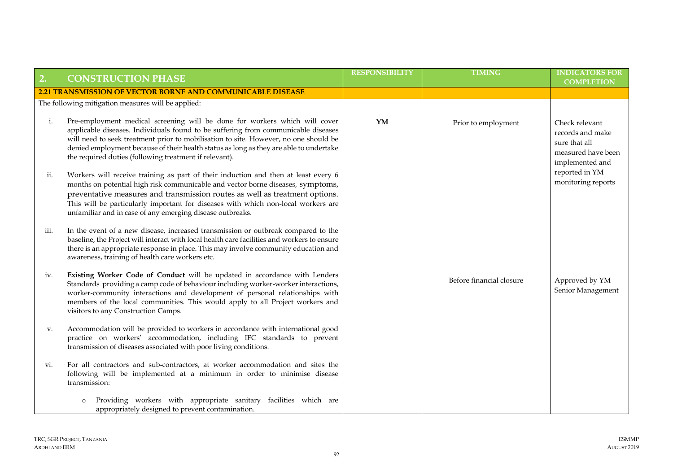| 2.   | <b>CONSTRUCTION PHASE</b>                                                                                                                                                                                                                                                                                                                                                                                   | <b>RESPONSIBILITY</b> | <b>TIMING</b>            | <b>INDICATORS FOR</b><br><b>COMPLETION</b>                                                   |
|------|-------------------------------------------------------------------------------------------------------------------------------------------------------------------------------------------------------------------------------------------------------------------------------------------------------------------------------------------------------------------------------------------------------------|-----------------------|--------------------------|----------------------------------------------------------------------------------------------|
|      | 2.21 TRANSMISSION OF VECTOR BORNE AND COMMUNICABLE DISEASE                                                                                                                                                                                                                                                                                                                                                  |                       |                          |                                                                                              |
|      | The following mitigation measures will be applied:                                                                                                                                                                                                                                                                                                                                                          |                       |                          |                                                                                              |
| i.   | Pre-employment medical screening will be done for workers which will cover<br>applicable diseases. Individuals found to be suffering from communicable diseases<br>will need to seek treatment prior to mobilisation to site. However, no one should be<br>denied employment because of their health status as long as they are able to undertake<br>the required duties (following treatment if relevant). | YM                    | Prior to employment      | Check relevant<br>records and make<br>sure that all<br>measured have been<br>implemented and |
| ii.  | Workers will receive training as part of their induction and then at least every 6<br>months on potential high risk communicable and vector borne diseases, symptoms,<br>preventative measures and transmission routes as well as treatment options.<br>This will be particularly important for diseases with which non-local workers are<br>unfamiliar and in case of any emerging disease outbreaks.      |                       |                          | reported in YM<br>monitoring reports                                                         |
| iii. | In the event of a new disease, increased transmission or outbreak compared to the<br>baseline, the Project will interact with local health care facilities and workers to ensure<br>there is an appropriate response in place. This may involve community education and<br>awareness, training of health care workers etc.                                                                                  |                       |                          |                                                                                              |
| iv.  | Existing Worker Code of Conduct will be updated in accordance with Lenders<br>Standards providing a camp code of behaviour including worker-worker interactions,<br>worker-community interactions and development of personal relationships with<br>members of the local communities. This would apply to all Project workers and<br>visitors to any Construction Camps.                                    |                       | Before financial closure | Approved by YM<br>Senior Management                                                          |
| v.   | Accommodation will be provided to workers in accordance with international good<br>practice on workers' accommodation, including IFC standards to prevent<br>transmission of diseases associated with poor living conditions.                                                                                                                                                                               |                       |                          |                                                                                              |
| vi.  | For all contractors and sub-contractors, at worker accommodation and sites the<br>following will be implemented at a minimum in order to minimise disease<br>transmission:                                                                                                                                                                                                                                  |                       |                          |                                                                                              |
|      | Providing workers with appropriate sanitary facilities which are<br>$\circ$<br>appropriately designed to prevent contamination.                                                                                                                                                                                                                                                                             |                       |                          |                                                                                              |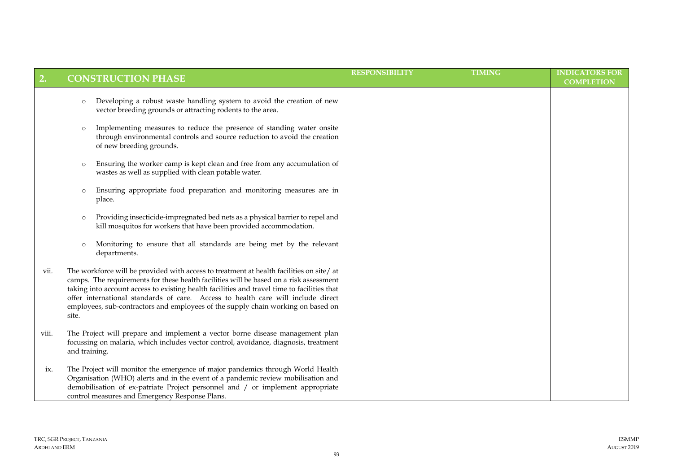| 2.    | <b>CONSTRUCTION PHASE</b>                                                                                                                                                                                                                                                                                                                                                                                                                                          | <b>RESPONSIBILITY</b> | <b>TIMING</b> | <b>INDICATORS FOR</b><br><b>COMPLETION</b> |
|-------|--------------------------------------------------------------------------------------------------------------------------------------------------------------------------------------------------------------------------------------------------------------------------------------------------------------------------------------------------------------------------------------------------------------------------------------------------------------------|-----------------------|---------------|--------------------------------------------|
|       | Developing a robust waste handling system to avoid the creation of new<br>$\circ$<br>vector breeding grounds or attracting rodents to the area.                                                                                                                                                                                                                                                                                                                    |                       |               |                                            |
|       | Implementing measures to reduce the presence of standing water onsite<br>$\circ$<br>through environmental controls and source reduction to avoid the creation<br>of new breeding grounds.                                                                                                                                                                                                                                                                          |                       |               |                                            |
|       | Ensuring the worker camp is kept clean and free from any accumulation of<br>$\circ$<br>wastes as well as supplied with clean potable water.                                                                                                                                                                                                                                                                                                                        |                       |               |                                            |
|       | Ensuring appropriate food preparation and monitoring measures are in<br>$\circ$<br>place.                                                                                                                                                                                                                                                                                                                                                                          |                       |               |                                            |
|       | Providing insecticide-impregnated bed nets as a physical barrier to repel and<br>$\circ$<br>kill mosquitos for workers that have been provided accommodation.                                                                                                                                                                                                                                                                                                      |                       |               |                                            |
|       | Monitoring to ensure that all standards are being met by the relevant<br>$\circ$<br>departments.                                                                                                                                                                                                                                                                                                                                                                   |                       |               |                                            |
| vii.  | The workforce will be provided with access to treatment at health facilities on site/ at<br>camps. The requirements for these health facilities will be based on a risk assessment<br>taking into account access to existing health facilities and travel time to facilities that<br>offer international standards of care. Access to health care will include direct<br>employees, sub-contractors and employees of the supply chain working on based on<br>site. |                       |               |                                            |
| viii. | The Project will prepare and implement a vector borne disease management plan<br>focussing on malaria, which includes vector control, avoidance, diagnosis, treatment<br>and training.                                                                                                                                                                                                                                                                             |                       |               |                                            |
| ix.   | The Project will monitor the emergence of major pandemics through World Health<br>Organisation (WHO) alerts and in the event of a pandemic review mobilisation and<br>demobilisation of ex-patriate Project personnel and / or implement appropriate<br>control measures and Emergency Response Plans.                                                                                                                                                             |                       |               |                                            |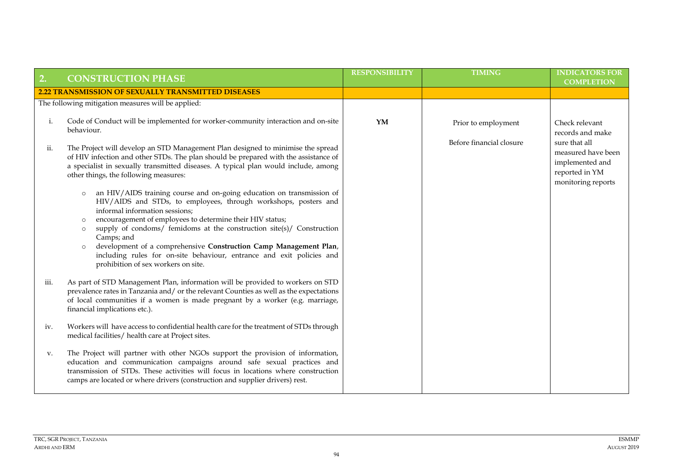| 2.   | <b>CONSTRUCTION PHASE</b>                                                                                                                                                                                                                                                                                                                                                                                                                                                                                                                                                                                                                                                                                                                                                                                                                                                | <b>RESPONSIBILITY</b> | <b>TIMING</b>            | <b>INDICATORS FOR</b><br><b>COMPLETION</b>                                                     |
|------|--------------------------------------------------------------------------------------------------------------------------------------------------------------------------------------------------------------------------------------------------------------------------------------------------------------------------------------------------------------------------------------------------------------------------------------------------------------------------------------------------------------------------------------------------------------------------------------------------------------------------------------------------------------------------------------------------------------------------------------------------------------------------------------------------------------------------------------------------------------------------|-----------------------|--------------------------|------------------------------------------------------------------------------------------------|
|      | <b>2.22 TRANSMISSION OF SEXUALLY TRANSMITTED DISEASES</b>                                                                                                                                                                                                                                                                                                                                                                                                                                                                                                                                                                                                                                                                                                                                                                                                                |                       |                          |                                                                                                |
|      | The following mitigation measures will be applied:                                                                                                                                                                                                                                                                                                                                                                                                                                                                                                                                                                                                                                                                                                                                                                                                                       |                       |                          |                                                                                                |
| i.   | Code of Conduct will be implemented for worker-community interaction and on-site<br>behaviour.                                                                                                                                                                                                                                                                                                                                                                                                                                                                                                                                                                                                                                                                                                                                                                           | YM                    | Prior to employment      | Check relevant<br>records and make                                                             |
| ii.  | The Project will develop an STD Management Plan designed to minimise the spread<br>of HIV infection and other STDs. The plan should be prepared with the assistance of<br>a specialist in sexually transmitted diseases. A typical plan would include, among<br>other things, the following measures:<br>an HIV/AIDS training course and on-going education on transmission of<br>$\circ$<br>HIV/AIDS and STDs, to employees, through workshops, posters and<br>informal information sessions;<br>encouragement of employees to determine their HIV status;<br>$\circ$<br>supply of condoms/ femidoms at the construction site(s)/ Construction<br>$\circ$<br>Camps; and<br>development of a comprehensive Construction Camp Management Plan,<br>$\circ$<br>including rules for on-site behaviour, entrance and exit policies and<br>prohibition of sex workers on site. |                       | Before financial closure | sure that all<br>measured have been<br>implemented and<br>reported in YM<br>monitoring reports |
| iii. | As part of STD Management Plan, information will be provided to workers on STD<br>prevalence rates in Tanzania and/ or the relevant Counties as well as the expectations<br>of local communities if a women is made pregnant by a worker (e.g. marriage,<br>financial implications etc.).                                                                                                                                                                                                                                                                                                                                                                                                                                                                                                                                                                                |                       |                          |                                                                                                |
| iv.  | Workers will have access to confidential health care for the treatment of STDs through<br>medical facilities/ health care at Project sites.                                                                                                                                                                                                                                                                                                                                                                                                                                                                                                                                                                                                                                                                                                                              |                       |                          |                                                                                                |
| V.   | The Project will partner with other NGOs support the provision of information,<br>education and communication campaigns around safe sexual practices and<br>transmission of STDs. These activities will focus in locations where construction<br>camps are located or where drivers (construction and supplier drivers) rest.                                                                                                                                                                                                                                                                                                                                                                                                                                                                                                                                            |                       |                          |                                                                                                |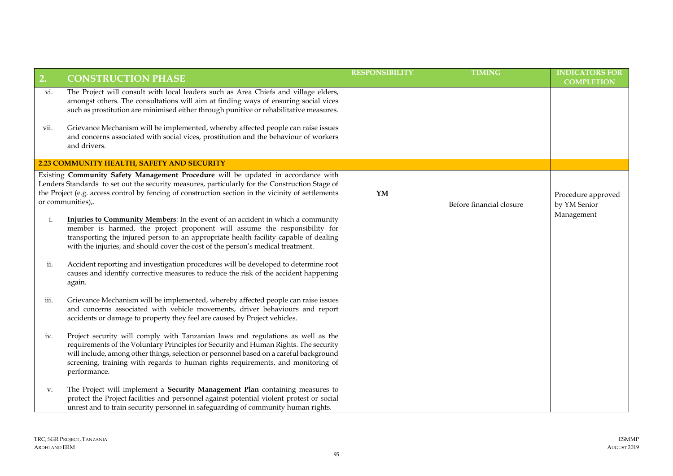| 2.   | <b>CONSTRUCTION PHASE</b>                                                                                                                                                                                                                                                                                                                                             | <b>RESPONSIBILITY</b>  | <b>TIMING</b>            | <b>INDICATORS FOR</b><br><b>COMPLETION</b> |
|------|-----------------------------------------------------------------------------------------------------------------------------------------------------------------------------------------------------------------------------------------------------------------------------------------------------------------------------------------------------------------------|------------------------|--------------------------|--------------------------------------------|
| vi.  | The Project will consult with local leaders such as Area Chiefs and village elders,<br>amongst others. The consultations will aim at finding ways of ensuring social vices<br>such as prostitution are minimised either through punitive or rehabilitative measures.                                                                                                  |                        |                          |                                            |
| VII. | Grievance Mechanism will be implemented, whereby affected people can raise issues<br>and concerns associated with social vices, prostitution and the behaviour of workers<br>and drivers.                                                                                                                                                                             |                        |                          |                                            |
|      | 2.23 COMMUNITY HEALTH, SAFETY AND SECURITY                                                                                                                                                                                                                                                                                                                            |                        |                          |                                            |
|      | Existing Community Safety Management Procedure will be updated in accordance with<br>Lenders Standards to set out the security measures, particularly for the Construction Stage of<br>the Project (e.g. access control by fencing of construction section in the vicinity of settlements<br>or communities),.                                                        | $\mathbf{Y}\mathbf{M}$ | Before financial closure | Procedure approved<br>by YM Senior         |
| i.   | Injuries to Community Members: In the event of an accident in which a community<br>member is harmed, the project proponent will assume the responsibility for<br>transporting the injured person to an appropriate health facility capable of dealing<br>with the injuries, and should cover the cost of the person's medical treatment.                              |                        |                          | Management                                 |
| ii.  | Accident reporting and investigation procedures will be developed to determine root<br>causes and identify corrective measures to reduce the risk of the accident happening<br>again.                                                                                                                                                                                 |                        |                          |                                            |
| iii. | Grievance Mechanism will be implemented, whereby affected people can raise issues<br>and concerns associated with vehicle movements, driver behaviours and report<br>accidents or damage to property they feel are caused by Project vehicles.                                                                                                                        |                        |                          |                                            |
| iv.  | Project security will comply with Tanzanian laws and regulations as well as the<br>requirements of the Voluntary Principles for Security and Human Rights. The security<br>will include, among other things, selection or personnel based on a careful background<br>screening, training with regards to human rights requirements, and monitoring of<br>performance. |                        |                          |                                            |
| V.   | The Project will implement a Security Management Plan containing measures to<br>protect the Project facilities and personnel against potential violent protest or social<br>unrest and to train security personnel in safeguarding of community human rights.                                                                                                         |                        |                          |                                            |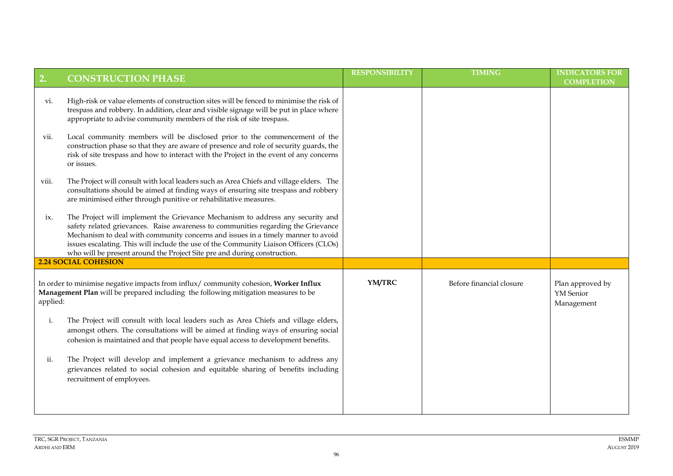| 2.             | <b>CONSTRUCTION PHASE</b>                                                                                                                                                                                                                                                                                                                                                                                                                    | <b>RESPONSIBILITY</b> | <b>TIMING</b>            | <b>INDICATORS FOR</b><br><b>COMPLETION</b>         |
|----------------|----------------------------------------------------------------------------------------------------------------------------------------------------------------------------------------------------------------------------------------------------------------------------------------------------------------------------------------------------------------------------------------------------------------------------------------------|-----------------------|--------------------------|----------------------------------------------------|
| VI.            | High-risk or value elements of construction sites will be fenced to minimise the risk of<br>trespass and robbery. In addition, clear and visible signage will be put in place where<br>appropriate to advise community members of the risk of site trespass.                                                                                                                                                                                 |                       |                          |                                                    |
| vii.           | Local community members will be disclosed prior to the commencement of the<br>construction phase so that they are aware of presence and role of security guards, the<br>risk of site trespass and how to interact with the Project in the event of any concerns<br>or issues.                                                                                                                                                                |                       |                          |                                                    |
| viii.          | The Project will consult with local leaders such as Area Chiefs and village elders. The<br>consultations should be aimed at finding ways of ensuring site trespass and robbery<br>are minimised either through punitive or rehabilitative measures.                                                                                                                                                                                          |                       |                          |                                                    |
| ix.            | The Project will implement the Grievance Mechanism to address any security and<br>safety related grievances. Raise awareness to communities regarding the Grievance<br>Mechanism to deal with community concerns and issues in a timely manner to avoid<br>issues escalating. This will include the use of the Community Liaison Officers (CLOs)<br>who will be present around the Project Site pre and during construction.                 |                       |                          |                                                    |
|                | <b>2.24 SOCIAL COHESION</b>                                                                                                                                                                                                                                                                                                                                                                                                                  |                       |                          |                                                    |
| applied:<br>i. | In order to minimise negative impacts from influx/ community cohesion, Worker Influx<br>Management Plan will be prepared including the following mitigation measures to be<br>The Project will consult with local leaders such as Area Chiefs and village elders,<br>amongst others. The consultations will be aimed at finding ways of ensuring social<br>cohesion is maintained and that people have equal access to development benefits. | YM/TRC                | Before financial closure | Plan approved by<br><b>YM</b> Senior<br>Management |
| 11.            | The Project will develop and implement a grievance mechanism to address any<br>grievances related to social cohesion and equitable sharing of benefits including<br>recruitment of employees.                                                                                                                                                                                                                                                |                       |                          |                                                    |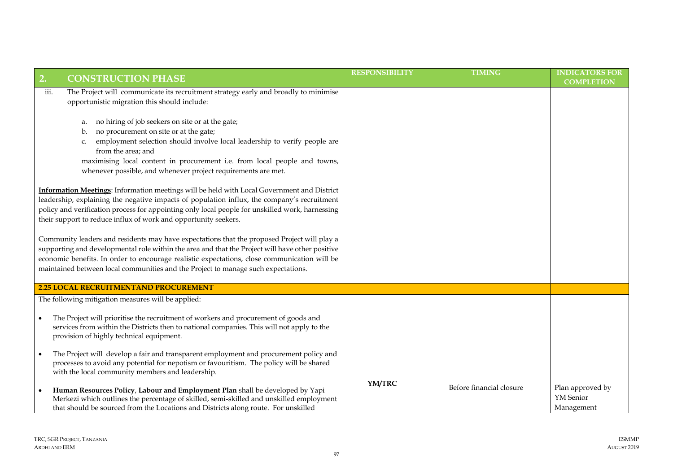| $\boxed{2}$<br><b>CONSTRUCTION PHASE</b>                                                                                                                                                                                                                                                                                                                                            | <b>RESPONSIBILITY</b> | <b>TIMING</b>            | <b>INDICATORS FOR</b><br><b>COMPLETION</b>         |
|-------------------------------------------------------------------------------------------------------------------------------------------------------------------------------------------------------------------------------------------------------------------------------------------------------------------------------------------------------------------------------------|-----------------------|--------------------------|----------------------------------------------------|
| The Project will communicate its recruitment strategy early and broadly to minimise<br>iii.<br>opportunistic migration this should include:<br>no hiring of job seekers on site or at the gate;<br>a.<br>no procurement on site or at the gate;<br>b.                                                                                                                               |                       |                          |                                                    |
| employment selection should involve local leadership to verify people are<br>c.<br>from the area; and<br>maximising local content in procurement i.e. from local people and towns,<br>whenever possible, and whenever project requirements are met.                                                                                                                                 |                       |                          |                                                    |
| Information Meetings: Information meetings will be held with Local Government and District<br>leadership, explaining the negative impacts of population influx, the company's recruitment<br>policy and verification process for appointing only local people for unskilled work, harnessing<br>their support to reduce influx of work and opportunity seekers.                     |                       |                          |                                                    |
| Community leaders and residents may have expectations that the proposed Project will play a<br>supporting and developmental role within the area and that the Project will have other positive<br>economic benefits. In order to encourage realistic expectations, close communication will be<br>maintained between local communities and the Project to manage such expectations. |                       |                          |                                                    |
| 2.25 LOCAL RECRUITMENTAND PROCUREMENT                                                                                                                                                                                                                                                                                                                                               |                       |                          |                                                    |
| The following mitigation measures will be applied:                                                                                                                                                                                                                                                                                                                                  |                       |                          |                                                    |
| The Project will prioritise the recruitment of workers and procurement of goods and<br>services from within the Districts then to national companies. This will not apply to the<br>provision of highly technical equipment.                                                                                                                                                        |                       |                          |                                                    |
| The Project will develop a fair and transparent employment and procurement policy and<br>processes to avoid any potential for nepotism or favouritism. The policy will be shared<br>with the local community members and leadership.                                                                                                                                                |                       |                          |                                                    |
| Human Resources Policy, Labour and Employment Plan shall be developed by Yapi<br>Merkezi which outlines the percentage of skilled, semi-skilled and unskilled employment<br>that should be sourced from the Locations and Districts along route. For unskilled                                                                                                                      | YM/TRC                | Before financial closure | Plan approved by<br><b>YM</b> Senior<br>Management |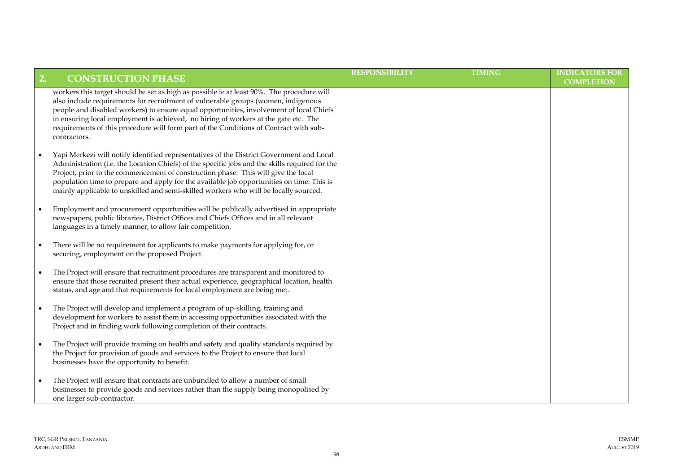| 2. | <b>CONSTRUCTION PHASE</b>                                                                                                                                                                                                                                                                                                                                                                                                                                                 | <b>RESPONSIBILITY</b> | <b>TIMING</b> | <b>INDICATORS FOR</b><br><b>COMPLETION</b> |
|----|---------------------------------------------------------------------------------------------------------------------------------------------------------------------------------------------------------------------------------------------------------------------------------------------------------------------------------------------------------------------------------------------------------------------------------------------------------------------------|-----------------------|---------------|--------------------------------------------|
|    | workers this target should be set as high as possible ie at least 90%. The procedure will<br>also include requirements for recruitment of vulnerable groups (women, indigenous<br>people and disabled workers) to ensure equal opportunities, involvement of local Chiefs<br>in ensuring local employment is achieved, no hiring of workers at the gate etc. The<br>requirements of this procedure will form part of the Conditions of Contract with sub-<br>contractors. |                       |               |                                            |
|    | Yapi Merkezi will notify identified representatives of the District Government and Local<br>Administration (i.e. the Location Chiefs) of the specific jobs and the skills required for the<br>Project, prior to the commencement of construction phase. This will give the local<br>population time to prepare and apply for the available job opportunities on time. This is<br>mainly applicable to unskilled and semi-skilled workers who will be locally sourced.     |                       |               |                                            |
|    | Employment and procurement opportunities will be publically advertised in appropriate<br>newspapers, public libraries, District Offices and Chiefs Offices and in all relevant<br>languages in a timely manner, to allow fair competition.                                                                                                                                                                                                                                |                       |               |                                            |
|    | There will be no requirement for applicants to make payments for applying for, or<br>securing, employment on the proposed Project.                                                                                                                                                                                                                                                                                                                                        |                       |               |                                            |
|    | The Project will ensure that recruitment procedures are transparent and monitored to<br>ensure that those recruited present their actual experience, geographical location, health<br>status, and age and that requirements for local employment are being met.                                                                                                                                                                                                           |                       |               |                                            |
|    | The Project will develop and implement a program of up-skilling, training and<br>development for workers to assist them in accessing opportunities associated with the<br>Project and in finding work following completion of their contracts.                                                                                                                                                                                                                            |                       |               |                                            |
|    | The Project will provide training on health and safety and quality standards required by<br>the Project for provision of goods and services to the Project to ensure that local<br>businesses have the opportunity to benefit.                                                                                                                                                                                                                                            |                       |               |                                            |
|    | The Project will ensure that contracts are unbundled to allow a number of small<br>businesses to provide goods and services rather than the supply being monopolised by<br>one larger sub-contractor.                                                                                                                                                                                                                                                                     |                       |               |                                            |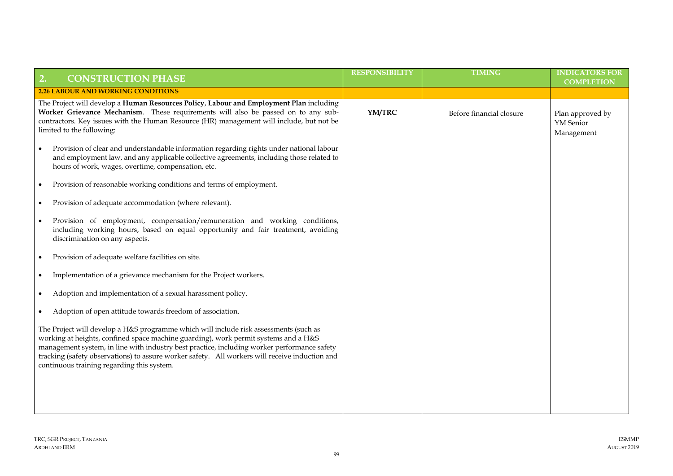| <b>CONSTRUCTION PHASE</b><br>2.                                                                                                                                                                                                                                                                                                                                                                                             | <b>RESPONSIBILITY</b> | <b>TIMING</b>            | <b>INDICATORS FOR</b><br><b>COMPLETION</b>  |
|-----------------------------------------------------------------------------------------------------------------------------------------------------------------------------------------------------------------------------------------------------------------------------------------------------------------------------------------------------------------------------------------------------------------------------|-----------------------|--------------------------|---------------------------------------------|
| <b>2.26 LABOUR AND WORKING CONDITIONS</b>                                                                                                                                                                                                                                                                                                                                                                                   |                       |                          |                                             |
| The Project will develop a Human Resources Policy, Labour and Employment Plan including<br>Worker Grievance Mechanism. These requirements will also be passed on to any sub-<br>contractors. Key issues with the Human Resource (HR) management will include, but not be<br>limited to the following:                                                                                                                       | YM/TRC                | Before financial closure | Plan approved by<br>YM Senior<br>Management |
| Provision of clear and understandable information regarding rights under national labour<br>and employment law, and any applicable collective agreements, including those related to<br>hours of work, wages, overtime, compensation, etc.                                                                                                                                                                                  |                       |                          |                                             |
| Provision of reasonable working conditions and terms of employment.                                                                                                                                                                                                                                                                                                                                                         |                       |                          |                                             |
| Provision of adequate accommodation (where relevant).                                                                                                                                                                                                                                                                                                                                                                       |                       |                          |                                             |
| Provision of employment, compensation/remuneration and working conditions,<br>including working hours, based on equal opportunity and fair treatment, avoiding<br>discrimination on any aspects.                                                                                                                                                                                                                            |                       |                          |                                             |
| Provision of adequate welfare facilities on site.                                                                                                                                                                                                                                                                                                                                                                           |                       |                          |                                             |
| Implementation of a grievance mechanism for the Project workers.                                                                                                                                                                                                                                                                                                                                                            |                       |                          |                                             |
| Adoption and implementation of a sexual harassment policy.                                                                                                                                                                                                                                                                                                                                                                  |                       |                          |                                             |
| Adoption of open attitude towards freedom of association.                                                                                                                                                                                                                                                                                                                                                                   |                       |                          |                                             |
| The Project will develop a H&S programme which will include risk assessments (such as<br>working at heights, confined space machine guarding), work permit systems and a H&S<br>management system, in line with industry best practice, including worker performance safety<br>tracking (safety observations) to assure worker safety. All workers will receive induction and<br>continuous training regarding this system. |                       |                          |                                             |
|                                                                                                                                                                                                                                                                                                                                                                                                                             |                       |                          |                                             |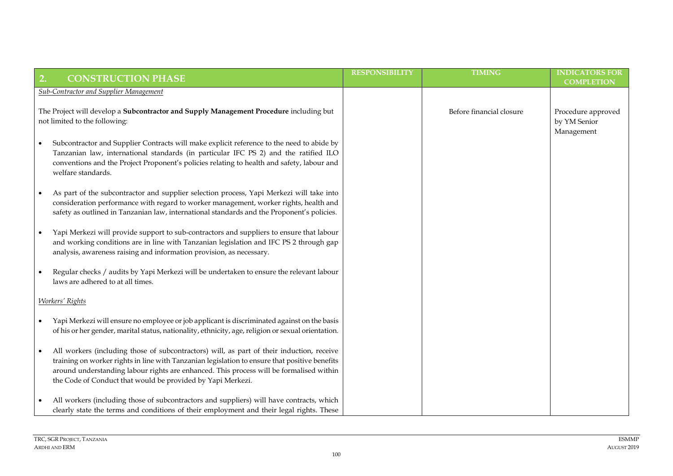| 2. | <b>CONSTRUCTION PHASE</b>                                                                                                                                                                                                                                                                                                                            | <b>RESPONSIBILITY</b> | <b>TIMING</b>            | <b>INDICATORS FOR</b>                            |
|----|------------------------------------------------------------------------------------------------------------------------------------------------------------------------------------------------------------------------------------------------------------------------------------------------------------------------------------------------------|-----------------------|--------------------------|--------------------------------------------------|
|    |                                                                                                                                                                                                                                                                                                                                                      |                       |                          | <b>COMPLETION</b>                                |
|    | <b>Sub-Contractor and Supplier Management</b>                                                                                                                                                                                                                                                                                                        |                       |                          |                                                  |
|    | The Project will develop a Subcontractor and Supply Management Procedure including but<br>not limited to the following:                                                                                                                                                                                                                              |                       | Before financial closure | Procedure approved<br>by YM Senior<br>Management |
|    | Subcontractor and Supplier Contracts will make explicit reference to the need to abide by<br>Tanzanian law, international standards (in particular IFC PS 2) and the ratified ILO<br>conventions and the Project Proponent's policies relating to health and safety, labour and<br>welfare standards.                                                |                       |                          |                                                  |
|    | As part of the subcontractor and supplier selection process, Yapi Merkezi will take into<br>consideration performance with regard to worker management, worker rights, health and<br>safety as outlined in Tanzanian law, international standards and the Proponent's policies.                                                                      |                       |                          |                                                  |
|    | Yapi Merkezi will provide support to sub-contractors and suppliers to ensure that labour<br>and working conditions are in line with Tanzanian legislation and IFC PS 2 through gap<br>analysis, awareness raising and information provision, as necessary.                                                                                           |                       |                          |                                                  |
|    | Regular checks / audits by Yapi Merkezi will be undertaken to ensure the relevant labour<br>laws are adhered to at all times.                                                                                                                                                                                                                        |                       |                          |                                                  |
|    | <b>Workers' Rights</b>                                                                                                                                                                                                                                                                                                                               |                       |                          |                                                  |
|    | Yapi Merkezi will ensure no employee or job applicant is discriminated against on the basis<br>of his or her gender, marital status, nationality, ethnicity, age, religion or sexual orientation.                                                                                                                                                    |                       |                          |                                                  |
|    | All workers (including those of subcontractors) will, as part of their induction, receive<br>training on worker rights in line with Tanzanian legislation to ensure that positive benefits<br>around understanding labour rights are enhanced. This process will be formalised within<br>the Code of Conduct that would be provided by Yapi Merkezi. |                       |                          |                                                  |
|    | All workers (including those of subcontractors and suppliers) will have contracts, which<br>clearly state the terms and conditions of their employment and their legal rights. These                                                                                                                                                                 |                       |                          |                                                  |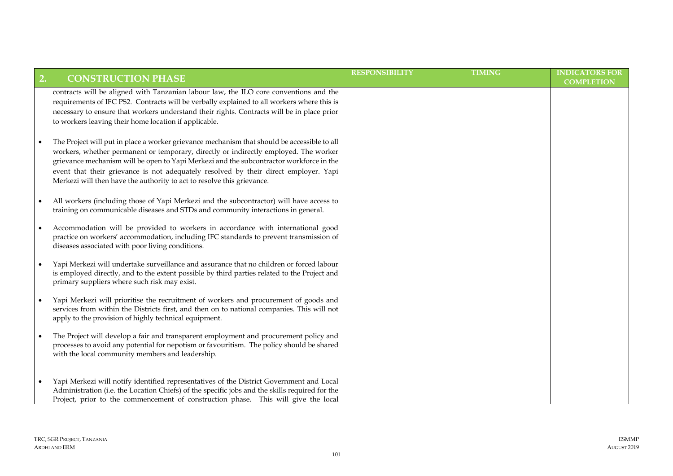| 2. | <b>CONSTRUCTION PHASE</b>                                                                                                                                                                                                                                                                                                                                                                                                                        | <b>RESPONSIBILITY</b> | <b>TIMING</b> | <b>INDICATORS FOR</b><br><b>COMPLETION</b> |
|----|--------------------------------------------------------------------------------------------------------------------------------------------------------------------------------------------------------------------------------------------------------------------------------------------------------------------------------------------------------------------------------------------------------------------------------------------------|-----------------------|---------------|--------------------------------------------|
|    | contracts will be aligned with Tanzanian labour law, the ILO core conventions and the<br>requirements of IFC PS2. Contracts will be verbally explained to all workers where this is<br>necessary to ensure that workers understand their rights. Contracts will be in place prior<br>to workers leaving their home location if applicable.                                                                                                       |                       |               |                                            |
|    | The Project will put in place a worker grievance mechanism that should be accessible to all<br>workers, whether permanent or temporary, directly or indirectly employed. The worker<br>grievance mechanism will be open to Yapi Merkezi and the subcontractor workforce in the<br>event that their grievance is not adequately resolved by their direct employer. Yapi<br>Merkezi will then have the authority to act to resolve this grievance. |                       |               |                                            |
|    | All workers (including those of Yapi Merkezi and the subcontractor) will have access to<br>training on communicable diseases and STDs and community interactions in general.                                                                                                                                                                                                                                                                     |                       |               |                                            |
|    | Accommodation will be provided to workers in accordance with international good<br>practice on workers' accommodation, including IFC standards to prevent transmission of<br>diseases associated with poor living conditions.                                                                                                                                                                                                                    |                       |               |                                            |
|    | Yapi Merkezi will undertake surveillance and assurance that no children or forced labour<br>is employed directly, and to the extent possible by third parties related to the Project and<br>primary suppliers where such risk may exist.                                                                                                                                                                                                         |                       |               |                                            |
|    | Yapi Merkezi will prioritise the recruitment of workers and procurement of goods and<br>services from within the Districts first, and then on to national companies. This will not<br>apply to the provision of highly technical equipment.                                                                                                                                                                                                      |                       |               |                                            |
|    | The Project will develop a fair and transparent employment and procurement policy and<br>processes to avoid any potential for nepotism or favouritism. The policy should be shared<br>with the local community members and leadership.                                                                                                                                                                                                           |                       |               |                                            |
|    | Yapi Merkezi will notify identified representatives of the District Government and Local<br>Administration (i.e. the Location Chiefs) of the specific jobs and the skills required for the<br>Project, prior to the commencement of construction phase. This will give the local                                                                                                                                                                 |                       |               |                                            |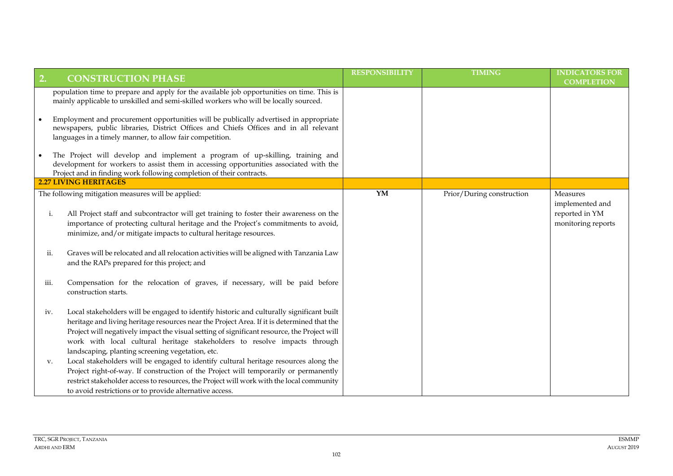| 2.                | <b>CONSTRUCTION PHASE</b>                                                                                                                                                                                                                                                                                                                                                                                                                                                                                                                                                                                                                                                                                                                                     | <b>RESPONSIBILITY</b> | <b>TIMING</b>             | <b>INDICATORS FOR</b><br><b>COMPLETION</b>                          |
|-------------------|---------------------------------------------------------------------------------------------------------------------------------------------------------------------------------------------------------------------------------------------------------------------------------------------------------------------------------------------------------------------------------------------------------------------------------------------------------------------------------------------------------------------------------------------------------------------------------------------------------------------------------------------------------------------------------------------------------------------------------------------------------------|-----------------------|---------------------------|---------------------------------------------------------------------|
|                   | population time to prepare and apply for the available job opportunities on time. This is<br>mainly applicable to unskilled and semi-skilled workers who will be locally sourced.                                                                                                                                                                                                                                                                                                                                                                                                                                                                                                                                                                             |                       |                           |                                                                     |
|                   | Employment and procurement opportunities will be publically advertised in appropriate<br>newspapers, public libraries, District Offices and Chiefs Offices and in all relevant<br>languages in a timely manner, to allow fair competition.                                                                                                                                                                                                                                                                                                                                                                                                                                                                                                                    |                       |                           |                                                                     |
|                   | The Project will develop and implement a program of up-skilling, training and<br>development for workers to assist them in accessing opportunities associated with the<br>Project and in finding work following completion of their contracts.                                                                                                                                                                                                                                                                                                                                                                                                                                                                                                                |                       |                           |                                                                     |
|                   | <b>2.27 LIVING HERITAGES</b>                                                                                                                                                                                                                                                                                                                                                                                                                                                                                                                                                                                                                                                                                                                                  |                       |                           |                                                                     |
| i.<br>ii.<br>iii. | The following mitigation measures will be applied:<br>All Project staff and subcontractor will get training to foster their awareness on the<br>importance of protecting cultural heritage and the Project's commitments to avoid,<br>minimize, and/or mitigate impacts to cultural heritage resources.<br>Graves will be relocated and all relocation activities will be aligned with Tanzania Law<br>and the RAPs prepared for this project; and<br>Compensation for the relocation of graves, if necessary, will be paid before<br>construction starts.                                                                                                                                                                                                    | $\overline{YM}$       | Prior/During construction | Measures<br>implemented and<br>reported in YM<br>monitoring reports |
| iv.<br>V.         | Local stakeholders will be engaged to identify historic and culturally significant built<br>heritage and living heritage resources near the Project Area. If it is determined that the<br>Project will negatively impact the visual setting of significant resource, the Project will<br>work with local cultural heritage stakeholders to resolve impacts through<br>landscaping, planting screening vegetation, etc.<br>Local stakeholders will be engaged to identify cultural heritage resources along the<br>Project right-of-way. If construction of the Project will temporarily or permanently<br>restrict stakeholder access to resources, the Project will work with the local community<br>to avoid restrictions or to provide alternative access. |                       |                           |                                                                     |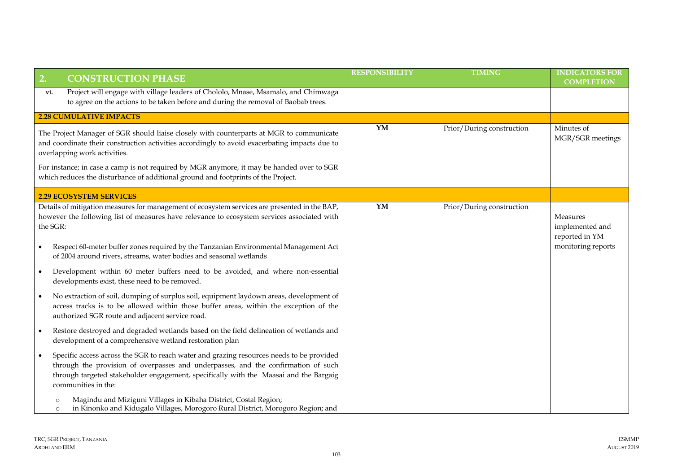| 2.                    | <b>CONSTRUCTION PHASE</b>                                                                                                                                                                                                                                                                                                                                                                                                                                                                                                                                                                                                                                                                                                             | <b>RESPONSIBILITY</b> | <b>TIMING</b>             | <b>INDICATORS FOR</b><br><b>COMPLETION</b>                          |
|-----------------------|---------------------------------------------------------------------------------------------------------------------------------------------------------------------------------------------------------------------------------------------------------------------------------------------------------------------------------------------------------------------------------------------------------------------------------------------------------------------------------------------------------------------------------------------------------------------------------------------------------------------------------------------------------------------------------------------------------------------------------------|-----------------------|---------------------------|---------------------------------------------------------------------|
| vi.                   | Project will engage with village leaders of Chololo, Mnase, Msamalo, and Chimwaga<br>to agree on the actions to be taken before and during the removal of Baobab trees.                                                                                                                                                                                                                                                                                                                                                                                                                                                                                                                                                               |                       |                           |                                                                     |
|                       | <b>2.28 CUMULATIVE IMPACTS</b>                                                                                                                                                                                                                                                                                                                                                                                                                                                                                                                                                                                                                                                                                                        |                       |                           |                                                                     |
|                       | The Project Manager of SGR should liaise closely with counterparts at MGR to communicate<br>and coordinate their construction activities accordingly to avoid exacerbating impacts due to<br>overlapping work activities.<br>For instance; in case a camp is not required by MGR anymore, it may be handed over to SGR<br>which reduces the disturbance of additional ground and footprints of the Project.                                                                                                                                                                                                                                                                                                                           | YM                    | Prior/During construction | Minutes of<br>MGR/SGR meetings                                      |
|                       | <b>2.29 ECOSYSTEM SERVICES</b>                                                                                                                                                                                                                                                                                                                                                                                                                                                                                                                                                                                                                                                                                                        |                       |                           |                                                                     |
| the SGR:<br>$\bullet$ | Details of mitigation measures for management of ecosystem services are presented in the BAP,<br>however the following list of measures have relevance to ecosystem services associated with<br>Respect 60-meter buffer zones required by the Tanzanian Environmental Management Act<br>of 2004 around rivers, streams, water bodies and seasonal wetlands<br>Development within 60 meter buffers need to be avoided, and where non-essential<br>developments exist, these need to be removed.<br>No extraction of soil, dumping of surplus soil, equipment laydown areas, development of<br>access tracks is to be allowed within those buffer areas, within the exception of the<br>authorized SGR route and adjacent service road. | $\overline{YM}$       | Prior/During construction | Measures<br>implemented and<br>reported in YM<br>monitoring reports |
| $\bullet$             | Restore destroyed and degraded wetlands based on the field delineation of wetlands and<br>development of a comprehensive wetland restoration plan<br>Specific access across the SGR to reach water and grazing resources needs to be provided                                                                                                                                                                                                                                                                                                                                                                                                                                                                                         |                       |                           |                                                                     |
|                       | through the provision of overpasses and underpasses, and the confirmation of such<br>through targeted stakeholder engagement, specifically with the Maasai and the Bargaig<br>communities in the:                                                                                                                                                                                                                                                                                                                                                                                                                                                                                                                                     |                       |                           |                                                                     |
|                       | Magindu and Miziguni Villages in Kibaha District, Costal Region;<br>O<br>in Kinonko and Kidugalo Villages, Morogoro Rural District, Morogoro Region; and<br>$\circ$                                                                                                                                                                                                                                                                                                                                                                                                                                                                                                                                                                   |                       |                           |                                                                     |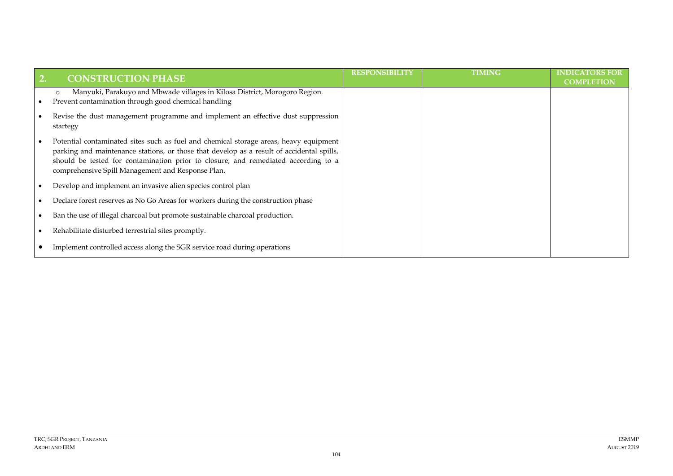| 2. | <b>CONSTRUCTION PHASE</b>                                                                                                                                                                                                                                                                                                     | <b>RESPONSIBILITY</b> | <b>TIMING</b> | <b>INDICATORS FOR</b><br><b>COMPLETION</b> |
|----|-------------------------------------------------------------------------------------------------------------------------------------------------------------------------------------------------------------------------------------------------------------------------------------------------------------------------------|-----------------------|---------------|--------------------------------------------|
|    | Manyuki, Parakuyo and Mbwade villages in Kilosa District, Morogoro Region.<br>$\circ$<br>Prevent contamination through good chemical handling                                                                                                                                                                                 |                       |               |                                            |
|    | Revise the dust management programme and implement an effective dust suppression<br>startegy                                                                                                                                                                                                                                  |                       |               |                                            |
|    | Potential contaminated sites such as fuel and chemical storage areas, heavy equipment<br>parking and maintenance stations, or those that develop as a result of accidental spills,<br>should be tested for contamination prior to closure, and remediated according to a<br>comprehensive Spill Management and Response Plan. |                       |               |                                            |
|    | Develop and implement an invasive alien species control plan                                                                                                                                                                                                                                                                  |                       |               |                                            |
|    | Declare forest reserves as No Go Areas for workers during the construction phase                                                                                                                                                                                                                                              |                       |               |                                            |
|    | Ban the use of illegal charcoal but promote sustainable charcoal production.                                                                                                                                                                                                                                                  |                       |               |                                            |
|    | Rehabilitate disturbed terrestrial sites promptly.                                                                                                                                                                                                                                                                            |                       |               |                                            |
|    | Implement controlled access along the SGR service road during operations                                                                                                                                                                                                                                                      |                       |               |                                            |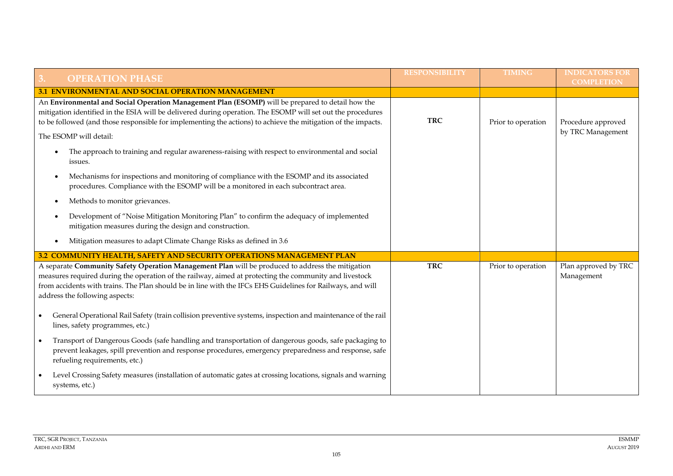| <b>OPERATION PHASE</b>                                                                                                                                                                                                                                                                                                                                     | <b>RESPONSIBILITY</b> | <b>TIMING</b>      | <b>INDICATORS FOR</b><br><b>COMPLETION</b> |
|------------------------------------------------------------------------------------------------------------------------------------------------------------------------------------------------------------------------------------------------------------------------------------------------------------------------------------------------------------|-----------------------|--------------------|--------------------------------------------|
| <b>3.1 ENVIRONMENTAL AND SOCIAL OPERATION MANAGEMENT</b>                                                                                                                                                                                                                                                                                                   |                       |                    |                                            |
| An Environmental and Social Operation Management Plan (ESOMP) will be prepared to detail how the<br>mitigation identified in the ESIA will be delivered during operation. The ESOMP will set out the procedures<br>to be followed (and those responsible for implementing the actions) to achieve the mitigation of the impacts.                           | <b>TRC</b>            | Prior to operation | Procedure approved                         |
| The ESOMP will detail:                                                                                                                                                                                                                                                                                                                                     |                       |                    | by TRC Management                          |
| The approach to training and regular awareness-raising with respect to environmental and social<br>$\bullet$<br>issues.                                                                                                                                                                                                                                    |                       |                    |                                            |
| Mechanisms for inspections and monitoring of compliance with the ESOMP and its associated<br>$\bullet$<br>procedures. Compliance with the ESOMP will be a monitored in each subcontract area.                                                                                                                                                              |                       |                    |                                            |
| Methods to monitor grievances.                                                                                                                                                                                                                                                                                                                             |                       |                    |                                            |
| Development of "Noise Mitigation Monitoring Plan" to confirm the adequacy of implemented<br>mitigation measures during the design and construction.                                                                                                                                                                                                        |                       |                    |                                            |
| Mitigation measures to adapt Climate Change Risks as defined in 3.6                                                                                                                                                                                                                                                                                        |                       |                    |                                            |
| 3.2 COMMUNITY HEALTH, SAFETY AND SECURITY OPERATIONS MANAGEMENT PLAN                                                                                                                                                                                                                                                                                       |                       |                    |                                            |
| A separate Community Safety Operation Management Plan will be produced to address the mitigation<br>measures required during the operation of the railway, aimed at protecting the community and livestock<br>from accidents with trains. The Plan should be in line with the IFCs EHS Guidelines for Railways, and will<br>address the following aspects: | <b>TRC</b>            | Prior to operation | Plan approved by TRC<br>Management         |
| General Operational Rail Safety (train collision preventive systems, inspection and maintenance of the rail<br>lines, safety programmes, etc.)                                                                                                                                                                                                             |                       |                    |                                            |
| Transport of Dangerous Goods (safe handling and transportation of dangerous goods, safe packaging to<br>$\bullet$<br>prevent leakages, spill prevention and response procedures, emergency preparedness and response, safe<br>refueling requirements, etc.)                                                                                                |                       |                    |                                            |
| Level Crossing Safety measures (installation of automatic gates at crossing locations, signals and warning<br>systems, etc.)                                                                                                                                                                                                                               |                       |                    |                                            |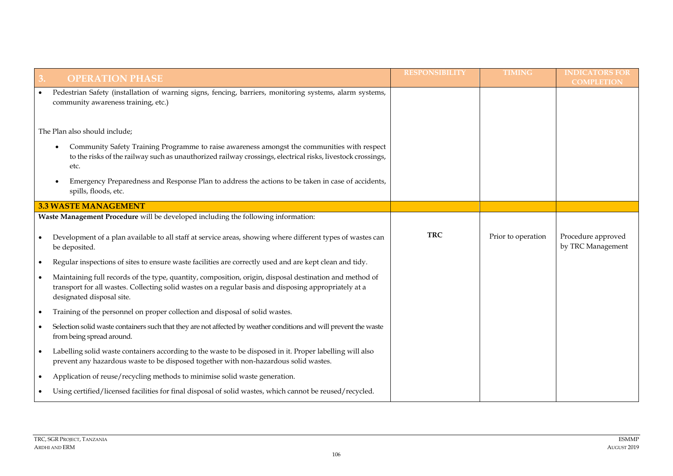|           | <b>OPERATION PHASE</b>                                                                                                                                                                                                                        | <b>RESPONSIBILITY</b> | <b>TIMING</b>      | <b>INDICATORS FOR</b><br><b>COMPLETION</b> |
|-----------|-----------------------------------------------------------------------------------------------------------------------------------------------------------------------------------------------------------------------------------------------|-----------------------|--------------------|--------------------------------------------|
|           | Pedestrian Safety (installation of warning signs, fencing, barriers, monitoring systems, alarm systems,<br>community awareness training, etc.)                                                                                                |                       |                    |                                            |
|           | The Plan also should include;                                                                                                                                                                                                                 |                       |                    |                                            |
|           | Community Safety Training Programme to raise awareness amongst the communities with respect<br>to the risks of the railway such as unauthorized railway crossings, electrical risks, livestock crossings,<br>etc.                             |                       |                    |                                            |
|           | Emergency Preparedness and Response Plan to address the actions to be taken in case of accidents,<br>spills, floods, etc.                                                                                                                     |                       |                    |                                            |
|           | <b>3.3 WASTE MANAGEMENT</b>                                                                                                                                                                                                                   |                       |                    |                                            |
|           | Waste Management Procedure will be developed including the following information:                                                                                                                                                             |                       |                    |                                            |
|           | Development of a plan available to all staff at service areas, showing where different types of wastes can<br>be deposited.                                                                                                                   | <b>TRC</b>            | Prior to operation | Procedure approved<br>by TRC Management    |
| $\bullet$ | Regular inspections of sites to ensure waste facilities are correctly used and are kept clean and tidy.                                                                                                                                       |                       |                    |                                            |
| $\bullet$ | Maintaining full records of the type, quantity, composition, origin, disposal destination and method of<br>transport for all wastes. Collecting solid wastes on a regular basis and disposing appropriately at a<br>designated disposal site. |                       |                    |                                            |
| $\bullet$ | Training of the personnel on proper collection and disposal of solid wastes.                                                                                                                                                                  |                       |                    |                                            |
|           | Selection solid waste containers such that they are not affected by weather conditions and will prevent the waste<br>from being spread around.                                                                                                |                       |                    |                                            |
| $\bullet$ | Labelling solid waste containers according to the waste to be disposed in it. Proper labelling will also<br>prevent any hazardous waste to be disposed together with non-hazardous solid wastes.                                              |                       |                    |                                            |
| $\bullet$ | Application of reuse/recycling methods to minimise solid waste generation.                                                                                                                                                                    |                       |                    |                                            |
|           | Using certified/licensed facilities for final disposal of solid wastes, which cannot be reused/recycled.                                                                                                                                      |                       |                    |                                            |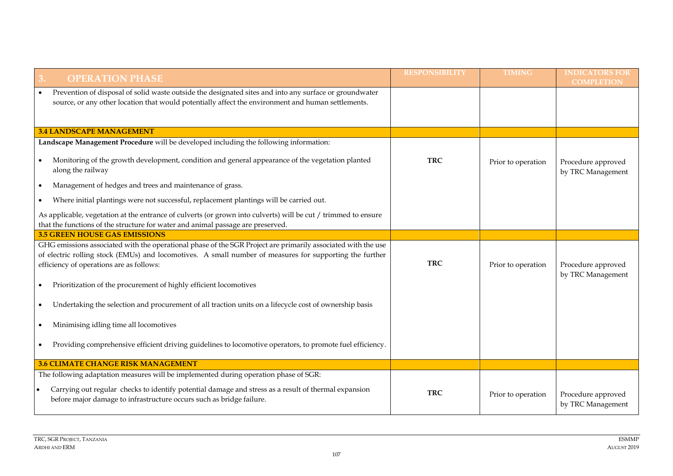| <b>OPERATION PHASE</b><br>3.                                                                                                                                                                                                                                        | <b>RESPONSIBILITY</b> | <b>TIMING</b>      | <b>INDICATORS FOR</b><br><b>COMPLETION</b> |
|---------------------------------------------------------------------------------------------------------------------------------------------------------------------------------------------------------------------------------------------------------------------|-----------------------|--------------------|--------------------------------------------|
| Prevention of disposal of solid waste outside the designated sites and into any surface or groundwater<br>$\bullet$                                                                                                                                                 |                       |                    |                                            |
| source, or any other location that would potentially affect the environment and human settlements.                                                                                                                                                                  |                       |                    |                                            |
|                                                                                                                                                                                                                                                                     |                       |                    |                                            |
| <b>3.4 LANDSCAPE MANAGEMENT</b>                                                                                                                                                                                                                                     |                       |                    |                                            |
| Landscape Management Procedure will be developed including the following information:                                                                                                                                                                               |                       |                    |                                            |
| Monitoring of the growth development, condition and general appearance of the vegetation planted<br>along the railway                                                                                                                                               | <b>TRC</b>            | Prior to operation | Procedure approved<br>by TRC Management    |
| Management of hedges and trees and maintenance of grass.<br>$\bullet$                                                                                                                                                                                               |                       |                    |                                            |
| Where initial plantings were not successful, replacement plantings will be carried out.<br>$\bullet$                                                                                                                                                                |                       |                    |                                            |
| As applicable, vegetation at the entrance of culverts (or grown into culverts) will be cut / trimmed to ensure<br>that the functions of the structure for water and animal passage are preserved.                                                                   |                       |                    |                                            |
| <b>3.5 GREEN HOUSE GAS EMISSIONS</b>                                                                                                                                                                                                                                |                       |                    |                                            |
| GHG emissions associated with the operational phase of the SGR Project are primarily associated with the use<br>of electric rolling stock (EMUs) and locomotives. A small number of measures for supporting the further<br>efficiency of operations are as follows: | <b>TRC</b>            | Prior to operation | Procedure approved                         |
| Prioritization of the procurement of highly efficient locomotives<br>$\bullet$                                                                                                                                                                                      |                       |                    | by TRC Management                          |
| Undertaking the selection and procurement of all traction units on a lifecycle cost of ownership basis<br>$\bullet$                                                                                                                                                 |                       |                    |                                            |
| Minimising idling time all locomotives                                                                                                                                                                                                                              |                       |                    |                                            |
| Providing comprehensive efficient driving guidelines to locomotive operators, to promote fuel efficiency.                                                                                                                                                           |                       |                    |                                            |
| <b>3.6 CLIMATE CHANGE RISK MANAGEMENT</b>                                                                                                                                                                                                                           |                       |                    |                                            |
| The following adaptation measures will be implemented during operation phase of SGR:                                                                                                                                                                                |                       |                    |                                            |
| Carrying out regular checks to identify potential damage and stress as a result of thermal expansion<br>before major damage to infrastructure occurs such as bridge failure.                                                                                        | <b>TRC</b>            | Prior to operation | Procedure approved<br>by TRC Management    |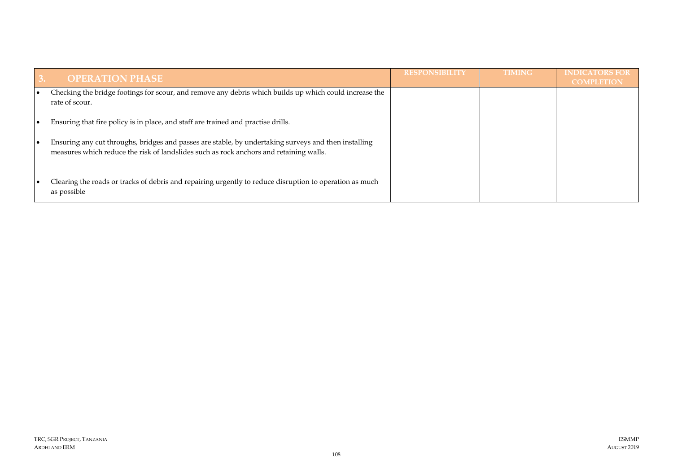|           | <b>OPERATION PHASE</b>                                                                                                                                                                         | <b>RESPONSIBILITY</b> | <b>TIMING</b> | <b>INDICATORS FOR</b><br><b>COMPLETION</b> |
|-----------|------------------------------------------------------------------------------------------------------------------------------------------------------------------------------------------------|-----------------------|---------------|--------------------------------------------|
| $\bullet$ | Checking the bridge footings for scour, and remove any debris which builds up which could increase the<br>rate of scour.                                                                       |                       |               |                                            |
| $\bullet$ | Ensuring that fire policy is in place, and staff are trained and practise drills.                                                                                                              |                       |               |                                            |
| $\bullet$ | Ensuring any cut throughs, bridges and passes are stable, by undertaking surveys and then installing<br>measures which reduce the risk of landslides such as rock anchors and retaining walls. |                       |               |                                            |
|           | Clearing the roads or tracks of debris and repairing urgently to reduce disruption to operation as much<br>as possible                                                                         |                       |               |                                            |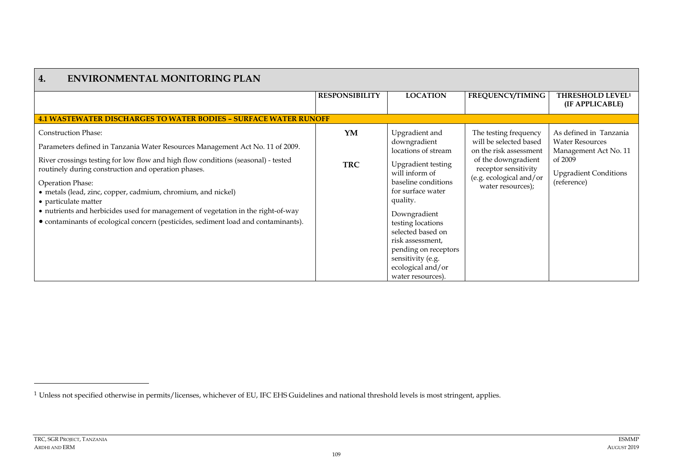| <b>ENVIRONMENTAL MONITORING PLAN</b><br>4.                                                                                                                                                                                                                                                                                                                                                                                                                                                                                                    |                       |                                                                                                                                                                                                                                                                                                                                   |                                                                                                                                                                          |                                                                                                                                     |
|-----------------------------------------------------------------------------------------------------------------------------------------------------------------------------------------------------------------------------------------------------------------------------------------------------------------------------------------------------------------------------------------------------------------------------------------------------------------------------------------------------------------------------------------------|-----------------------|-----------------------------------------------------------------------------------------------------------------------------------------------------------------------------------------------------------------------------------------------------------------------------------------------------------------------------------|--------------------------------------------------------------------------------------------------------------------------------------------------------------------------|-------------------------------------------------------------------------------------------------------------------------------------|
|                                                                                                                                                                                                                                                                                                                                                                                                                                                                                                                                               | <b>RESPONSIBILITY</b> | <b>LOCATION</b>                                                                                                                                                                                                                                                                                                                   | <b>FREQUENCY/TIMING</b>                                                                                                                                                  | <b>THRESHOLD LEVEL<sup>1</sup></b><br>(IF APPLICABLE)                                                                               |
| <b>4.1 WASTEWATER DISCHARGES TO WATER BODIES - SURFACE WATER RUNOFF</b>                                                                                                                                                                                                                                                                                                                                                                                                                                                                       |                       |                                                                                                                                                                                                                                                                                                                                   |                                                                                                                                                                          |                                                                                                                                     |
| <b>Construction Phase:</b><br>Parameters defined in Tanzania Water Resources Management Act No. 11 of 2009.<br>River crossings testing for low flow and high flow conditions (seasonal) - tested<br>routinely during construction and operation phases.<br>Operation Phase:<br>• metals (lead, zinc, copper, cadmium, chromium, and nickel)<br>• particulate matter<br>• nutrients and herbicides used for management of vegetation in the right-of-way<br>• contaminants of ecological concern (pesticides, sediment load and contaminants). | YM<br><b>TRC</b>      | Upgradient and<br>downgradient<br>locations of stream<br><b>Upgradient testing</b><br>will inform of<br>baseline conditions<br>for surface water<br>quality.<br>Downgradient<br>testing locations<br>selected based on<br>risk assessment,<br>pending on receptors<br>sensitivity (e.g.<br>ecological and/or<br>water resources). | The testing frequency<br>will be selected based<br>on the risk assessment<br>of the downgradient<br>receptor sensitivity<br>(e.g. ecological and/or<br>water resources); | As defined in Tanzania<br><b>Water Resources</b><br>Management Act No. 11<br>of 2009<br><b>Upgradient Conditions</b><br>(reference) |

<sup>1</sup> Unless not specified otherwise in permits/licenses, whichever of EU, IFC EHS Guidelines and national threshold levels is most stringent, applies.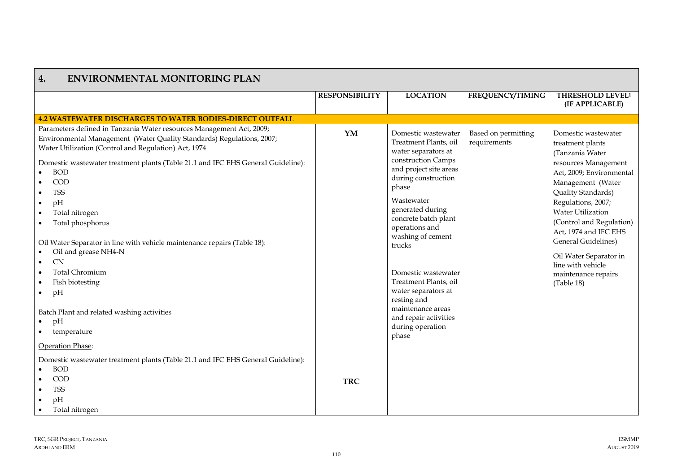| 4.<br><b>ENVIRONMENTAL MONITORING PLAN</b>                                                                                                                                                                                                                                                                                                                                                                                                                                                                                                                                                                                                                                                                         |                       |                                                                                                                                                                                                                                                                                                                                                                                                                                 |                                     |                                                                                                                                                                                                                                                                                                                                                                             |
|--------------------------------------------------------------------------------------------------------------------------------------------------------------------------------------------------------------------------------------------------------------------------------------------------------------------------------------------------------------------------------------------------------------------------------------------------------------------------------------------------------------------------------------------------------------------------------------------------------------------------------------------------------------------------------------------------------------------|-----------------------|---------------------------------------------------------------------------------------------------------------------------------------------------------------------------------------------------------------------------------------------------------------------------------------------------------------------------------------------------------------------------------------------------------------------------------|-------------------------------------|-----------------------------------------------------------------------------------------------------------------------------------------------------------------------------------------------------------------------------------------------------------------------------------------------------------------------------------------------------------------------------|
|                                                                                                                                                                                                                                                                                                                                                                                                                                                                                                                                                                                                                                                                                                                    | <b>RESPONSIBILITY</b> | <b>LOCATION</b>                                                                                                                                                                                                                                                                                                                                                                                                                 | FREQUENCY/TIMING                    | THRESHOLD LEVEL <sup>1</sup>                                                                                                                                                                                                                                                                                                                                                |
|                                                                                                                                                                                                                                                                                                                                                                                                                                                                                                                                                                                                                                                                                                                    |                       |                                                                                                                                                                                                                                                                                                                                                                                                                                 |                                     | (IF APPLICABLE)                                                                                                                                                                                                                                                                                                                                                             |
| <b>4.2 WASTEWATER DISCHARGES TO WATER BODIES-DIRECT OUTFALL</b>                                                                                                                                                                                                                                                                                                                                                                                                                                                                                                                                                                                                                                                    |                       |                                                                                                                                                                                                                                                                                                                                                                                                                                 |                                     |                                                                                                                                                                                                                                                                                                                                                                             |
| Parameters defined in Tanzania Water resources Management Act, 2009;<br>Environmental Management (Water Quality Standards) Regulations, 2007;<br>Water Utilization (Control and Regulation) Act, 1974<br>Domestic wastewater treatment plants (Table 21.1 and IFC EHS General Guideline):<br><b>BOD</b><br>COD<br>$\bullet$<br><b>TSS</b><br>$\bullet$<br>pH<br>$\bullet$<br>Total nitrogen<br>$\bullet$<br>Total phosphorus<br>$\bullet$<br>Oil Water Separator in line with vehicle maintenance repairs (Table 18):<br>Oil and grease NH4-N<br>$CN-$<br>$\bullet$<br><b>Total Chromium</b><br>Fish biotesting<br>pH<br>$\bullet$<br>Batch Plant and related washing activities<br>pH<br>$\bullet$<br>temperature | YM                    | Domestic wastewater<br>Treatment Plants, oil<br>water separators at<br>construction Camps<br>and project site areas<br>during construction<br>phase<br>Wastewater<br>generated during<br>concrete batch plant<br>operations and<br>washing of cement<br>trucks<br>Domestic wastewater<br>Treatment Plants, oil<br>water separators at<br>resting and<br>maintenance areas<br>and repair activities<br>during operation<br>phase | Based on permitting<br>requirements | Domestic wastewater<br>treatment plants<br>(Tanzania Water<br>resources Management<br>Act, 2009; Environmental<br>Management (Water<br>Quality Standards)<br>Regulations, 2007;<br><b>Water Utilization</b><br>(Control and Regulation)<br>Act, 1974 and IFC EHS<br>General Guidelines)<br>Oil Water Separator in<br>line with vehicle<br>maintenance repairs<br>(Table 18) |
| Operation Phase:                                                                                                                                                                                                                                                                                                                                                                                                                                                                                                                                                                                                                                                                                                   |                       |                                                                                                                                                                                                                                                                                                                                                                                                                                 |                                     |                                                                                                                                                                                                                                                                                                                                                                             |
| Domestic wastewater treatment plants (Table 21.1 and IFC EHS General Guideline):<br><b>BOD</b><br>COD<br><b>TSS</b><br>$\bullet$<br>pH<br>$\bullet$<br>Total nitrogen                                                                                                                                                                                                                                                                                                                                                                                                                                                                                                                                              | <b>TRC</b>            |                                                                                                                                                                                                                                                                                                                                                                                                                                 |                                     |                                                                                                                                                                                                                                                                                                                                                                             |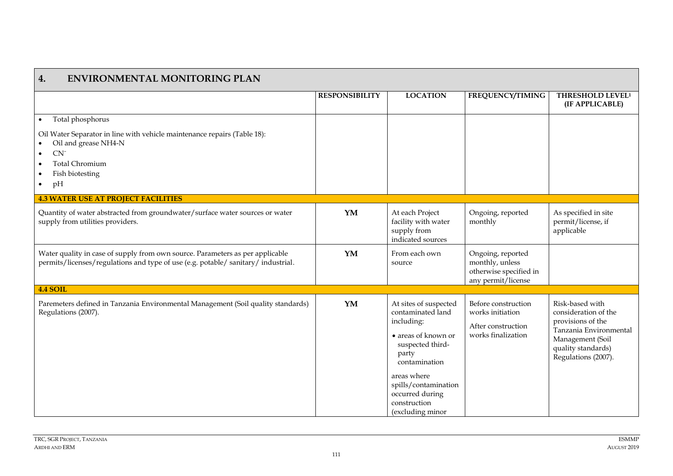| 4.<br><b>ENVIRONMENTAL MONITORING PLAN</b>                                                                                                                                                                                       |                       |                                                                                                                                                                                                                                     |                                                                                      |                                                                                                                                                         |
|----------------------------------------------------------------------------------------------------------------------------------------------------------------------------------------------------------------------------------|-----------------------|-------------------------------------------------------------------------------------------------------------------------------------------------------------------------------------------------------------------------------------|--------------------------------------------------------------------------------------|---------------------------------------------------------------------------------------------------------------------------------------------------------|
|                                                                                                                                                                                                                                  | <b>RESPONSIBILITY</b> | <b>LOCATION</b>                                                                                                                                                                                                                     | <b>FREQUENCY/TIMING</b>                                                              | <b>THRESHOLD LEVEL<sup>1</sup></b><br>(IF APPLICABLE)                                                                                                   |
| Total phosphorus<br>$\bullet$<br>Oil Water Separator in line with vehicle maintenance repairs (Table 18):<br>Oil and grease NH4-N<br>CN<br>$\bullet$<br><b>Total Chromium</b><br>$\bullet$<br>Fish biotesting<br>pH<br>$\bullet$ |                       |                                                                                                                                                                                                                                     |                                                                                      |                                                                                                                                                         |
| <b>4.3 WATER USE AT PROJECT FACILITIES</b>                                                                                                                                                                                       |                       |                                                                                                                                                                                                                                     |                                                                                      |                                                                                                                                                         |
| Quantity of water abstracted from groundwater/surface water sources or water<br>supply from utilities providers.                                                                                                                 | YM                    | At each Project<br>facility with water<br>supply from<br>indicated sources                                                                                                                                                          | Ongoing, reported<br>monthly                                                         | As specified in site<br>permit/license, if<br>applicable                                                                                                |
| Water quality in case of supply from own source. Parameters as per applicable<br>permits/licenses/regulations and type of use (e.g. potable/ sanitary/ industrial.                                                               | YM                    | From each own<br>source                                                                                                                                                                                                             | Ongoing, reported<br>monthly, unless<br>otherwise specified in<br>any permit/license |                                                                                                                                                         |
| <b>4.4 SOIL</b>                                                                                                                                                                                                                  |                       |                                                                                                                                                                                                                                     |                                                                                      |                                                                                                                                                         |
| Paremeters defined in Tanzania Environmental Management (Soil quality standards)<br>Regulations (2007).                                                                                                                          | YM                    | At sites of suspected<br>contaminated land<br>including:<br>$\bullet$ areas of known or<br>suspected third-<br>party<br>contamination<br>areas where<br>spills/contamination<br>occurred during<br>construction<br>(excluding minor | Before construction<br>works initiation<br>After construction<br>works finalization  | Risk-based with<br>consideration of the<br>provisions of the<br>Tanzania Environmental<br>Management (Soil<br>quality standards)<br>Regulations (2007). |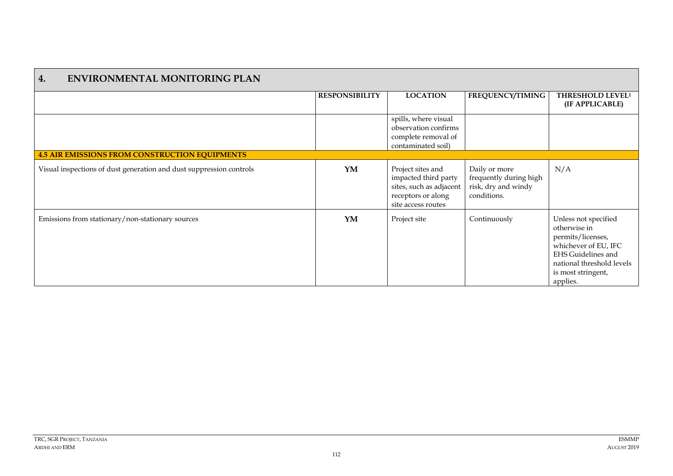| <b>ENVIRONMENTAL MONITORING PLAN</b><br>4.                          |                       |                                                                                                                  |                                                                               |                                                                                                                                                                               |
|---------------------------------------------------------------------|-----------------------|------------------------------------------------------------------------------------------------------------------|-------------------------------------------------------------------------------|-------------------------------------------------------------------------------------------------------------------------------------------------------------------------------|
|                                                                     | <b>RESPONSIBILITY</b> | <b>LOCATION</b>                                                                                                  | <b>FREQUENCY/TIMING</b>                                                       | THRESHOLD LEVEL <sup>1</sup><br>(IF APPLICABLE)                                                                                                                               |
|                                                                     |                       | spills, where visual<br>observation confirms<br>complete removal of<br>contaminated soil)                        |                                                                               |                                                                                                                                                                               |
| <b>4.5 AIR EMISSIONS FROM CONSTRUCTION EQUIPMENTS</b>               |                       |                                                                                                                  |                                                                               |                                                                                                                                                                               |
| Visual inspections of dust generation and dust suppression controls | YM                    | Project sites and<br>impacted third party<br>sites, such as adjacent<br>receptors or along<br>site access routes | Daily or more<br>frequently during high<br>risk, dry and windy<br>conditions. | N/A                                                                                                                                                                           |
| Emissions from stationary/non-stationary sources                    | YM                    | Project site                                                                                                     | Continuously                                                                  | Unless not specified<br>otherwise in<br>permits/licenses,<br>whichever of EU, IFC<br><b>EHS Guidelines and</b><br>national threshold levels<br>is most stringent,<br>applies. |